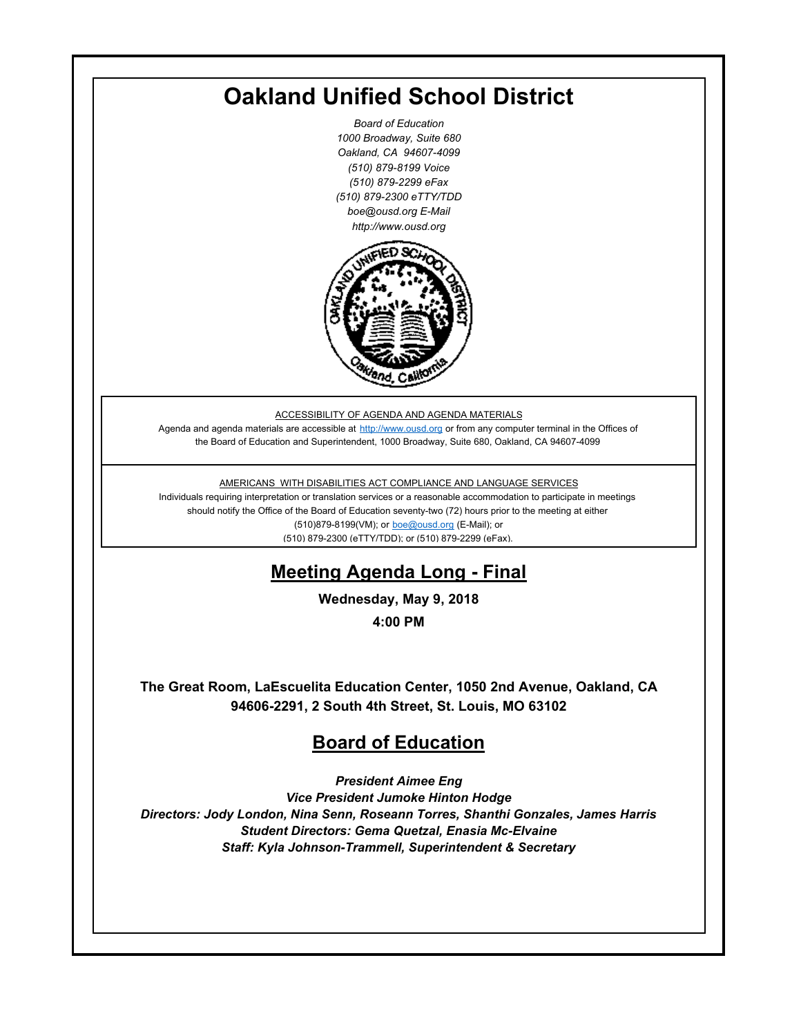# **Oakland Unified School District**

*Board of Education 1000 Broadway, Suite 680 Oakland, CA 94607-4099 (510) 879-8199 Voice (510) 879-2299 eFax (510) 879-2300 eTTY/TDD boe@ousd.org E-Mail http://www.ousd.org*



ACCESSIBILITY OF AGENDA AND AGENDA MATERIALS

Agenda and agenda materials are accessible at http://www.ousd.org or from any computer terminal in the Offices of the Board of Education and Superintendent, 1000 Broadway, Suite 680, Oakland, CA 94607-4099

AMERICANS WITH DISABILITIES ACT COMPLIANCE AND LANGUAGE SERVICES

Individuals requiring interpretation or translation services or a reasonable accommodation to participate in meetings should notify the Office of the Board of Education seventy-two (72) hours prior to the meeting at either (510)879-8199(VM); or boe@ousd.org (E-Mail); or (510) 879-2300 (eTTY/TDD); or (510) 879-2299 (eFax).

# **Meeting Agenda Long - Final**

**Wednesday, May 9, 2018**

**4:00 PM**

**The Great Room, LaEscuelita Education Center, 1050 2nd Avenue, Oakland, CA 94606-2291, 2 South 4th Street, St. Louis, MO 63102**

# **Board of Education**

*President Aimee Eng Vice President Jumoke Hinton Hodge Directors: Jody London, Nina Senn, Roseann Torres, Shanthi Gonzales, James Harris Student Directors: Gema Quetzal, Enasia Mc-Elvaine Staff: Kyla Johnson-Trammell, Superintendent & Secretary*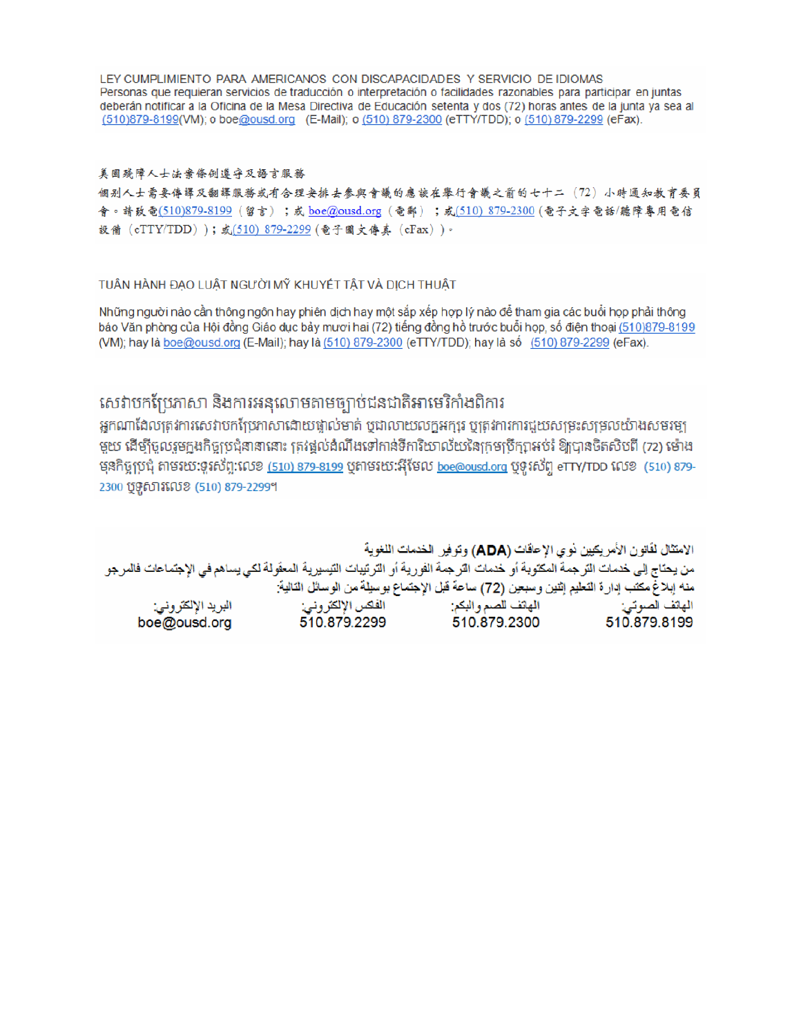LEY CUMPLIMIENTO PARA AMERICANOS CON DISCAPACIDADES Y SERVICIO DE IDIOMAS Personas que requieran servicios de traducción o interpretación o facilidades razonables para participar en juntas deberán notificar a la Oficina de la Mesa Directiva de Educación setenta y dos (72) horas antes de la junta ya sea al (510)879-8199(VM); o boe@ousd.org (E-Mail); o (510) 879-2300 (eTTY/TDD); o (510) 879-2299 (eFax).

#### 美国残障人士法案條例遵守及語言服務

個别人士需要傳譯及翻譯服務或有合理安排去參與會議的應該在舉行會議之前的七十二(72)小時通知教育委員 會。請致電(510)879-8199(留言);或 boe@ousd.org (電郵) ;或(510) 879-2300 (電子文字電話/聽障專用電信 設備 (eTTY/TDD));或(510) 879-2299 (電子圖文傳真 (eFax))。

#### TUẦN HÀNH ĐẠO LUẬT NGƯỜI MỸ KHUYẾT TẤT VÀ DỊCH THUẬT

Những người nào cần thông ngôn hay phiên dịch hay một sắp xếp hợp lý nào để tham gia các buổi họp phải thông báo Văn phòng của Hội đồng Giáo dục bảy mươi hai (72) tiếng đồng hồ trước buổi họp, số điện thoại (510)879-8199 (VM); hay là boe@ousd.org (E-Mail); hay là (510) 879-2300 (eTTY/TDD); hay là số (510) 879-2299 (eFax).

## សេវាបកប្រែភាសា និងការអនុលោមតាមច្បាប់ជនជាតិអាមេរិកាំងពិការ

អកណាដែលត្រូវការសេវាបកប្រែភាសាដោយផ្ទាល់មាត់ ឬជាលាយលក្ខអក្សរ ឬត្រូវការការជួយសម្រះសម្រលយ៉ាងសមរម្យ មួយ ដើម្បីចូលរួមក្នុងកិច្ចប្រជុំនានានោះ ត្រវង្គល់ដំណឹងទៅកាន់ទីការិយាល័យនៃក្រមប្រឹក្សាអប់រំ ឱ្យបានចិតសិបពី (72) ម៉ោង មុនកិច្ចប្រជុំ តាមរយៈទូរស័ព្ទ:លេខ <u>(510) 879-8199</u> បុតាមរយៈអ៊ីមែល <u>boe@ousd.org</u> បុទូរស័ព្ទ eTTY/TDD លេខ (510) 879-2300 ប៊ូទូសារលេខ (510) 879-2299។

الامتثال لقانون الأمريكيين نو ي الإعاقات (ADA) وتوفير الخدمات اللغوية من يحتاج إلى خدمات الترجمة المكتوبة أو خدمات الترجمة الفورية أو الترتيبات التيسيرية المعفّولة لكي يساهم في الإجتماعات فالمرجو منه إبلاغ مكتب إدارة التعليم إثنين وسبعين (72) ساعة قبل الإجتماع بوسيلة من الوسائل التالية: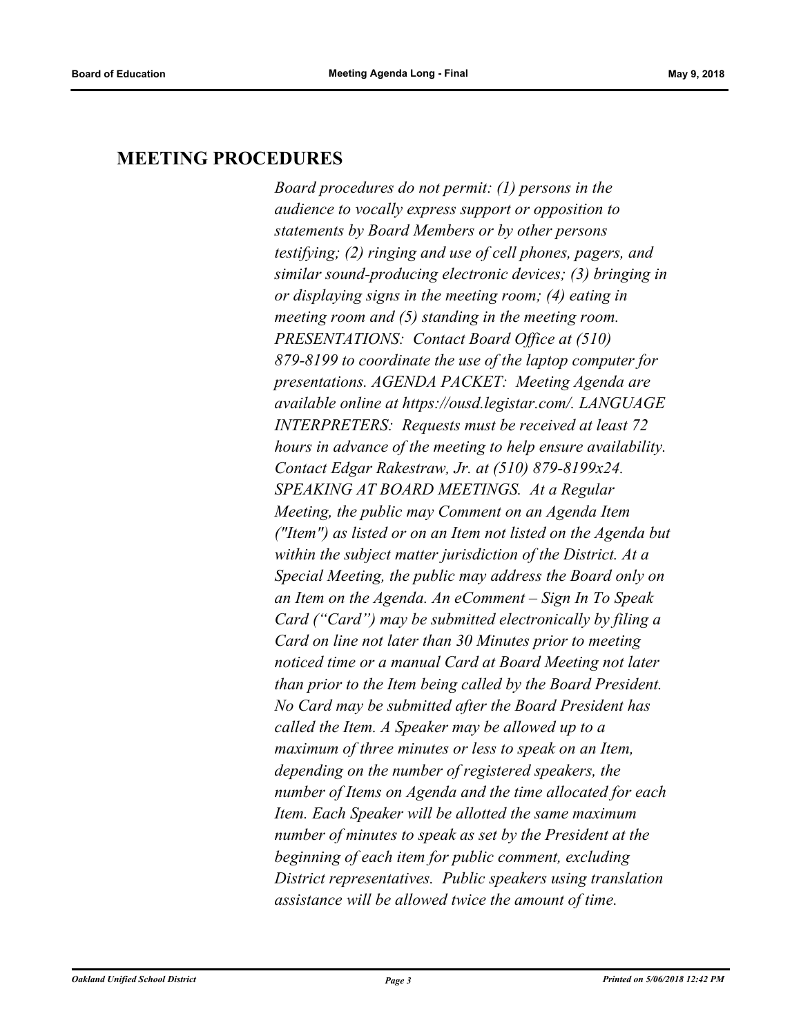### **MEETING PROCEDURES**

*Board procedures do not permit: (1) persons in the audience to vocally express support or opposition to statements by Board Members or by other persons testifying; (2) ringing and use of cell phones, pagers, and similar sound-producing electronic devices; (3) bringing in or displaying signs in the meeting room; (4) eating in meeting room and (5) standing in the meeting room. PRESENTATIONS: Contact Board Office at (510) 879-8199 to coordinate the use of the laptop computer for presentations. AGENDA PACKET: Meeting Agenda are available online at https://ousd.legistar.com/. LANGUAGE INTERPRETERS: Requests must be received at least 72 hours in advance of the meeting to help ensure availability. Contact Edgar Rakestraw, Jr. at (510) 879-8199x24. SPEAKING AT BOARD MEETINGS. At a Regular Meeting, the public may Comment on an Agenda Item ("Item") as listed or on an Item not listed on the Agenda but within the subject matter jurisdiction of the District. At a Special Meeting, the public may address the Board only on an Item on the Agenda. An eComment – Sign In To Speak Card ("Card") may be submitted electronically by filing a Card on line not later than 30 Minutes prior to meeting noticed time or a manual Card at Board Meeting not later than prior to the Item being called by the Board President. No Card may be submitted after the Board President has called the Item. A Speaker may be allowed up to a maximum of three minutes or less to speak on an Item, depending on the number of registered speakers, the number of Items on Agenda and the time allocated for each Item. Each Speaker will be allotted the same maximum number of minutes to speak as set by the President at the beginning of each item for public comment, excluding District representatives. Public speakers using translation assistance will be allowed twice the amount of time.*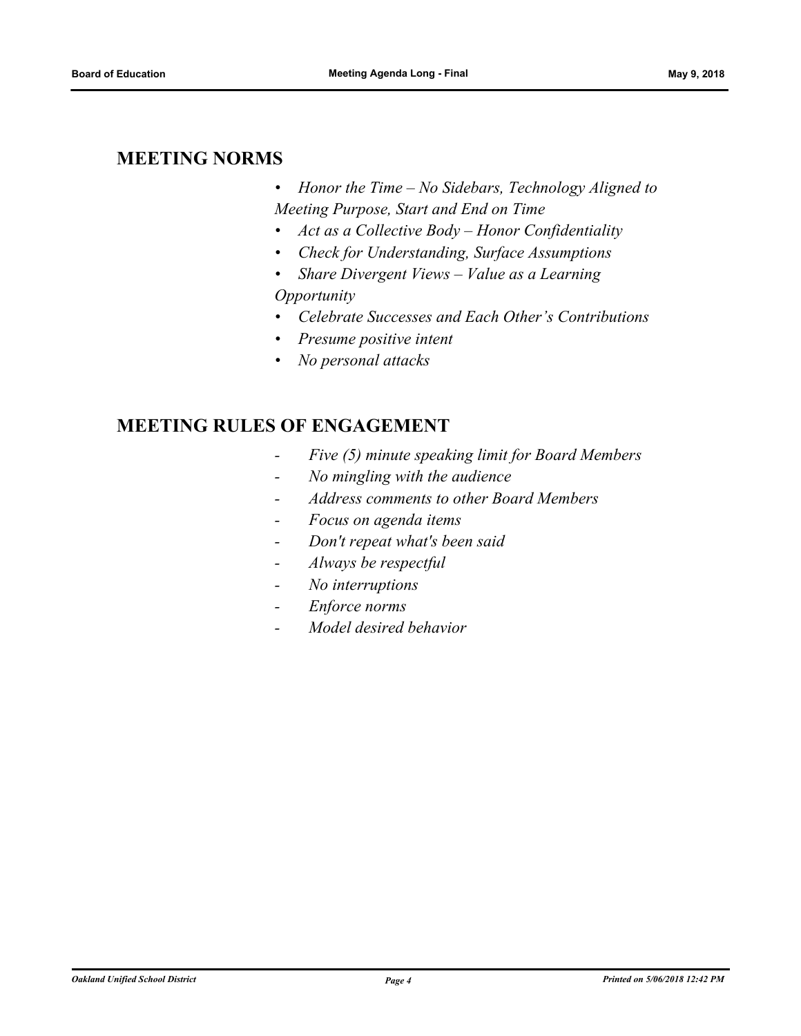### **MEETING NORMS**

- *• Honor the Time No Sidebars, Technology Aligned to Meeting Purpose, Start and End on Time*
- *• Act as a Collective Body Honor Confidentiality*
- *• Check for Understanding, Surface Assumptions*
- *• Share Divergent Views Value as a Learning Opportunity*
- *• Celebrate Successes and Each Other's Contributions*
- *• Presume positive intent*
- *• No personal attacks*

## **MEETING RULES OF ENGAGEMENT**

- *Five (5) minute speaking limit for Board Members*
- *No mingling with the audience*
- *Address comments to other Board Members*
- *Focus on agenda items*
- *Don't repeat what's been said*
- *Always be respectful*
- *No interruptions*
- *Enforce norms*
- *Model desired behavior*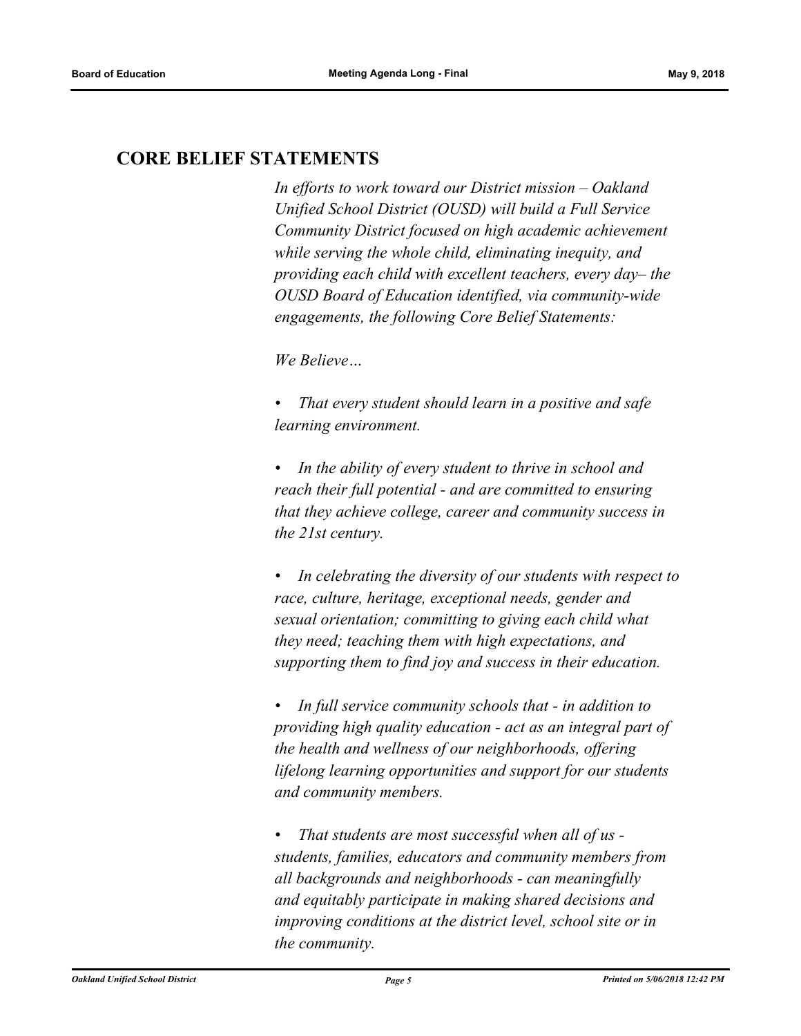## **CORE BELIEF STATEMENTS**

*In efforts to work toward our District mission – Oakland Unified School District (OUSD) will build a Full Service Community District focused on high academic achievement while serving the whole child, eliminating inequity, and providing each child with excellent teachers, every day– the OUSD Board of Education identified, via community-wide engagements, the following Core Belief Statements:* 

*We Believe…*

*• That every student should learn in a positive and safe learning environment.*

*• In the ability of every student to thrive in school and reach their full potential - and are committed to ensuring that they achieve college, career and community success in the 21st century.* 

*• In celebrating the diversity of our students with respect to race, culture, heritage, exceptional needs, gender and sexual orientation; committing to giving each child what they need; teaching them with high expectations, and supporting them to find joy and success in their education.* 

*• In full service community schools that - in addition to providing high quality education - act as an integral part of the health and wellness of our neighborhoods, offering lifelong learning opportunities and support for our students and community members.*

*• That students are most successful when all of us students, families, educators and community members from all backgrounds and neighborhoods - can meaningfully and equitably participate in making shared decisions and improving conditions at the district level, school site or in the community.*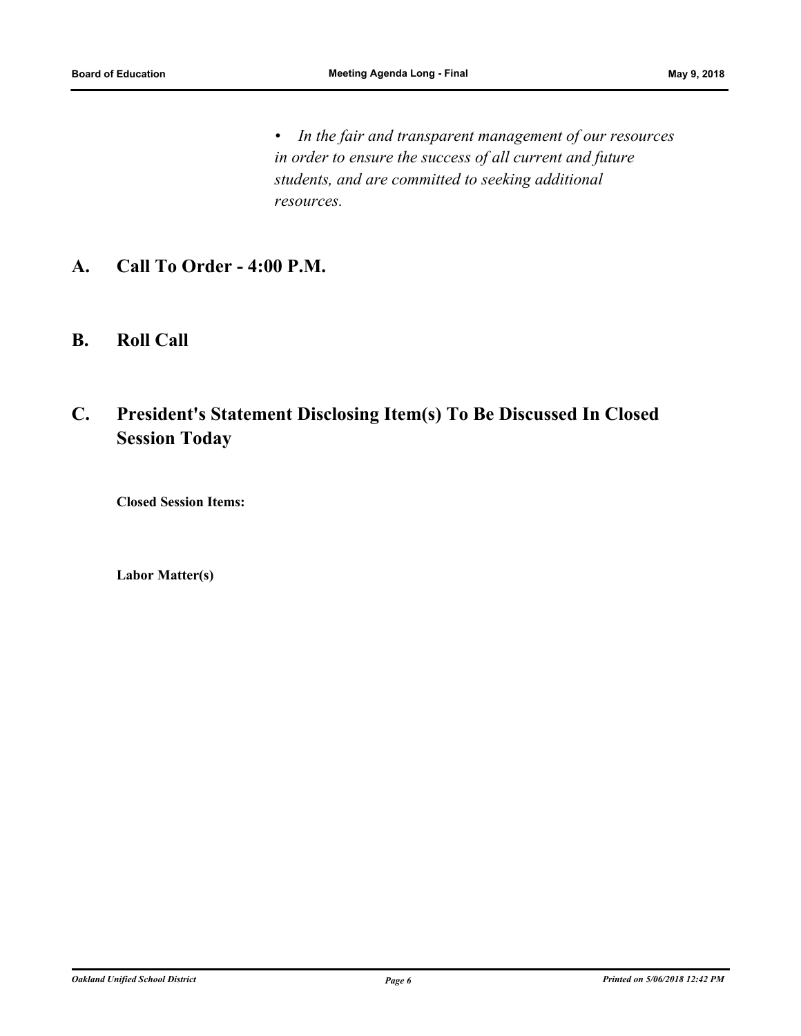*• In the fair and transparent management of our resources in order to ensure the success of all current and future students, and are committed to seeking additional resources.*

- **A. Call To Order 4:00 P.M.**
- **B. Roll Call**

# **C. President's Statement Disclosing Item(s) To Be Discussed In Closed Session Today**

**Closed Session Items:**

**Labor Matter(s)**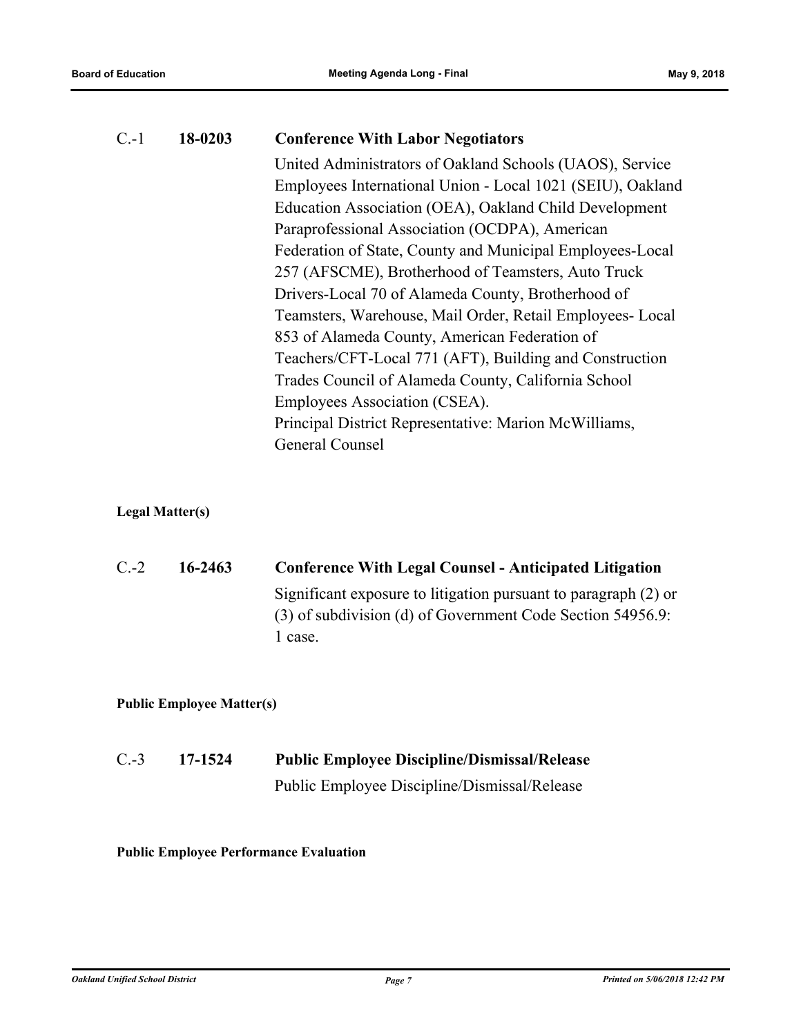| $C.-1$ | 18-0203 | <b>Conference With Labor Negotiators</b>                   |  |  |
|--------|---------|------------------------------------------------------------|--|--|
|        |         | United Administrators of Oakland Schools (UAOS), Service   |  |  |
|        |         | Employees International Union - Local 1021 (SEIU), Oakland |  |  |
|        |         | Education Association (OEA), Oakland Child Development     |  |  |
|        |         | Paraprofessional Association (OCDPA), American             |  |  |
|        |         | Federation of State, County and Municipal Employees-Local  |  |  |
|        |         | 257 (AFSCME), Brotherhood of Teamsters, Auto Truck         |  |  |
|        |         | Drivers-Local 70 of Alameda County, Brotherhood of         |  |  |
|        |         | Teamsters, Warehouse, Mail Order, Retail Employees- Local  |  |  |
|        |         | 853 of Alameda County, American Federation of              |  |  |
|        |         | Teachers/CFT-Local 771 (AFT), Building and Construction    |  |  |
|        |         | Trades Council of Alameda County, California School        |  |  |
|        |         | Employees Association (CSEA).                              |  |  |
|        |         | Principal District Representative: Marion McWilliams,      |  |  |
|        |         | General Counsel                                            |  |  |
|        |         |                                                            |  |  |

### **Legal Matter(s)**

| $C$ - 2 | 16-2463                                                    | <b>Conference With Legal Counsel - Anticipated Litigation</b>   |
|---------|------------------------------------------------------------|-----------------------------------------------------------------|
|         |                                                            | Significant exposure to litigation pursuant to paragraph (2) or |
|         | (3) of subdivision (d) of Government Code Section 54956.9: |                                                                 |
|         |                                                            | 1 case.                                                         |

### **Public Employee Matter(s)**

| $C.-3$ | 17-1524 | <b>Public Employee Discipline/Dismissal/Release</b> |
|--------|---------|-----------------------------------------------------|
|        |         | Public Employee Discipline/Dismissal/Release        |

### **Public Employee Performance Evaluation**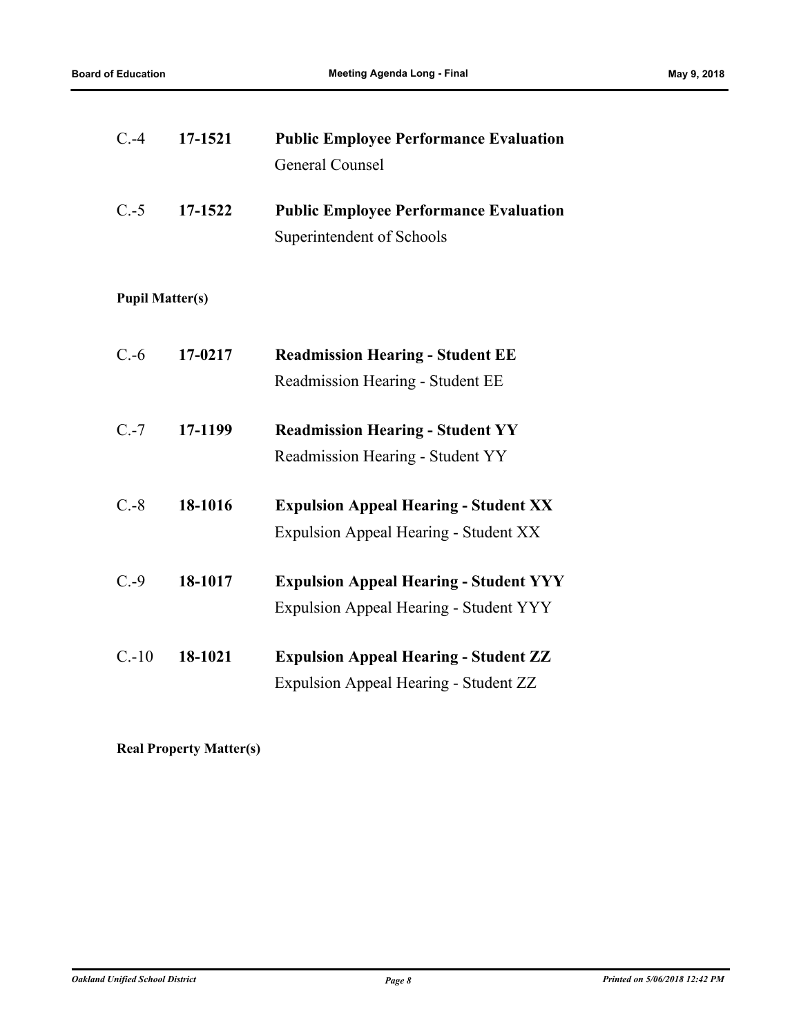| $C.-4$                 | 17-1521 | <b>Public Employee Performance Evaluation</b> |
|------------------------|---------|-----------------------------------------------|
|                        |         | <b>General Counsel</b>                        |
| $C.-5$                 | 17-1522 | <b>Public Employee Performance Evaluation</b> |
|                        |         | Superintendent of Schools                     |
|                        |         |                                               |
| <b>Pupil Matter(s)</b> |         |                                               |
| $C.-6$                 | 17-0217 | <b>Readmission Hearing - Student EE</b>       |
|                        |         | Readmission Hearing - Student EE              |
| $C.-7$                 | 17-1199 | <b>Readmission Hearing - Student YY</b>       |
|                        |         | Readmission Hearing - Student YY              |
| $C.-8$                 | 18-1016 | <b>Expulsion Appeal Hearing - Student XX</b>  |
|                        |         | <b>Expulsion Appeal Hearing - Student XX</b>  |
| $C.-9$                 | 18-1017 | <b>Expulsion Appeal Hearing - Student YYY</b> |
|                        |         | <b>Expulsion Appeal Hearing - Student YYY</b> |
| $C.-10$                | 18-1021 | <b>Expulsion Appeal Hearing - Student ZZ</b>  |
|                        |         | <b>Expulsion Appeal Hearing - Student ZZ</b>  |

**Real Property Matter(s)**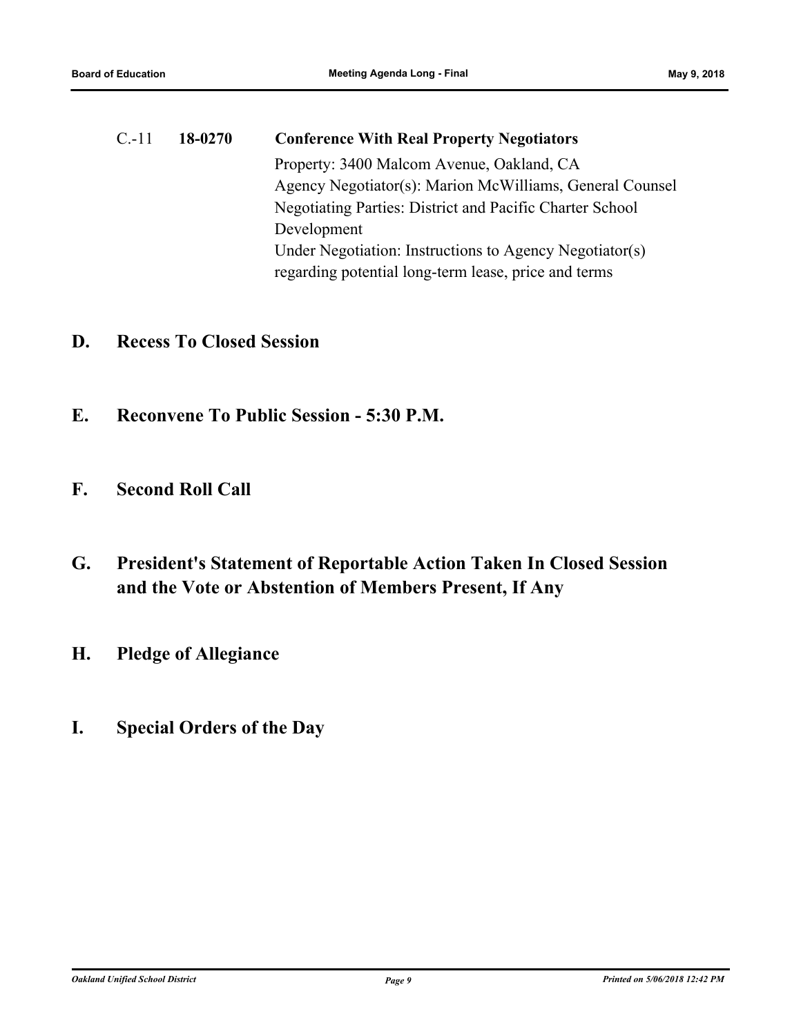# C.-11 **18-0270 Conference With Real Property Negotiators** Property: 3400 Malcom Avenue, Oakland, CA Agency Negotiator(s): Marion McWilliams, General Counsel Negotiating Parties: District and Pacific Charter School Development Under Negotiation: Instructions to Agency Negotiator(s) regarding potential long-term lease, price and terms

# **D. Recess To Closed Session**

- **E. Reconvene To Public Session 5:30 P.M.**
- **F. Second Roll Call**
- **G. President's Statement of Reportable Action Taken In Closed Session and the Vote or Abstention of Members Present, If Any**
- **H. Pledge of Allegiance**
- **I. Special Orders of the Day**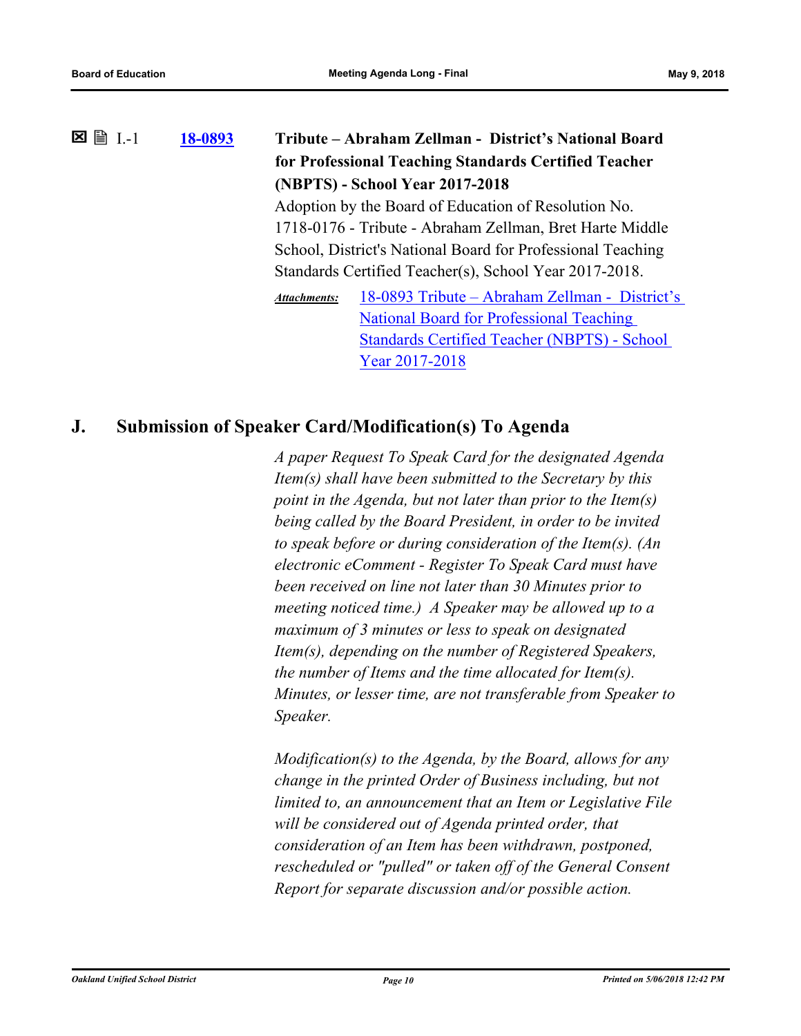| $\exists$ I.-1<br>× | 18-0893 | Tribute – Abraham Zellman - District's National Board |                                                             |  |
|---------------------|---------|-------------------------------------------------------|-------------------------------------------------------------|--|
|                     |         |                                                       | for Professional Teaching Standards Certified Teacher       |  |
|                     |         |                                                       | (NBPTS) - School Year 2017-2018                             |  |
|                     |         | Adoption by the Board of Education of Resolution No.  |                                                             |  |
|                     |         |                                                       | 1718-0176 - Tribute - Abraham Zellman, Bret Harte Middle    |  |
|                     |         |                                                       | School, District's National Board for Professional Teaching |  |
|                     |         |                                                       | Standards Certified Teacher(s), School Year 2017-2018.      |  |
|                     |         | <b>Attachments:</b>                                   | 18-0893 Tribute – Abraham Zellman - District's              |  |
|                     |         |                                                       | <b>National Board for Professional Teaching</b>             |  |
|                     |         |                                                       | <b>Standards Certified Teacher (NBPTS) - School</b>         |  |
|                     |         |                                                       | Year 2017-2018                                              |  |

### **J. Submission of Speaker Card/Modification(s) To Agenda**

*A paper Request To Speak Card for the designated Agenda Item(s) shall have been submitted to the Secretary by this point in the Agenda, but not later than prior to the Item(s) being called by the Board President, in order to be invited to speak before or during consideration of the Item(s). (An electronic eComment - Register To Speak Card must have been received on line not later than 30 Minutes prior to meeting noticed time.) A Speaker may be allowed up to a maximum of 3 minutes or less to speak on designated Item(s), depending on the number of Registered Speakers, the number of Items and the time allocated for Item(s). Minutes, or lesser time, are not transferable from Speaker to Speaker.* 

*Modification(s) to the Agenda, by the Board, allows for any change in the printed Order of Business including, but not limited to, an announcement that an Item or Legislative File will be considered out of Agenda printed order, that consideration of an Item has been withdrawn, postponed, rescheduled or "pulled" or taken off of the General Consent Report for separate discussion and/or possible action.*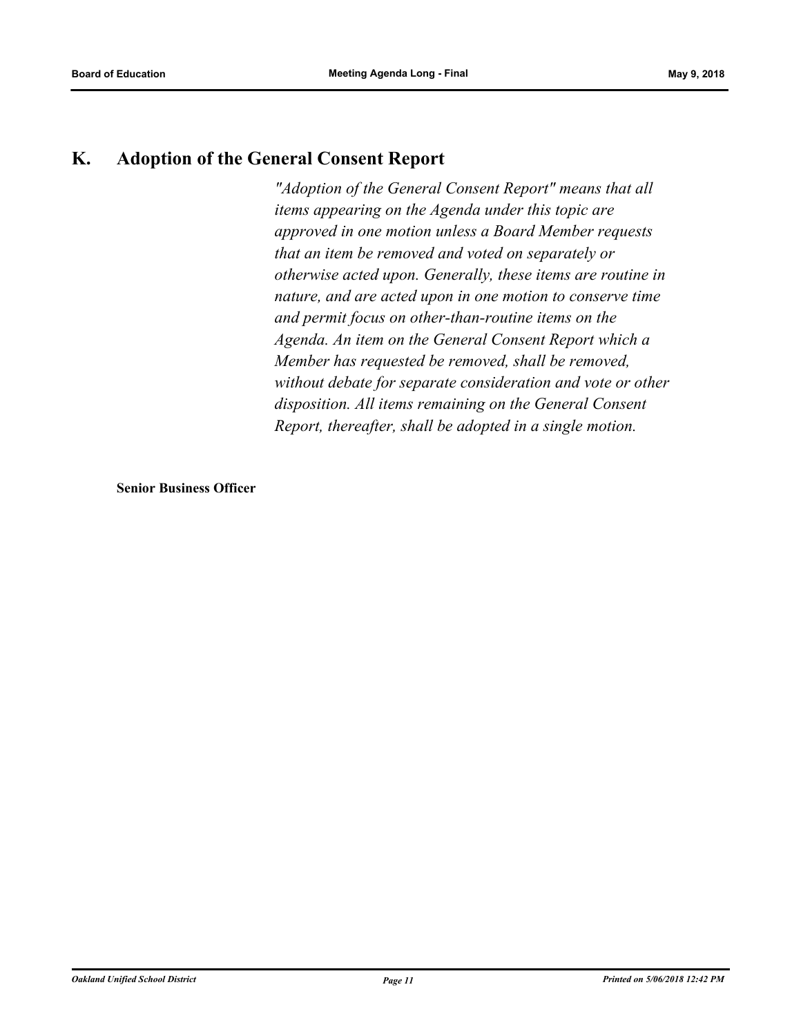# **K. Adoption of the General Consent Report**

*"Adoption of the General Consent Report" means that all items appearing on the Agenda under this topic are approved in one motion unless a Board Member requests that an item be removed and voted on separately or otherwise acted upon. Generally, these items are routine in nature, and are acted upon in one motion to conserve time and permit focus on other‑than‑routine items on the Agenda. An item on the General Consent Report which a Member has requested be removed, shall be removed, without debate for separate consideration and vote or other disposition. All items remaining on the General Consent Report, thereafter, shall be adopted in a single motion.*

**Senior Business Officer**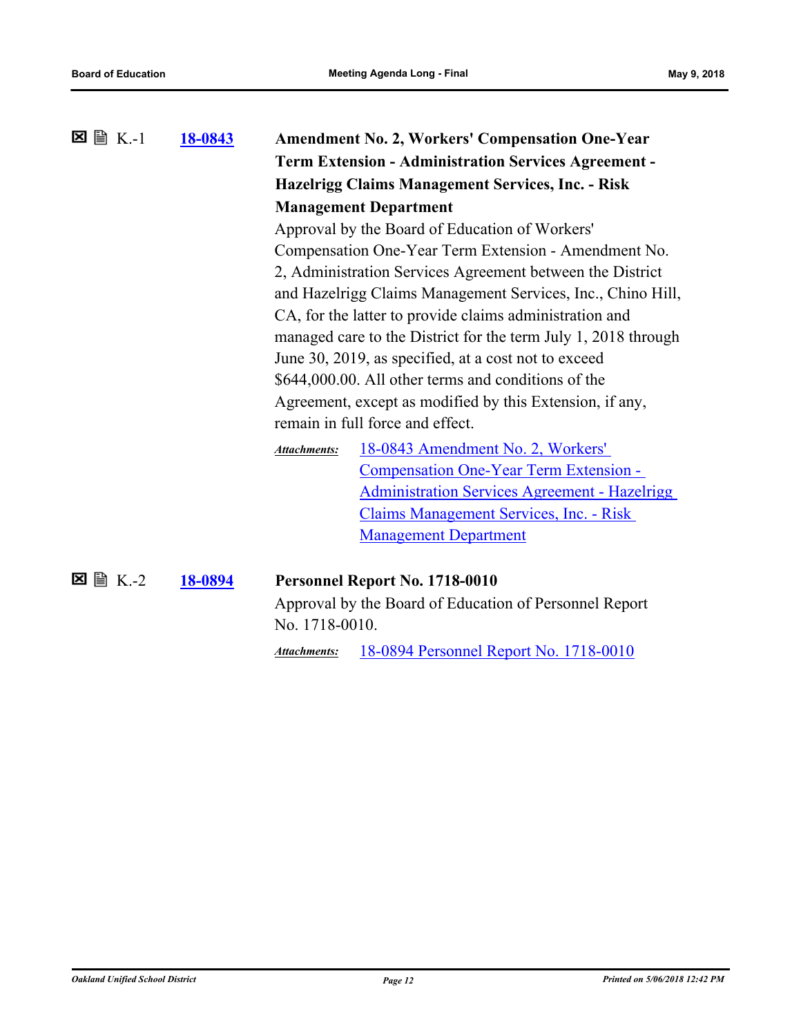| $\boxtimes \cong K-1$ | 18-0843 |                                                             | <b>Amendment No. 2, Workers' Compensation One-Year</b>         |  |
|-----------------------|---------|-------------------------------------------------------------|----------------------------------------------------------------|--|
|                       |         | <b>Term Extension - Administration Services Agreement -</b> |                                                                |  |
|                       |         |                                                             | <b>Hazelrigg Claims Management Services, Inc. - Risk</b>       |  |
|                       |         | <b>Management Department</b>                                |                                                                |  |
|                       |         | Approval by the Board of Education of Workers'              |                                                                |  |
|                       |         | Compensation One-Year Term Extension - Amendment No.        |                                                                |  |
|                       |         |                                                             | 2, Administration Services Agreement between the District      |  |
|                       |         |                                                             | and Hazelrigg Claims Management Services, Inc., Chino Hill,    |  |
|                       |         |                                                             | CA, for the latter to provide claims administration and        |  |
|                       |         |                                                             | managed care to the District for the term July 1, 2018 through |  |
|                       |         | June 30, 2019, as specified, at a cost not to exceed        |                                                                |  |
|                       |         |                                                             | \$644,000.00. All other terms and conditions of the            |  |
|                       |         |                                                             | Agreement, except as modified by this Extension, if any,       |  |
|                       |         | remain in full force and effect.                            |                                                                |  |
|                       |         | <b>Attachments:</b>                                         | 18-0843 Amendment No. 2, Workers'                              |  |
|                       |         |                                                             | Compensation One-Year Term Extension -                         |  |
|                       |         |                                                             | <b>Administration Services Agreement - Hazelrigg</b>           |  |
|                       |         |                                                             | Claims Management Services, Inc. - Risk                        |  |
|                       |         |                                                             | <b>Management Department</b>                                   |  |
|                       |         |                                                             |                                                                |  |
| $\Sigma \cong K-2$    | 18-0894 |                                                             | Personnel Report No. 1718-0010                                 |  |
|                       |         |                                                             | Approval by the Board of Education of Personnel Report         |  |
|                       |         | No. 1718-0010.                                              |                                                                |  |
|                       |         | <b>Attachments:</b>                                         | 18-0894 Personnel Report No. 1718-0010                         |  |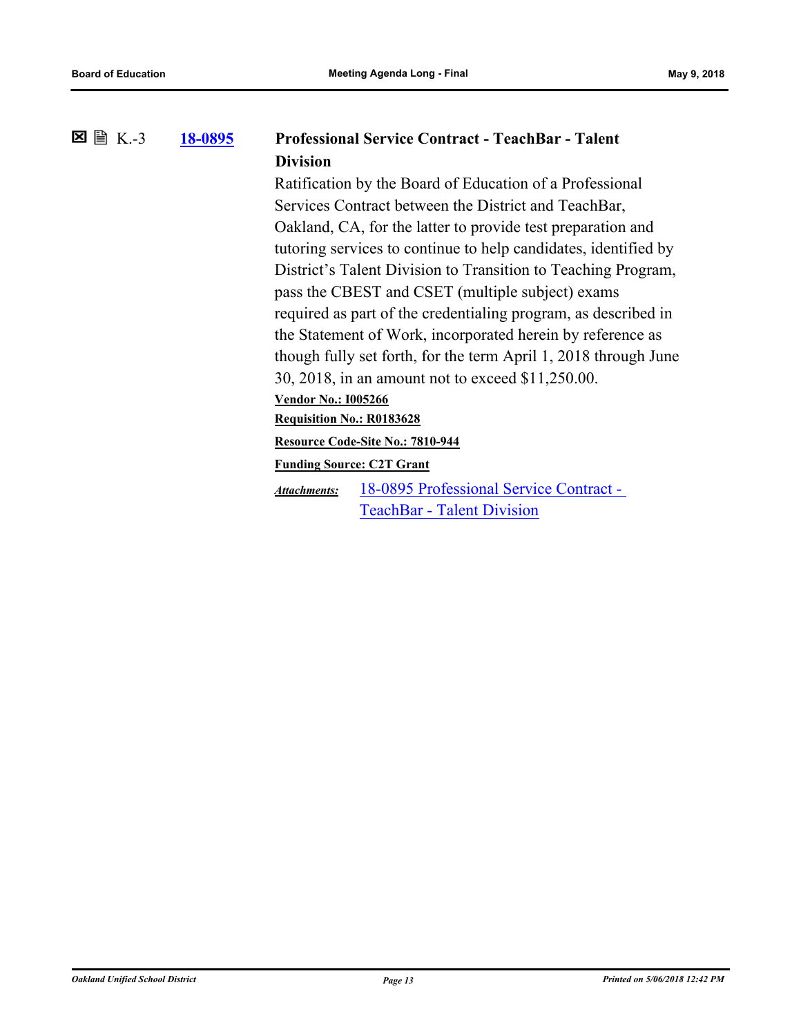#### **[18-0895](http://ousd.legistar.com/gateway.aspx?m=l&id=/matter.aspx?key=43075) Professional Service Contract - TeachBar - Talent Division**  $\Sigma \nightharpoonup K. -3$

Ratification by the Board of Education of a Professional Services Contract between the District and TeachBar, Oakland, CA, for the latter to provide test preparation and tutoring services to continue to help candidates, identified by District's Talent Division to Transition to Teaching Program, pass the CBEST and CSET (multiple subject) exams required as part of the credentialing program, as described in the Statement of Work, incorporated herein by reference as though fully set forth, for the term April 1, 2018 through June 30, 2018, in an amount not to exceed \$11,250.00. **Vendor No.: I005266 Requisition No.: R0183628**

**Resource Code-Site No.: 7810-944**

**Funding Source: C2T Grant**

[18-0895 Professional Service Contract -](http://ousd.legistar.com/gateway.aspx?M=F&ID=88372.pdf)  TeachBar - Talent Division *Attachments:*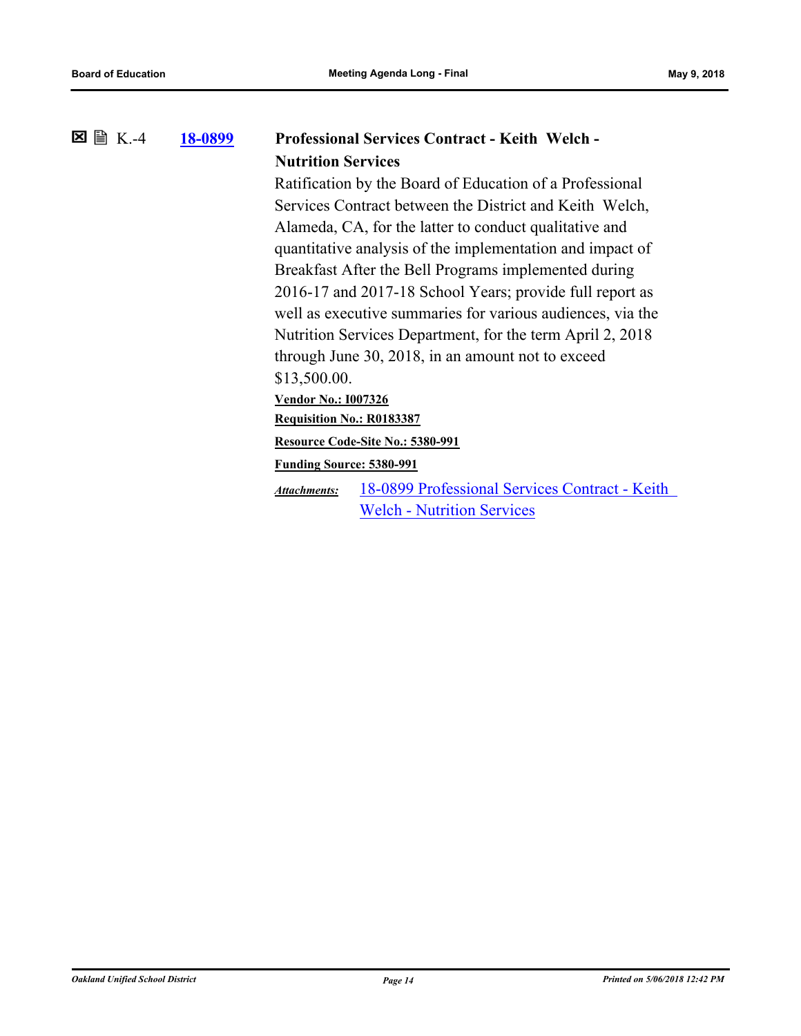#### **[18-0899](http://ousd.legistar.com/gateway.aspx?m=l&id=/matter.aspx?key=43079) Professional Services Contract - Keith Welch - Nutrition Services**  $\Sigma \cong K. -4$

Ratification by the Board of Education of a Professional Services Contract between the District and Keith Welch, Alameda, CA, for the latter to conduct qualitative and quantitative analysis of the implementation and impact of Breakfast After the Bell Programs implemented during 2016-17 and 2017-18 School Years; provide full report as well as executive summaries for various audiences, via the Nutrition Services Department, for the term April 2, 2018 through June 30, 2018, in an amount not to exceed \$13,500.00.

**Vendor No.: I007326**

**Requisition No.: R0183387**

**Resource Code-Site No.: 5380-991**

**Funding Source: 5380-991**

[18-0899 Professional Services Contract - Keith](http://ousd.legistar.com/gateway.aspx?M=F&ID=88373.pdf)  Welch - Nutrition Services *Attachments:*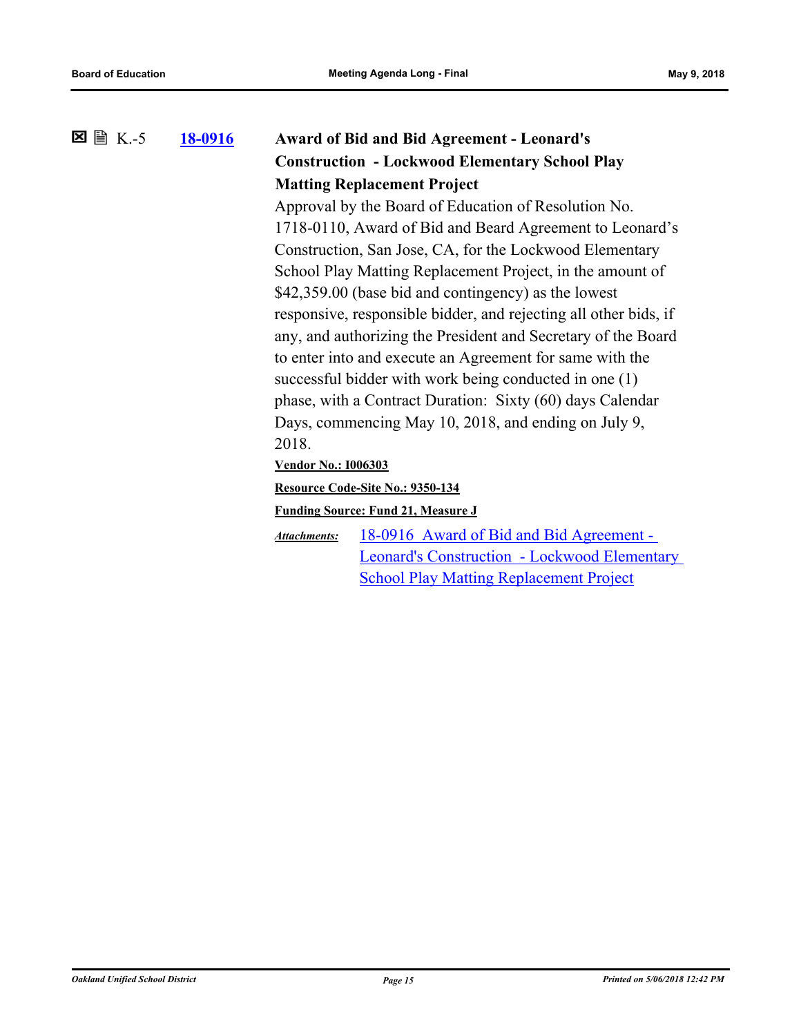### **[18-0916](http://ousd.legistar.com/gateway.aspx?m=l&id=/matter.aspx?key=43096) Award of Bid and Bid Agreement - Leonard's Construction - Lockwood Elementary School Play Matting Replacement Project 区** ■ K.-5

Approval by the Board of Education of Resolution No. 1718-0110, Award of Bid and Beard Agreement to Leonard's Construction, San Jose, CA, for the Lockwood Elementary School Play Matting Replacement Project, in the amount of \$42,359.00 (base bid and contingency) as the lowest responsive, responsible bidder, and rejecting all other bids, if any, and authorizing the President and Secretary of the Board to enter into and execute an Agreement for same with the successful bidder with work being conducted in one (1) phase, with a Contract Duration: Sixty (60) days Calendar Days, commencing May 10, 2018, and ending on July 9, 2018.

**Vendor No.: I006303**

**Resource Code-Site No.: 9350-134**

#### **Funding Source: Fund 21, Measure J**

18-0916 Award of Bid and Bid Agreement - [Leonard's Construction - Lockwood Elementary](http://ousd.legistar.com/gateway.aspx?M=F&ID=88405.pdf)  School Play Matting Replacement Project *Attachments:*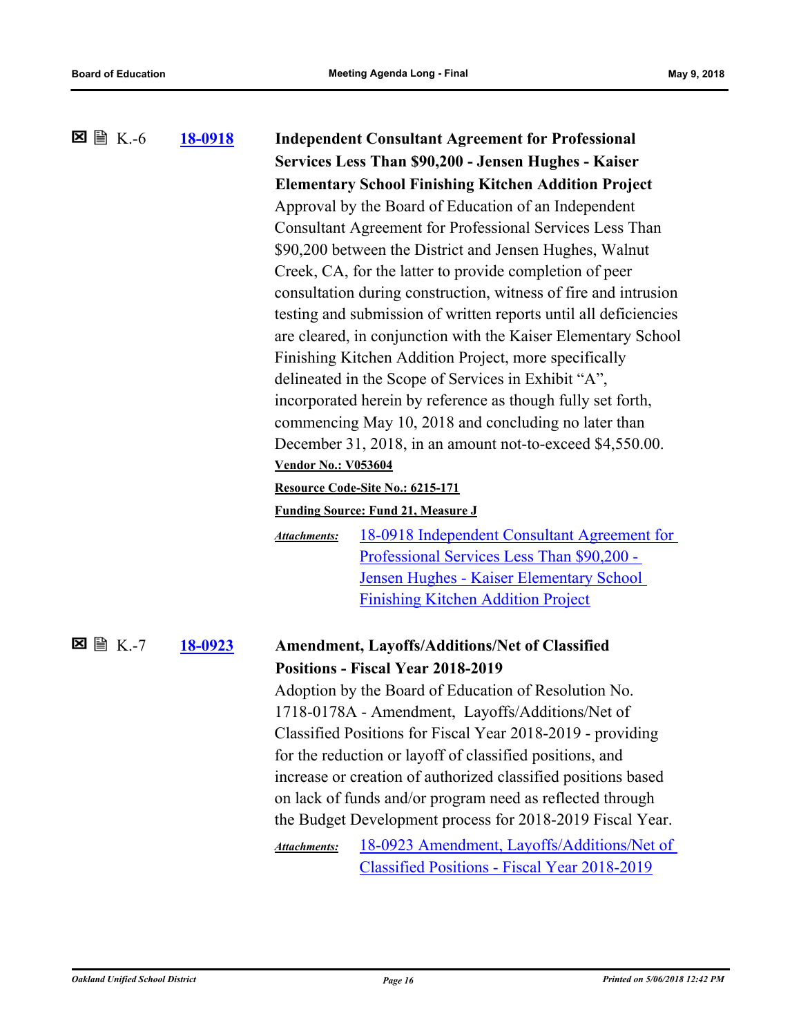| ⊠ 圖 K.-6        | <u>18-0918</u> | <b>Independent Consultant Agreement for Professional</b><br>Services Less Than \$90,200 - Jensen Hughes - Kaiser<br><b>Elementary School Finishing Kitchen Addition Project</b><br>Approval by the Board of Education of an Independent<br>Consultant Agreement for Professional Services Less Than<br>\$90,200 between the District and Jensen Hughes, Walnut<br>Creek, CA, for the latter to provide completion of peer<br>consultation during construction, witness of fire and intrusion<br>testing and submission of written reports until all deficiencies<br>are cleared, in conjunction with the Kaiser Elementary School<br>Finishing Kitchen Addition Project, more specifically<br>delineated in the Scope of Services in Exhibit "A",<br>incorporated herein by reference as though fully set forth,<br>commencing May 10, 2018 and concluding no later than<br>December 31, 2018, in an amount not-to-exceed \$4,550.00.<br><b>Vendor No.: V053604</b><br>Resource Code-Site No.: 6215-171<br><b>Funding Source: Fund 21, Measure J</b><br>18-0918 Independent Consultant Agreement for<br><b>Attachments:</b><br>Professional Services Less Than \$90,200 -<br>Jensen Hughes - Kaiser Elementary School<br><b>Finishing Kitchen Addition Project</b> |
|-----------------|----------------|--------------------------------------------------------------------------------------------------------------------------------------------------------------------------------------------------------------------------------------------------------------------------------------------------------------------------------------------------------------------------------------------------------------------------------------------------------------------------------------------------------------------------------------------------------------------------------------------------------------------------------------------------------------------------------------------------------------------------------------------------------------------------------------------------------------------------------------------------------------------------------------------------------------------------------------------------------------------------------------------------------------------------------------------------------------------------------------------------------------------------------------------------------------------------------------------------------------------------------------------------------------------|
| <b>⊠</b> 圖 K.-7 | 18-0923        | <b>Amendment, Layoffs/Additions/Net of Classified</b><br><b>Positions - Fiscal Year 2018-2019</b><br>Adoption by the Board of Education of Resolution No.<br>1718-0178A - Amendment, Layoffs/Additions/Net of<br>Classified Positions for Fiscal Year 2018-2019 - providing<br>for the reduction or layoff of classified positions, and<br>increase or creation of authorized classified positions based<br>on lack of funds and/or program need as reflected through<br>the Budget Development process for 2018-2019 Fiscal Year.<br>18-0923 Amendment, Layoffs/Additions/Net of<br><b>Attachments:</b><br>Classified Positions - Fiscal Year 2018-2019                                                                                                                                                                                                                                                                                                                                                                                                                                                                                                                                                                                                           |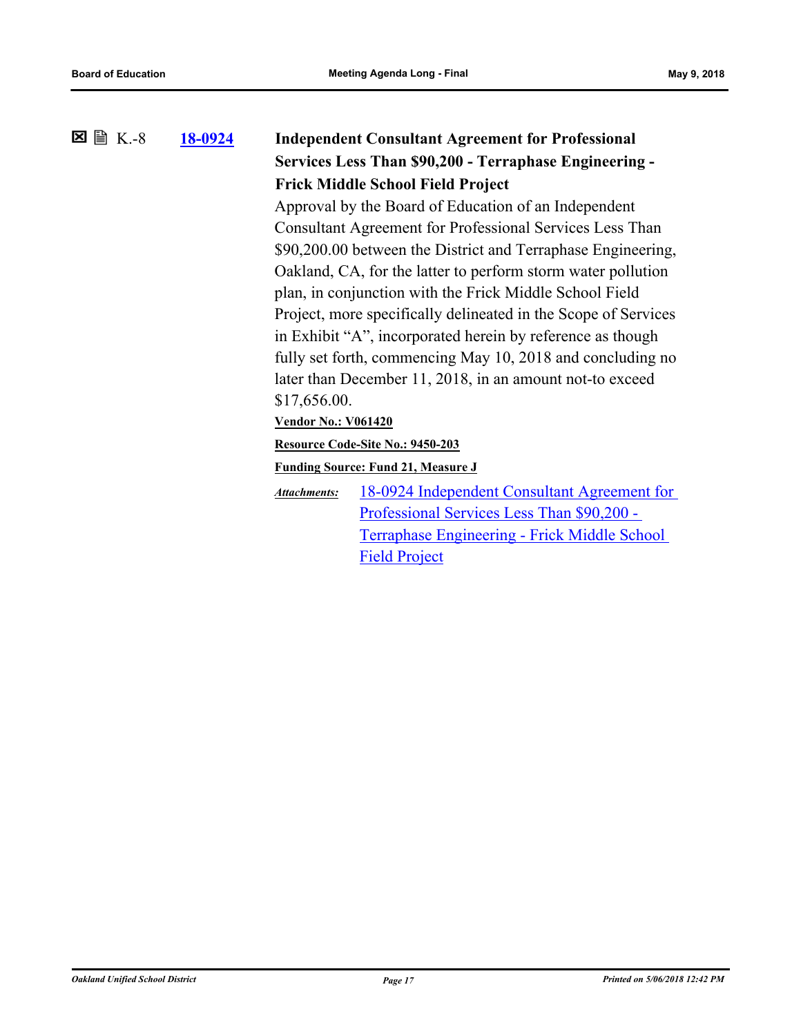### **[18-0924](http://ousd.legistar.com/gateway.aspx?m=l&id=/matter.aspx?key=43104) Independent Consultant Agreement for Professional Services Less Than \$90,200 - Terraphase Engineering - Frick Middle School Field Project 区** 图 K.-8

Approval by the Board of Education of an Independent Consultant Agreement for Professional Services Less Than \$90,200.00 between the District and Terraphase Engineering, Oakland, CA, for the latter to perform storm water pollution plan, in conjunction with the Frick Middle School Field Project, more specifically delineated in the Scope of Services in Exhibit "A", incorporated herein by reference as though fully set forth, commencing May 10, 2018 and concluding no later than December 11, 2018, in an amount not-to exceed \$17,656.00.

### **Vendor No.: V061420**

#### **Resource Code-Site No.: 9450-203**

**Funding Source: Fund 21, Measure J**

[18-0924 Independent Consultant Agreement for](http://ousd.legistar.com/gateway.aspx?M=F&ID=88409.pdf)  Professional Services Less Than \$90,200 - Terraphase Engineering - Frick Middle School Field Project *Attachments:*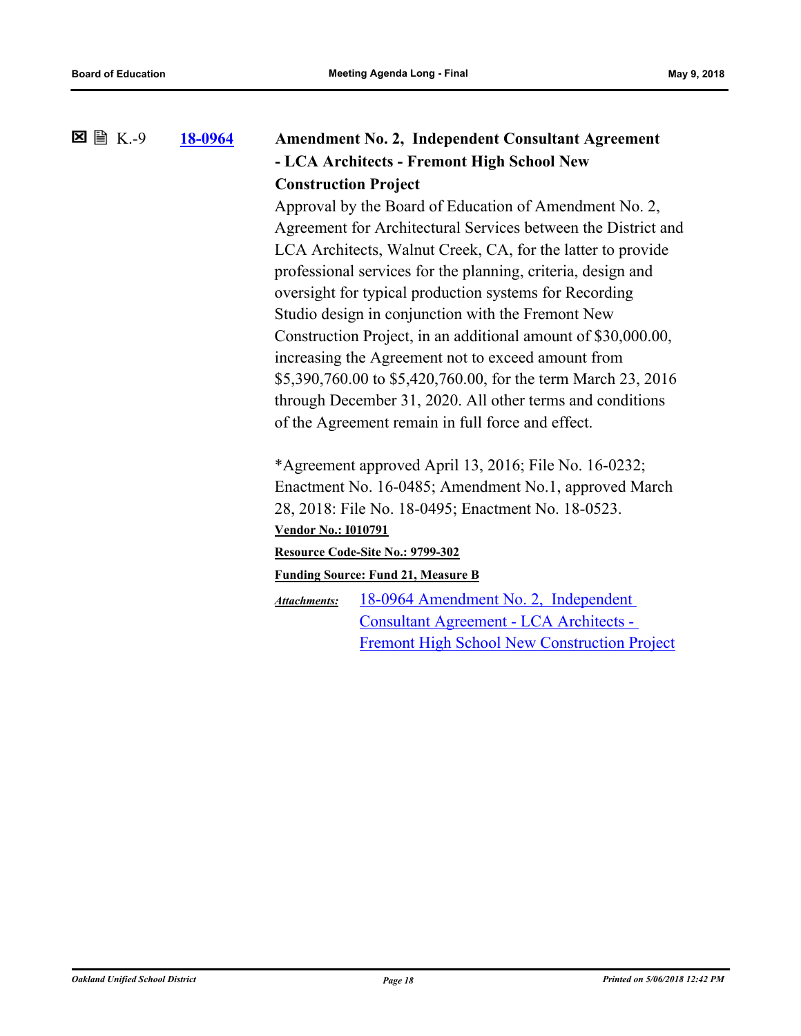**[18-0964](http://ousd.legistar.com/gateway.aspx?m=l&id=/matter.aspx?key=43144) Amendment No. 2, Independent Consultant Agreement - LCA Architects - Fremont High School New Construction Project**  $\Sigma \cong K. -9$ 

> Approval by the Board of Education of Amendment No. 2, Agreement for Architectural Services between the District and LCA Architects, Walnut Creek, CA, for the latter to provide professional services for the planning, criteria, design and oversight for typical production systems for Recording Studio design in conjunction with the Fremont New Construction Project, in an additional amount of \$30,000.00, increasing the Agreement not to exceed amount from \$5,390,760.00 to \$5,420,760.00, for the term March 23, 2016 through December 31, 2020. All other terms and conditions of the Agreement remain in full force and effect.

\*Agreement approved April 13, 2016; File No. 16-0232; Enactment No. 16-0485; Amendment No.1, approved March 28, 2018: File No. 18-0495; Enactment No. 18-0523. **Vendor No.: I010791**

# **Resource Code-Site No.: 9799-302**

**Funding Source: Fund 21, Measure B**

18-0964 Amendment No. 2, Independent Consultant Agreement - LCA Architects - [Fremont High School New Construction Project](http://ousd.legistar.com/gateway.aspx?M=F&ID=88408.pdf) *Attachments:*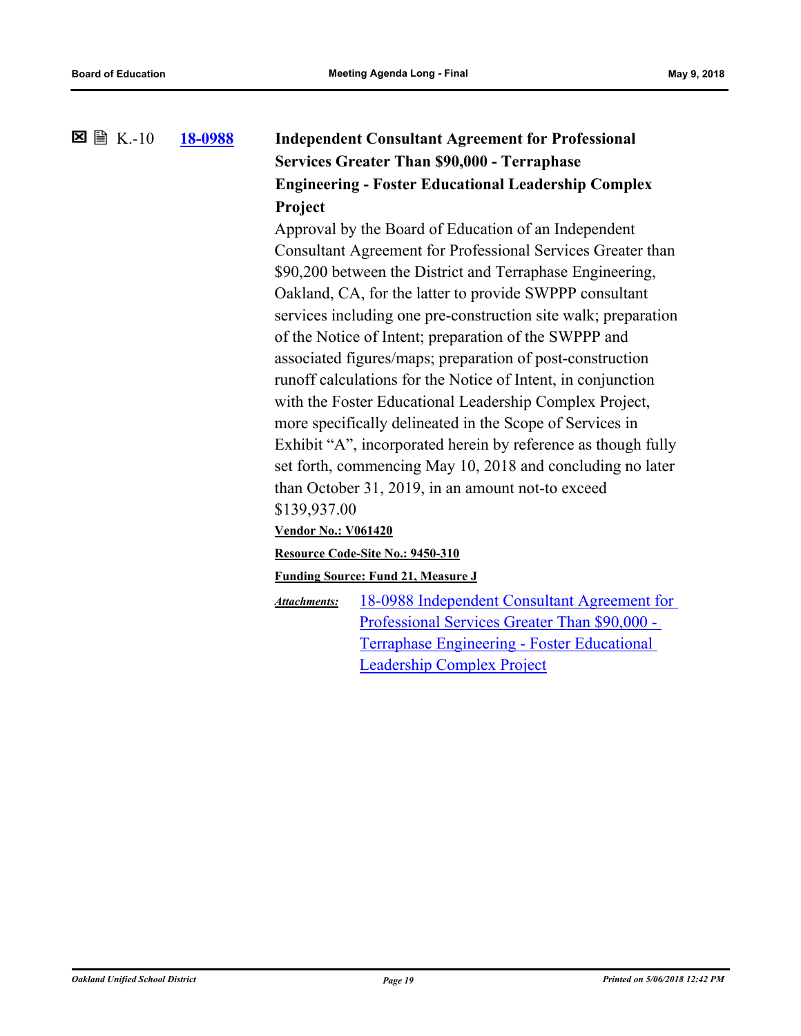### **[18-0988](http://ousd.legistar.com/gateway.aspx?m=l&id=/matter.aspx?key=43168) Independent Consultant Agreement for Professional Services Greater Than \$90,000 - Terraphase Engineering - Foster Educational Leadership Complex Project**  $\boxtimes \cong K-10$

Approval by the Board of Education of an Independent Consultant Agreement for Professional Services Greater than \$90,200 between the District and Terraphase Engineering, Oakland, CA, for the latter to provide SWPPP consultant services including one pre-construction site walk; preparation of the Notice of Intent; preparation of the SWPPP and associated figures/maps; preparation of post-construction runoff calculations for the Notice of Intent, in conjunction with the Foster Educational Leadership Complex Project, more specifically delineated in the Scope of Services in Exhibit "A", incorporated herein by reference as though fully set forth, commencing May 10, 2018 and concluding no later than October 31, 2019, in an amount not-to exceed \$139,937.00

**Vendor No.: V061420**

**Resource Code-Site No.: 9450-310**

**Funding Source: Fund 21, Measure J**

[18-0988 Independent Consultant Agreement for](http://ousd.legistar.com/gateway.aspx?M=F&ID=88486.pdf)  Professional Services Greater Than \$90,000 - Terraphase Engineering - Foster Educational Leadership Complex Project *Attachments:*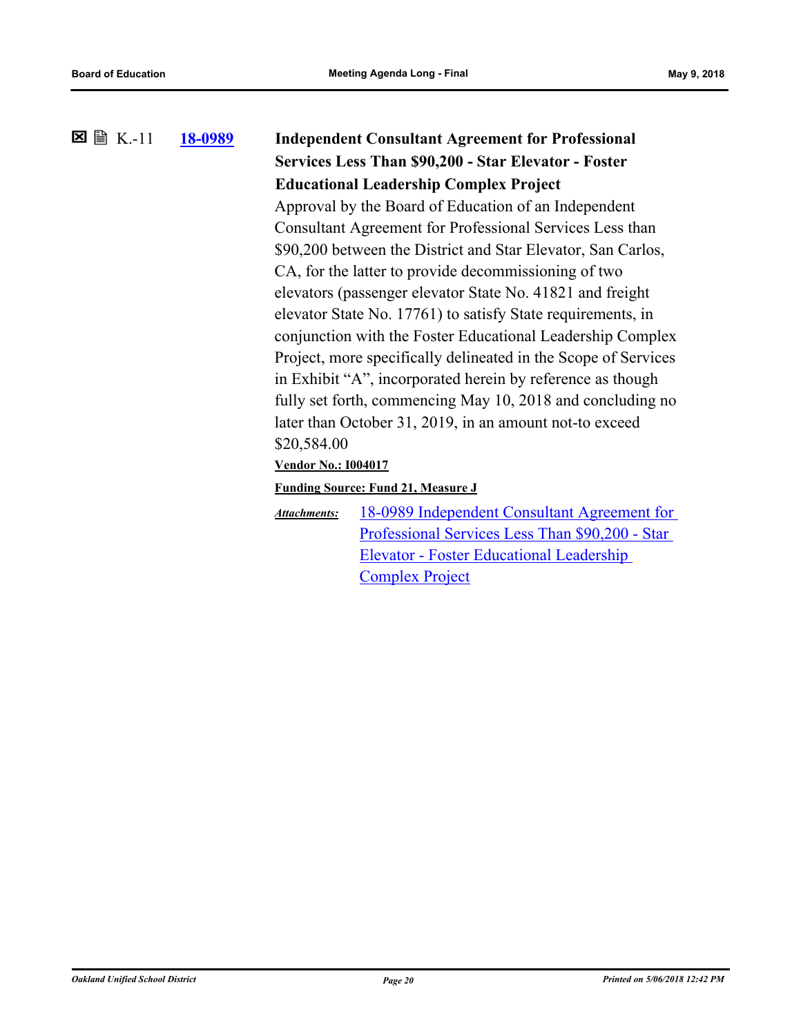# **[18-0989](http://ousd.legistar.com/gateway.aspx?m=l&id=/matter.aspx?key=43169) Independent Consultant Agreement for Professional Services Less Than \$90,200 - Star Elevator - Foster Educational Leadership Complex Project** K.-11 Approval by the Board of Education of an Independent Consultant Agreement for Professional Services Less than

\$90,200 between the District and Star Elevator, San Carlos, CA, for the latter to provide decommissioning of two elevators (passenger elevator State No. 41821 and freight elevator State No. 17761) to satisfy State requirements, in conjunction with the Foster Educational Leadership Complex Project, more specifically delineated in the Scope of Services in Exhibit "A", incorporated herein by reference as though fully set forth, commencing May 10, 2018 and concluding no later than October 31, 2019, in an amount not-to exceed \$20,584.00

**Vendor No.: I004017**

### **Funding Source: Fund 21, Measure J**

[18-0989 Independent Consultant Agreement for](http://ousd.legistar.com/gateway.aspx?M=F&ID=88487.pdf)  Professional Services Less Than \$90,200 - Star Elevator - Foster Educational Leadership Complex Project *Attachments:*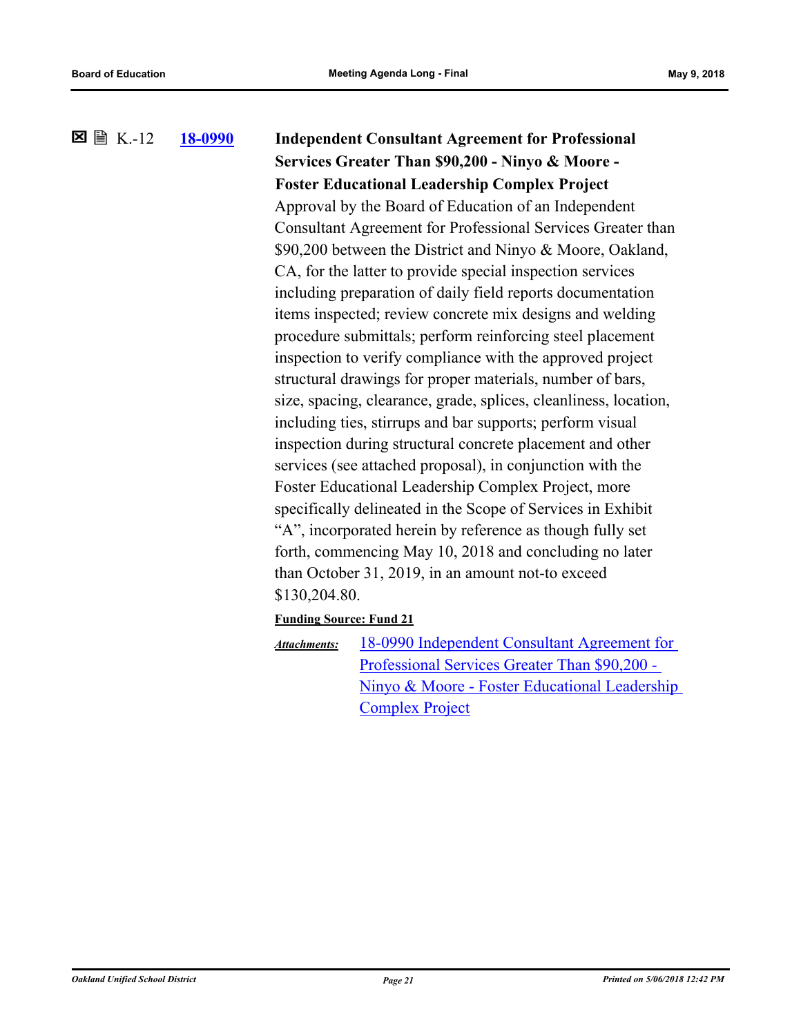## **[18-0990](http://ousd.legistar.com/gateway.aspx?m=l&id=/matter.aspx?key=43170) Independent Consultant Agreement for Professional Services Greater Than \$90,200 - Ninyo & Moore - Foster Educational Leadership Complex Project**  $\boxtimes$   $\boxplus$  K.-12 Approval by the Board of Education of an Independent Consultant Agreement for Professional Services Greater than \$90,200 between the District and Ninyo & Moore, Oakland, CA, for the latter to provide special inspection services including preparation of daily field reports documentation items inspected; review concrete mix designs and welding procedure submittals; perform reinforcing steel placement inspection to verify compliance with the approved project structural drawings for proper materials, number of bars, size, spacing, clearance, grade, splices, cleanliness, location, including ties, stirrups and bar supports; perform visual inspection during structural concrete placement and other services (see attached proposal), in conjunction with the Foster Educational Leadership Complex Project, more specifically delineated in the Scope of Services in Exhibit "A", incorporated herein by reference as though fully set forth, commencing May 10, 2018 and concluding no later than October 31, 2019, in an amount not-to exceed \$130,204.80. **Funding Source: Fund 21** 18-0990 Independent Consultant Agreement for Professional Services Greater Than \$90,200 - [Ninyo & Moore - Foster Educational Leadership](http://ousd.legistar.com/gateway.aspx?M=F&ID=88491.pdf)  *Attachments:*

Complex Project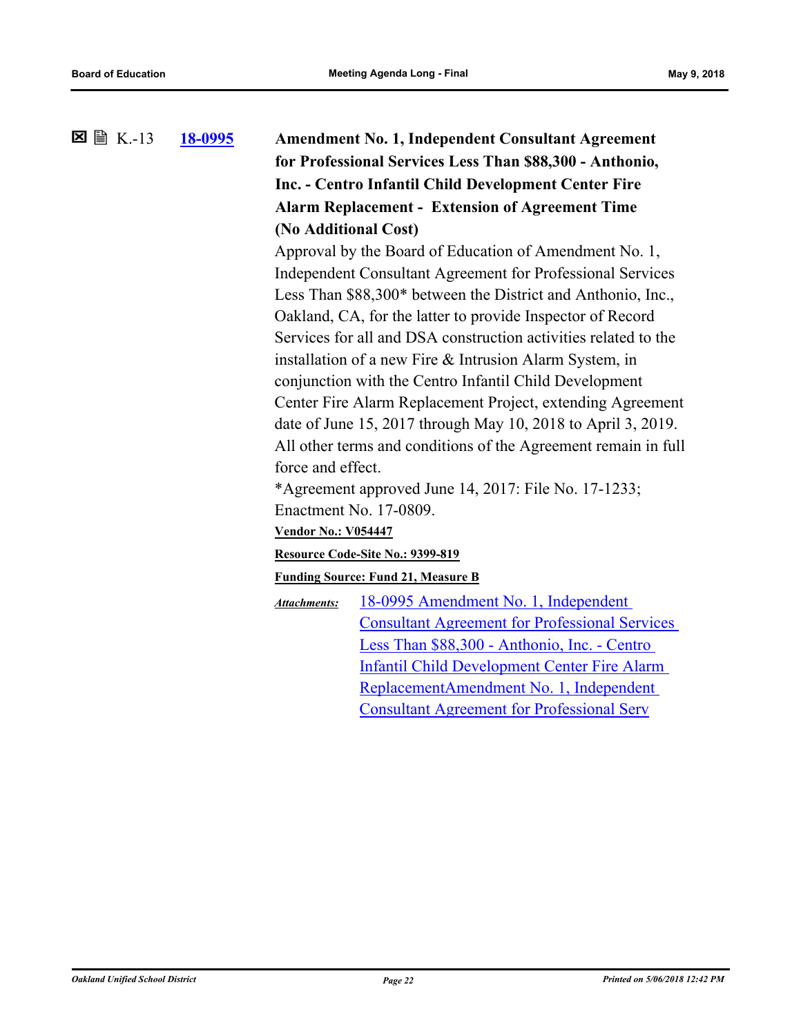**[18-0995](http://ousd.legistar.com/gateway.aspx?m=l&id=/matter.aspx?key=43175) Amendment No. 1, Independent Consultant Agreement for Professional Services Less Than \$88,300 - Anthonio, Inc. - Centro Infantil Child Development Center Fire Alarm Replacement - Extension of Agreement Time (No Additional Cost)**  $\Sigma \cong K-13$ Approval by the Board of Education of Amendment No. 1,

Independent Consultant Agreement for Professional Services Less Than \$88,300\* between the District and Anthonio, Inc., Oakland, CA, for the latter to provide Inspector of Record Services for all and DSA construction activities related to the installation of a new Fire & Intrusion Alarm System, in conjunction with the Centro Infantil Child Development Center Fire Alarm Replacement Project, extending Agreement date of June 15, 2017 through May 10, 2018 to April 3, 2019. All other terms and conditions of the Agreement remain in full force and effect.

\*Agreement approved June 14, 2017: File No. 17-1233; Enactment No. 17-0809.

**Vendor No.: V054447**

#### **Resource Code-Site No.: 9399-819**

**Funding Source: Fund 21, Measure B**

18-0995 Amendment No. 1, Independent [Consultant Agreement for Professional Services](http://ousd.legistar.com/gateway.aspx?M=F&ID=88488.pdf)  Less Than \$88,300 - Anthonio, Inc. - Centro Infantil Child Development Center Fire Alarm ReplacementAmendment No. 1, Independent Consultant Agreement for Professional Serv *Attachments:*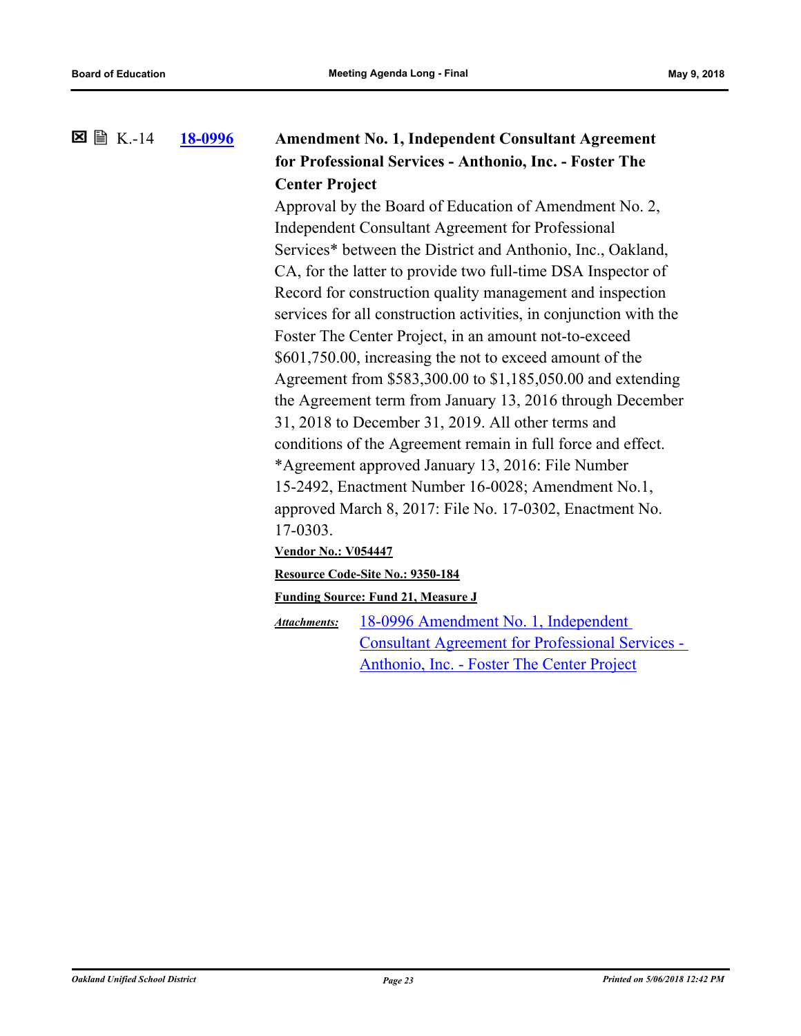### **[18-0996](http://ousd.legistar.com/gateway.aspx?m=l&id=/matter.aspx?key=43176) Amendment No. 1, Independent Consultant Agreement for Professional Services - Anthonio, Inc. - Foster The Center Project**  $\Sigma \cong K-14$

Approval by the Board of Education of Amendment No. 2, Independent Consultant Agreement for Professional Services\* between the District and Anthonio, Inc., Oakland, CA, for the latter to provide two full-time DSA Inspector of Record for construction quality management and inspection services for all construction activities, in conjunction with the Foster The Center Project, in an amount not-to-exceed \$601,750.00, increasing the not to exceed amount of the Agreement from \$583,300.00 to \$1,185,050.00 and extending the Agreement term from January 13, 2016 through December 31, 2018 to December 31, 2019. All other terms and conditions of the Agreement remain in full force and effect. \*Agreement approved January 13, 2016: File Number 15-2492, Enactment Number 16-0028; Amendment No.1, approved March 8, 2017: File No. 17-0302, Enactment No. 17-0303.

#### **Vendor No.: V054447**

#### **Resource Code-Site No.: 9350-184**

#### **Funding Source: Fund 21, Measure J**

18-0996 Amendment No. 1, Independent [Consultant Agreement for Professional Services -](http://ousd.legistar.com/gateway.aspx?M=F&ID=88489.pdf)  Anthonio, Inc. - Foster The Center Project *Attachments:*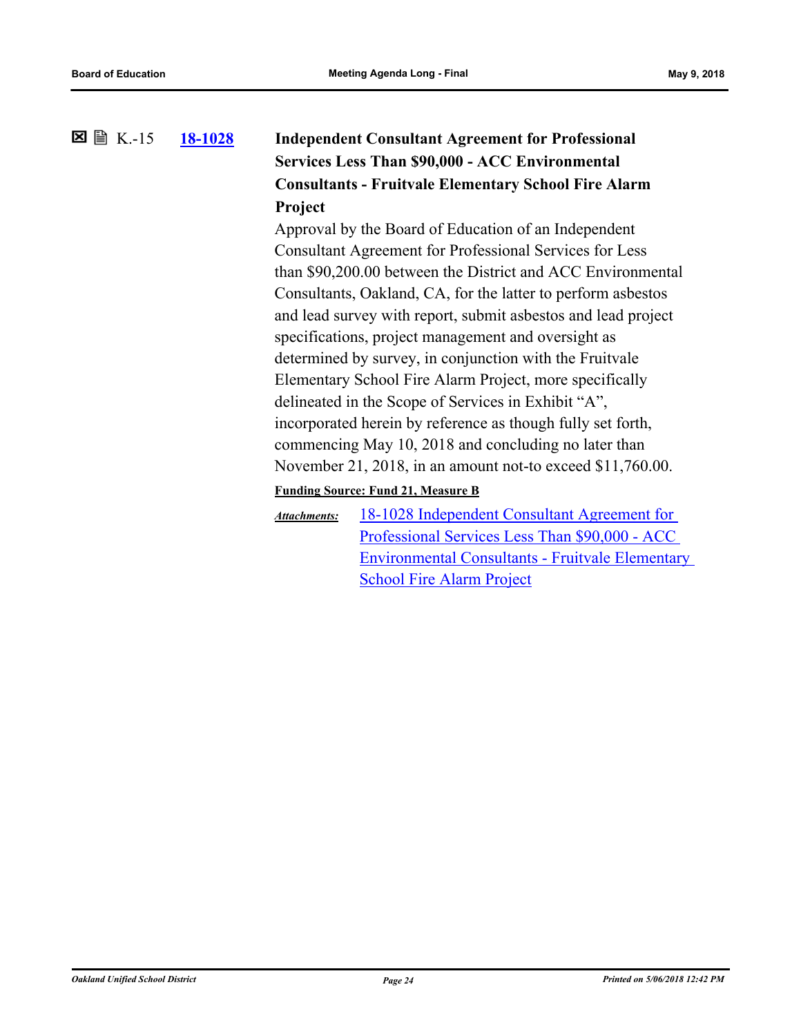### **[18-1028](http://ousd.legistar.com/gateway.aspx?m=l&id=/matter.aspx?key=43208) Independent Consultant Agreement for Professional Services Less Than \$90,000 - ACC Environmental Consultants - Fruitvale Elementary School Fire Alarm Project**  $\Sigma \cong K-15$

Approval by the Board of Education of an Independent Consultant Agreement for Professional Services for Less than \$90,200.00 between the District and ACC Environmental Consultants, Oakland, CA, for the latter to perform asbestos and lead survey with report, submit asbestos and lead project specifications, project management and oversight as determined by survey, in conjunction with the Fruitvale Elementary School Fire Alarm Project, more specifically delineated in the Scope of Services in Exhibit "A", incorporated herein by reference as though fully set forth, commencing May 10, 2018 and concluding no later than November 21, 2018, in an amount not-to exceed \$11,760.00.

### **Funding Source: Fund 21, Measure B**

18-1028 Independent Consultant Agreement for Professional Services Less Than \$90,000 - ACC [Environmental Consultants - Fruitvale Elementary](http://ousd.legistar.com/gateway.aspx?M=F&ID=6c48cbf3-eff8-4a52-8570-1e238c87b9e7.pdf)  School Fire Alarm Project *Attachments:*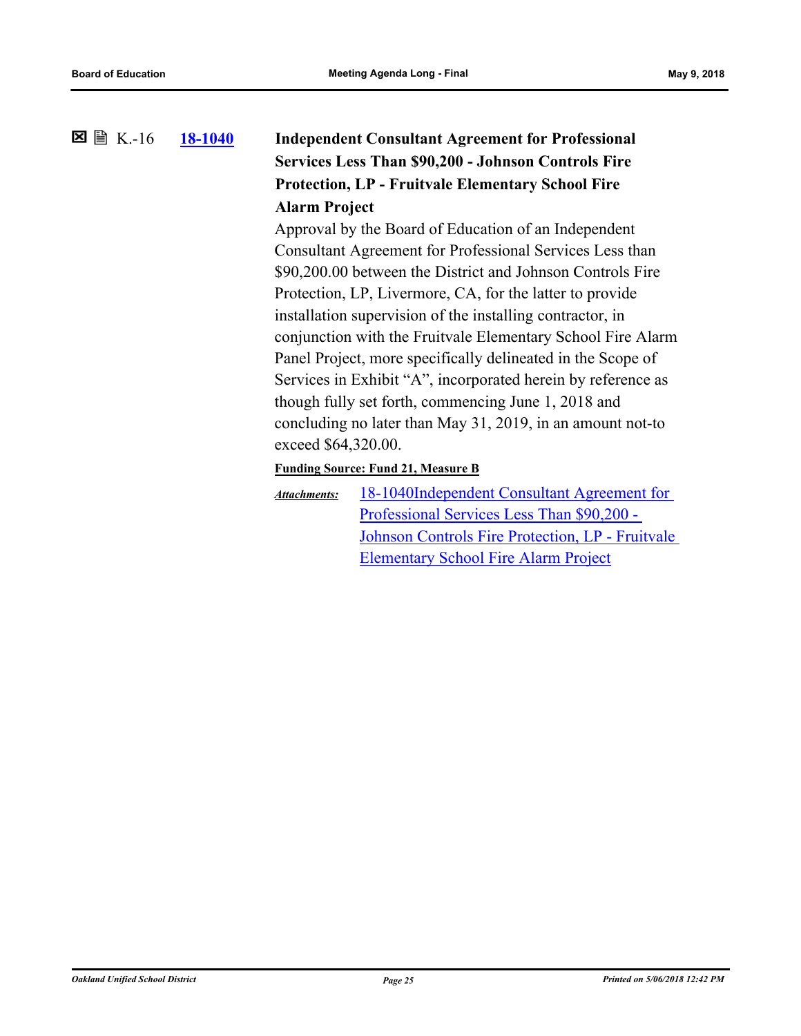### **[18-1040](http://ousd.legistar.com/gateway.aspx?m=l&id=/matter.aspx?key=43220) Independent Consultant Agreement for Professional Services Less Than \$90,200 - Johnson Controls Fire Protection, LP - Fruitvale Elementary School Fire Alarm Project 図 圖 K.-16**

Approval by the Board of Education of an Independent Consultant Agreement for Professional Services Less than \$90,200.00 between the District and Johnson Controls Fire Protection, LP, Livermore, CA, for the latter to provide installation supervision of the installing contractor, in conjunction with the Fruitvale Elementary School Fire Alarm Panel Project, more specifically delineated in the Scope of Services in Exhibit "A", incorporated herein by reference as though fully set forth, commencing June 1, 2018 and concluding no later than May 31, 2019, in an amount not-to exceed \$64,320.00.

**Funding Source: Fund 21, Measure B**

18-1040Independent Consultant Agreement for Professional Services Less Than \$90,200 - [Johnson Controls Fire Protection, LP - Fruitvale](http://ousd.legistar.com/gateway.aspx?M=F&ID=e8f66a88-ef79-4752-a9cd-3165991f537c.pdf)  Elementary School Fire Alarm Project *Attachments:*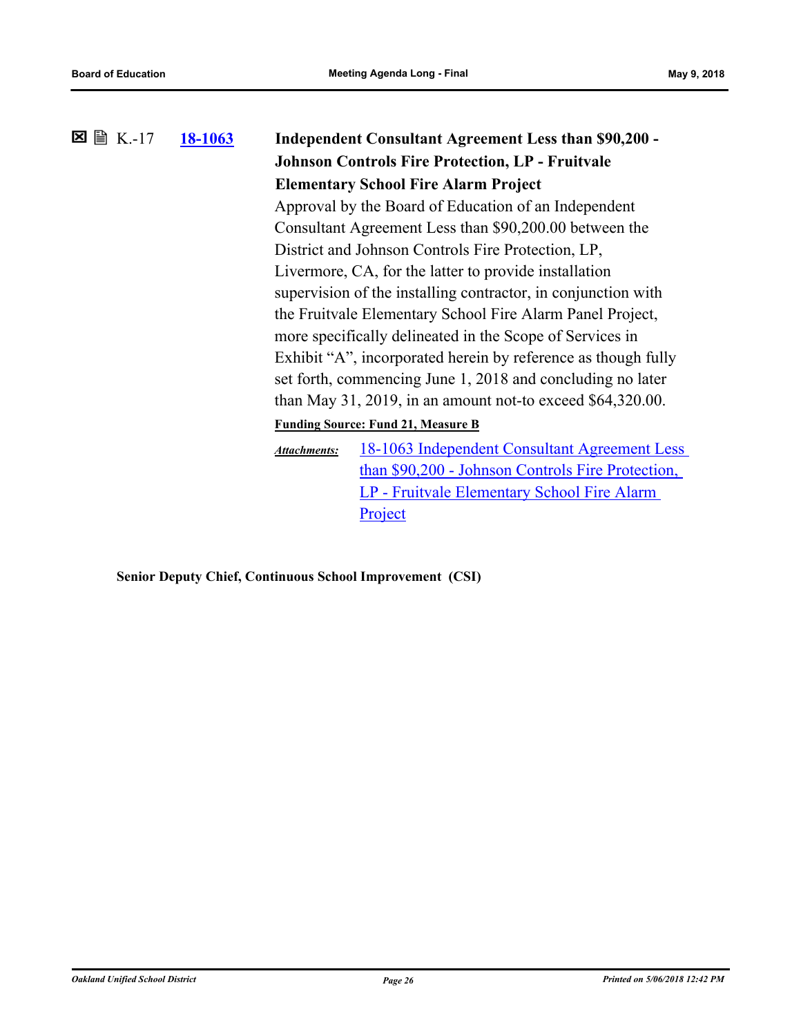| $\boxtimes$ $\cong$ K.-17 | 18-1063 | <b>Independent Consultant Agreement Less than \$90,200 -</b><br><b>Johnson Controls Fire Protection, LP - Fruitvale</b><br><b>Elementary School Fire Alarm Project</b><br>Approval by the Board of Education of an Independent<br>Consultant Agreement Less than \$90,200.00 between the<br>District and Johnson Controls Fire Protection, LP, |                                                                                                                                                                                                                                                                                                                                                                                                                                                |  |
|---------------------------|---------|------------------------------------------------------------------------------------------------------------------------------------------------------------------------------------------------------------------------------------------------------------------------------------------------------------------------------------------------|------------------------------------------------------------------------------------------------------------------------------------------------------------------------------------------------------------------------------------------------------------------------------------------------------------------------------------------------------------------------------------------------------------------------------------------------|--|
|                           |         |                                                                                                                                                                                                                                                                                                                                                | Livermore, CA, for the latter to provide installation<br>supervision of the installing contractor, in conjunction with<br>the Fruitvale Elementary School Fire Alarm Panel Project,<br>more specifically delineated in the Scope of Services in<br>Exhibit "A", incorporated herein by reference as though fully<br>set forth, commencing June 1, 2018 and concluding no later<br>than May 31, 2019, in an amount not-to exceed $$64,320.00$ . |  |
|                           |         |                                                                                                                                                                                                                                                                                                                                                | <b>Funding Source: Fund 21, Measure B</b>                                                                                                                                                                                                                                                                                                                                                                                                      |  |
|                           |         | <b>Attachments:</b>                                                                                                                                                                                                                                                                                                                            | 18-1063 Independent Consultant Agreement Less<br>than \$90,200 - Johnson Controls Fire Protection,<br>LP - Fruitvale Elementary School Fire Alarm<br>Project                                                                                                                                                                                                                                                                                   |  |

**Senior Deputy Chief, Continuous School Improvement (CSI)**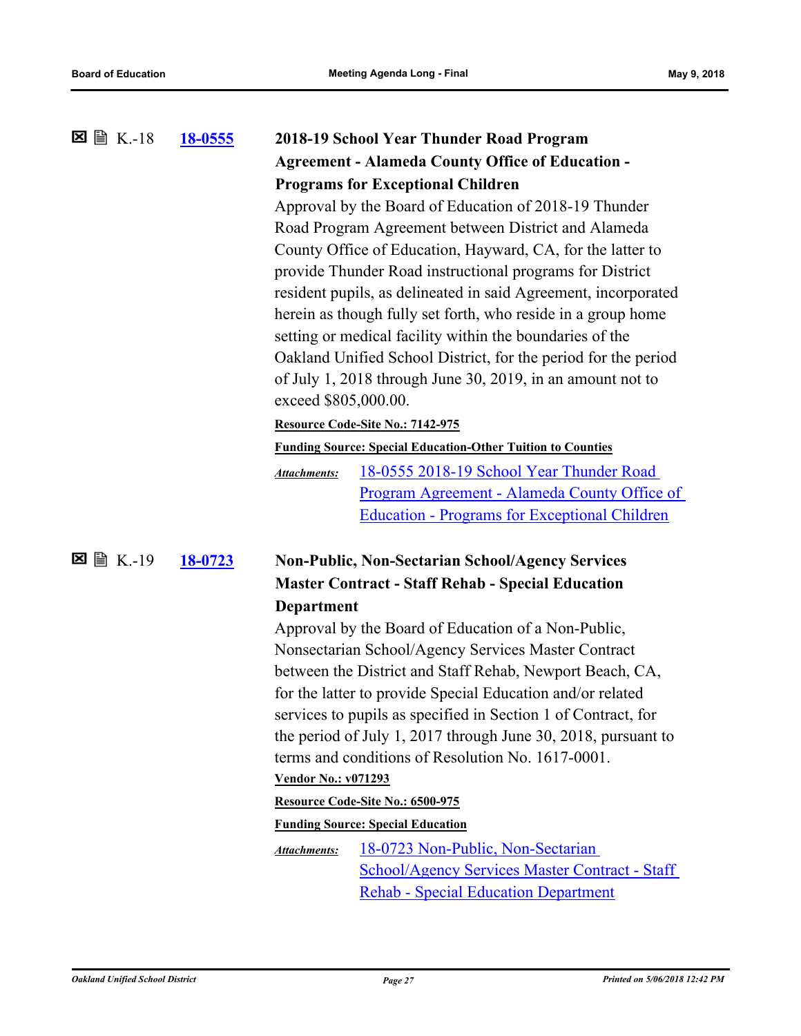| ⊠ 圖 K.-18    | 18-0555 |                                                                                                                                | 2018-19 School Year Thunder Road Program                           |  |
|--------------|---------|--------------------------------------------------------------------------------------------------------------------------------|--------------------------------------------------------------------|--|
|              |         |                                                                                                                                | <b>Agreement - Alameda County Office of Education -</b>            |  |
|              |         | <b>Programs for Exceptional Children</b>                                                                                       |                                                                    |  |
|              |         | Approval by the Board of Education of 2018-19 Thunder                                                                          |                                                                    |  |
|              |         |                                                                                                                                | Road Program Agreement between District and Alameda                |  |
|              |         |                                                                                                                                | County Office of Education, Hayward, CA, for the latter to         |  |
|              |         |                                                                                                                                | provide Thunder Road instructional programs for District           |  |
|              |         | resident pupils, as delineated in said Agreement, incorporated<br>herein as though fully set forth, who reside in a group home |                                                                    |  |
|              |         |                                                                                                                                |                                                                    |  |
|              |         | setting or medical facility within the boundaries of the                                                                       |                                                                    |  |
|              |         |                                                                                                                                | Oakland Unified School District, for the period for the period     |  |
|              |         |                                                                                                                                | of July 1, 2018 through June 30, 2019, in an amount not to         |  |
|              |         | exceed \$805,000.00.                                                                                                           |                                                                    |  |
|              |         |                                                                                                                                | Resource Code-Site No.: 7142-975                                   |  |
|              |         |                                                                                                                                | <b>Funding Source: Special Education-Other Tuition to Counties</b> |  |
|              |         | <b>Attachments:</b>                                                                                                            | 18-0555 2018-19 School Year Thunder Road                           |  |
|              |         |                                                                                                                                | Program Agreement - Alameda County Office of                       |  |
|              |         |                                                                                                                                | <b>Education - Programs for Exceptional Children</b>               |  |
| ⊠<br>A K.-19 | 18-0723 |                                                                                                                                | <b>Non-Public, Non-Sectarian School/Agency Services</b>            |  |
|              |         |                                                                                                                                | <b>Master Contract - Staff Rehab - Special Education</b>           |  |
|              |         | <b>Department</b>                                                                                                              |                                                                    |  |
|              |         |                                                                                                                                | Approval by the Board of Education of a Non-Public,                |  |
|              |         |                                                                                                                                | Nonsectarian School/Agency Services Master Contract                |  |
|              |         |                                                                                                                                | between the District and Staff Rehab, Newport Beach, CA,           |  |
|              |         |                                                                                                                                | for the latter to provide Special Education and/or related         |  |
|              |         |                                                                                                                                | services to pupils as specified in Section 1 of Contract, for      |  |
|              |         |                                                                                                                                | the period of July 1, 2017 through June 30, 2018, pursuant to      |  |
|              |         |                                                                                                                                | terms and conditions of Resolution No. 1617-0001.                  |  |
|              |         | <b>Vendor No.: v071293</b>                                                                                                     |                                                                    |  |
|              |         |                                                                                                                                | Resource Code-Site No.: 6500-975                                   |  |
|              |         |                                                                                                                                | <b>Funding Source: Special Education</b>                           |  |
|              |         | <b>Attachments:</b>                                                                                                            | 18-0723 Non-Public, Non-Sectarian                                  |  |
|              |         |                                                                                                                                | <b>School/Agency Services Master Contract - Staff</b>              |  |
|              |         |                                                                                                                                | <b>Rehab - Special Education Department</b>                        |  |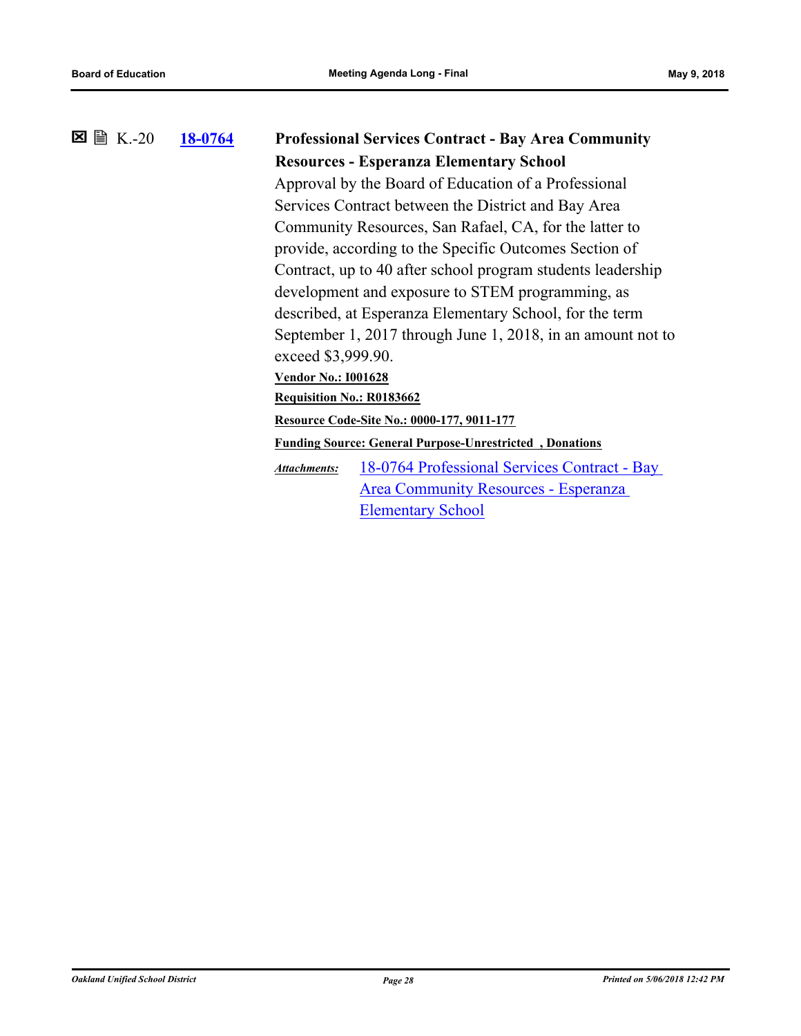### **[18-0764](http://ousd.legistar.com/gateway.aspx?m=l&id=/matter.aspx?key=42944) Professional Services Contract - Bay Area Community Resources - Esperanza Elementary School**  $\boxtimes$  A K .-20 Approval by the Board of Education of a Professional Services Contract between the District and Bay Area Community Resources, San Rafael, CA, for the latter to

provide, according to the Specific Outcomes Section of Contract, up to 40 after school program students leadership development and exposure to STEM programming, as described, at Esperanza Elementary School, for the term September 1, 2017 through June 1, 2018, in an amount not to exceed \$3,999.90.

**Vendor No.: I001628**

**Requisition No.: R0183662**

**Resource Code-Site No.: 0000-177, 9011-177**

**Funding Source: General Purpose-Unrestricted , Donations**

[18-0764 Professional Services Contract - Bay](http://ousd.legistar.com/gateway.aspx?M=F&ID=88492.pdf)  Area Community Resources - Esperanza Elementary School *Attachments:*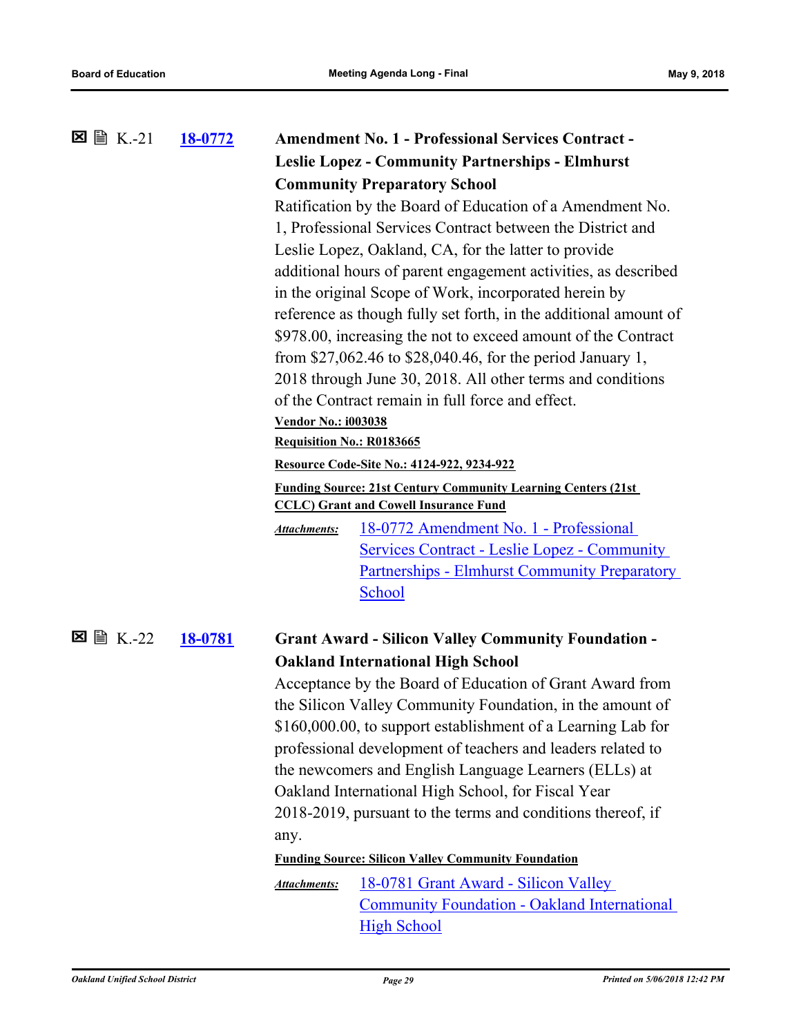| $\boxtimes \cong K.-21$ | 18-0772 |                                                       | <b>Amendment No. 1 - Professional Services Contract -</b>                                                            |  |
|-------------------------|---------|-------------------------------------------------------|----------------------------------------------------------------------------------------------------------------------|--|
|                         |         |                                                       | <b>Leslie Lopez - Community Partnerships - Elmhurst</b>                                                              |  |
|                         |         |                                                       | <b>Community Preparatory School</b>                                                                                  |  |
|                         |         |                                                       | Ratification by the Board of Education of a Amendment No.                                                            |  |
|                         |         |                                                       | 1, Professional Services Contract between the District and                                                           |  |
|                         |         |                                                       | Leslie Lopez, Oakland, CA, for the latter to provide                                                                 |  |
|                         |         |                                                       | additional hours of parent engagement activities, as described                                                       |  |
|                         |         | in the original Scope of Work, incorporated herein by |                                                                                                                      |  |
|                         |         |                                                       | reference as though fully set forth, in the additional amount of                                                     |  |
|                         |         |                                                       | \$978.00, increasing the not to exceed amount of the Contract                                                        |  |
|                         |         |                                                       | from \$27,062.46 to \$28,040.46, for the period January 1,                                                           |  |
|                         |         |                                                       | 2018 through June 30, 2018. All other terms and conditions                                                           |  |
|                         |         |                                                       | of the Contract remain in full force and effect.                                                                     |  |
|                         |         | <b>Vendor No.: i003038</b>                            |                                                                                                                      |  |
|                         |         | Requisition No.: R0183665                             |                                                                                                                      |  |
|                         |         |                                                       | Resource Code-Site No.: 4124-922, 9234-922                                                                           |  |
|                         |         |                                                       | <b>Funding Source: 21st Century Community Learning Centers (21st</b><br><b>CCLC)</b> Grant and Cowell Insurance Fund |  |
|                         |         | Attachments:                                          | <u> 18-0772 Amendment No. 1 - Professional</u>                                                                       |  |
|                         |         |                                                       | <b>Services Contract - Leslie Lopez - Community</b>                                                                  |  |
|                         |         |                                                       | <b>Partnerships - Elmhurst Community Preparatory</b>                                                                 |  |
|                         |         |                                                       | School                                                                                                               |  |
|                         |         |                                                       |                                                                                                                      |  |
|                         | 18-0781 |                                                       | <b>Grant Award - Silicon Valley Community Foundation -</b>                                                           |  |
|                         |         |                                                       | <b>Oakland International High School</b>                                                                             |  |
|                         |         |                                                       | Acceptance by the Board of Education of Grant Award from                                                             |  |
|                         |         |                                                       | the Silicon Valley Community Foundation, in the amount of                                                            |  |
|                         |         |                                                       | \$160,000.00, to support establishment of a Learning Lab for                                                         |  |
|                         |         |                                                       | professional development of teachers and leaders related to                                                          |  |
|                         |         |                                                       | the newcomers and English Language Learners (ELLs) at                                                                |  |
|                         |         |                                                       | Oakland International High School, for Fiscal Year                                                                   |  |
|                         |         |                                                       | 2018-2019, pursuant to the terms and conditions thereof, if                                                          |  |
|                         |         | any.                                                  |                                                                                                                      |  |
|                         |         |                                                       | <b>Funding Source: Silicon Valley Community Foundation</b>                                                           |  |
|                         |         | Attachments:                                          | 18-0781 Grant Award - Silicon Valley                                                                                 |  |
|                         |         |                                                       | <b>Community Foundation - Oakland International</b>                                                                  |  |
|                         |         |                                                       | <b>High School</b>                                                                                                   |  |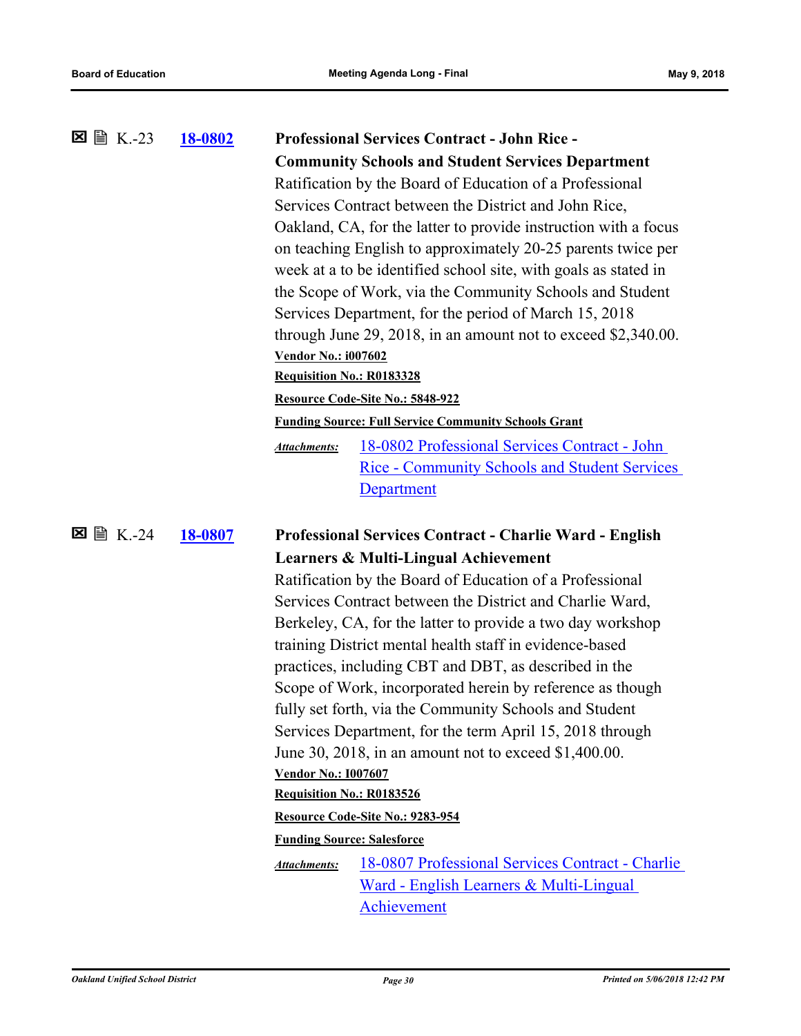| <b>⊠ ■ K.-23</b> | <b>18-0802</b> | <b>Professional Services Contract - John Rice -</b>                  |  |  |
|------------------|----------------|----------------------------------------------------------------------|--|--|
|                  |                | <b>Community Schools and Student Services Department</b>             |  |  |
|                  |                | Ratification by the Board of Education of a Professional             |  |  |
|                  |                | Services Contract between the District and John Rice,                |  |  |
|                  |                | Oakland, CA, for the latter to provide instruction with a focus      |  |  |
|                  |                | on teaching English to approximately 20-25 parents twice per         |  |  |
|                  |                | week at a to be identified school site, with goals as stated in      |  |  |
|                  |                | the Scope of Work, via the Community Schools and Student             |  |  |
|                  |                | Services Department, for the period of March 15, 2018                |  |  |
|                  |                | through June 29, 2018, in an amount not to exceed $$2,340.00$ .      |  |  |
|                  |                | <b>Vendor No.: i007602</b>                                           |  |  |
|                  |                | <b>Requisition No.: R0183328</b>                                     |  |  |
|                  |                | Resource Code-Site No.: 5848-922                                     |  |  |
|                  |                | <b>Funding Source: Full Service Community Schools Grant</b>          |  |  |
|                  |                | 18-0802 Professional Services Contract - John<br><b>Attachments:</b> |  |  |
|                  |                | <b>Rice - Community Schools and Student Services</b>                 |  |  |
|                  |                | <b>Department</b>                                                    |  |  |
|                  |                |                                                                      |  |  |
|                  |                |                                                                      |  |  |
| A K.-24<br>×     | 18-0807        | <b>Professional Services Contract - Charlie Ward - English</b>       |  |  |
|                  |                | <b>Learners &amp; Multi-Lingual Achievement</b>                      |  |  |
|                  |                | Ratification by the Board of Education of a Professional             |  |  |
|                  |                | Services Contract between the District and Charlie Ward,             |  |  |
|                  |                | Berkeley, CA, for the latter to provide a two day workshop           |  |  |
|                  |                | training District mental health staff in evidence-based              |  |  |
|                  |                | practices, including CBT and DBT, as described in the                |  |  |
|                  |                | Scope of Work, incorporated herein by reference as though            |  |  |
|                  |                | fully set forth, via the Community Schools and Student               |  |  |
|                  |                | Services Department, for the term April 15, 2018 through             |  |  |
|                  |                | June 30, 2018, in an amount not to exceed \$1,400.00.                |  |  |
|                  |                | <b>Vendor No.: 1007607</b>                                           |  |  |
|                  |                | Requisition No.: R0183526                                            |  |  |
|                  |                | Resource Code-Site No.: 9283-954                                     |  |  |
|                  |                | <b>Funding Source: Salesforce</b>                                    |  |  |
|                  |                | 18-0807 Professional Services Contract - Charlie<br>Attachments:     |  |  |
|                  |                | Ward - English Learners & Multi-Lingual                              |  |  |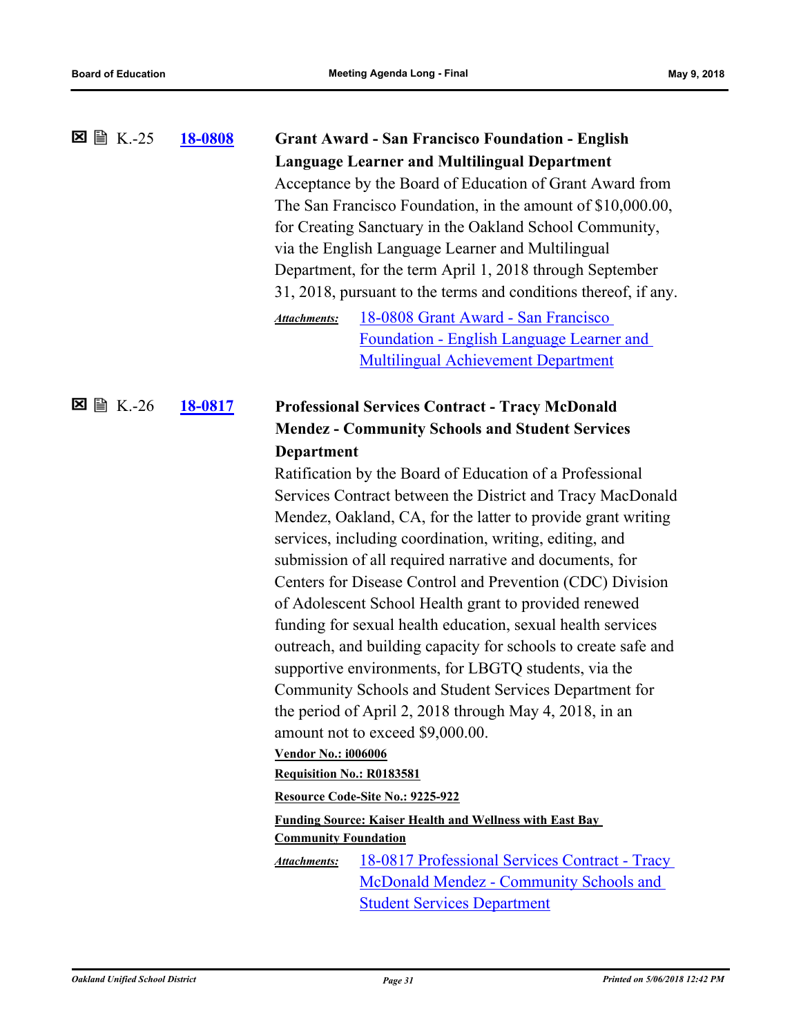|                         | 18-0808 | <b>Grant Award - San Francisco Foundation - English</b>                                                                 |                                                                 |  |
|-------------------------|---------|-------------------------------------------------------------------------------------------------------------------------|-----------------------------------------------------------------|--|
|                         |         |                                                                                                                         | <b>Language Learner and Multilingual Department</b>             |  |
|                         |         |                                                                                                                         | Acceptance by the Board of Education of Grant Award from        |  |
|                         |         |                                                                                                                         | The San Francisco Foundation, in the amount of \$10,000.00,     |  |
|                         |         |                                                                                                                         | for Creating Sanctuary in the Oakland School Community,         |  |
|                         |         |                                                                                                                         | via the English Language Learner and Multilingual               |  |
|                         |         |                                                                                                                         | Department, for the term April 1, 2018 through September        |  |
|                         |         |                                                                                                                         | 31, 2018, pursuant to the terms and conditions thereof, if any. |  |
|                         |         | <b>Attachments:</b>                                                                                                     | 18-0808 Grant Award - San Francisco                             |  |
|                         |         |                                                                                                                         | Foundation - English Language Learner and                       |  |
|                         |         |                                                                                                                         | <b>Multilingual Achievement Department</b>                      |  |
| $\boxtimes \cong K.-26$ |         |                                                                                                                         |                                                                 |  |
|                         | 18-0817 |                                                                                                                         | <b>Professional Services Contract - Tracy McDonald</b>          |  |
|                         |         |                                                                                                                         | <b>Mendez - Community Schools and Student Services</b>          |  |
|                         |         | <b>Department</b>                                                                                                       |                                                                 |  |
|                         |         |                                                                                                                         | Ratification by the Board of Education of a Professional        |  |
|                         |         | Services Contract between the District and Tracy MacDonald                                                              |                                                                 |  |
|                         |         | Mendez, Oakland, CA, for the latter to provide grant writing<br>services, including coordination, writing, editing, and |                                                                 |  |
|                         |         |                                                                                                                         |                                                                 |  |
|                         |         | submission of all required narrative and documents, for                                                                 |                                                                 |  |
|                         |         | Centers for Disease Control and Prevention (CDC) Division                                                               |                                                                 |  |
|                         |         | of Adolescent School Health grant to provided renewed                                                                   |                                                                 |  |
|                         |         | funding for sexual health education, sexual health services                                                             |                                                                 |  |
|                         |         | outreach, and building capacity for schools to create safe and                                                          |                                                                 |  |
|                         |         |                                                                                                                         | supportive environments, for LBGTQ students, via the            |  |
|                         |         |                                                                                                                         | Community Schools and Student Services Department for           |  |
|                         |         |                                                                                                                         | the period of April 2, 2018 through May 4, 2018, in an          |  |
|                         |         |                                                                                                                         | amount not to exceed \$9,000.00.                                |  |
|                         |         | <b>Vendor No.: i006006</b>                                                                                              |                                                                 |  |
|                         |         | Requisition No.: R0183581                                                                                               |                                                                 |  |
|                         |         |                                                                                                                         | Resource Code-Site No.: 9225-922                                |  |
|                         |         | <b>Community Foundation</b>                                                                                             | <b>Funding Source: Kaiser Health and Wellness with East Bay</b> |  |
|                         |         |                                                                                                                         | 18-0817 Professional Services Contract - Tracy                  |  |
|                         |         | <b>Attachments:</b>                                                                                                     | McDonald Mendez - Community Schools and                         |  |
|                         |         |                                                                                                                         | <b>Student Services Department</b>                              |  |
|                         |         |                                                                                                                         |                                                                 |  |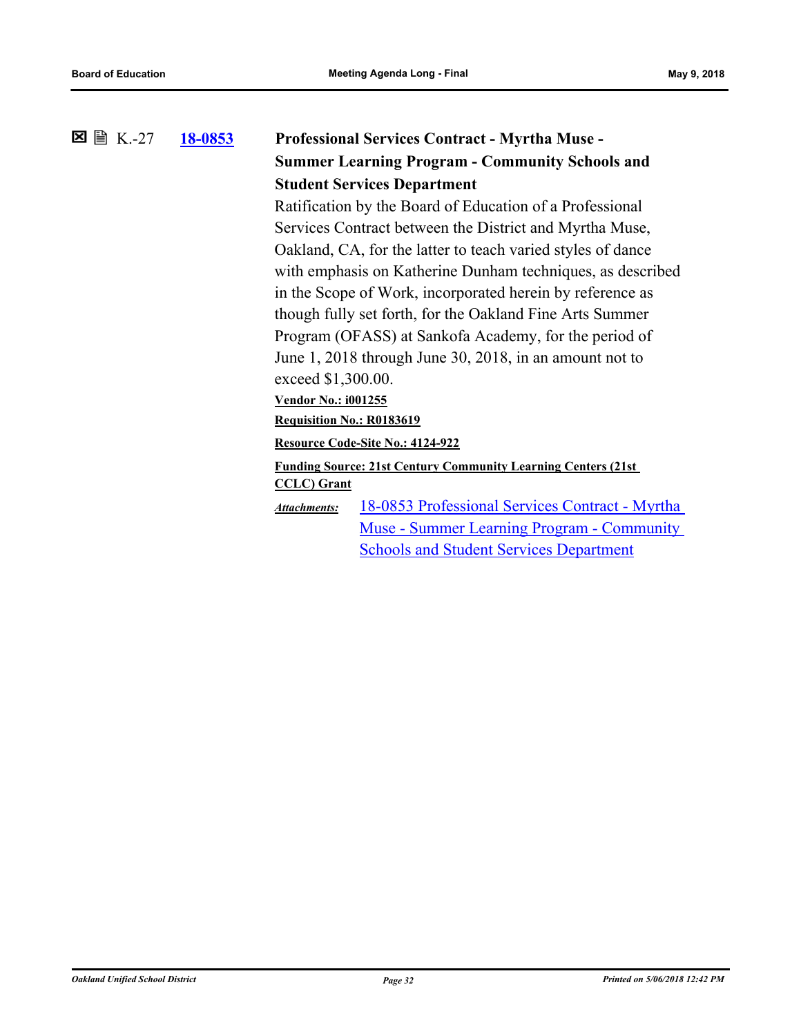### **[18-0853](http://ousd.legistar.com/gateway.aspx?m=l&id=/matter.aspx?key=43033) Professional Services Contract - Myrtha Muse - Summer Learning Program - Community Schools and Student Services Department**  $\Sigma \cong K-27$

Ratification by the Board of Education of a Professional Services Contract between the District and Myrtha Muse, Oakland, CA, for the latter to teach varied styles of dance with emphasis on Katherine Dunham techniques, as described in the Scope of Work, incorporated herein by reference as though fully set forth, for the Oakland Fine Arts Summer Program (OFASS) at Sankofa Academy, for the period of June 1, 2018 through June 30, 2018, in an amount not to exceed \$1,300.00.

**Vendor No.: i001255**

**Requisition No.: R0183619**

**Resource Code-Site No.: 4124-922**

**Funding Source: 21st Century Community Learning Centers (21st CCLC) Grant**

[18-0853 Professional Services Contract - Myrtha](http://ousd.legistar.com/gateway.aspx?M=F&ID=88382.pdf)  Muse - Summer Learning Program - Community Schools and Student Services Department *Attachments:*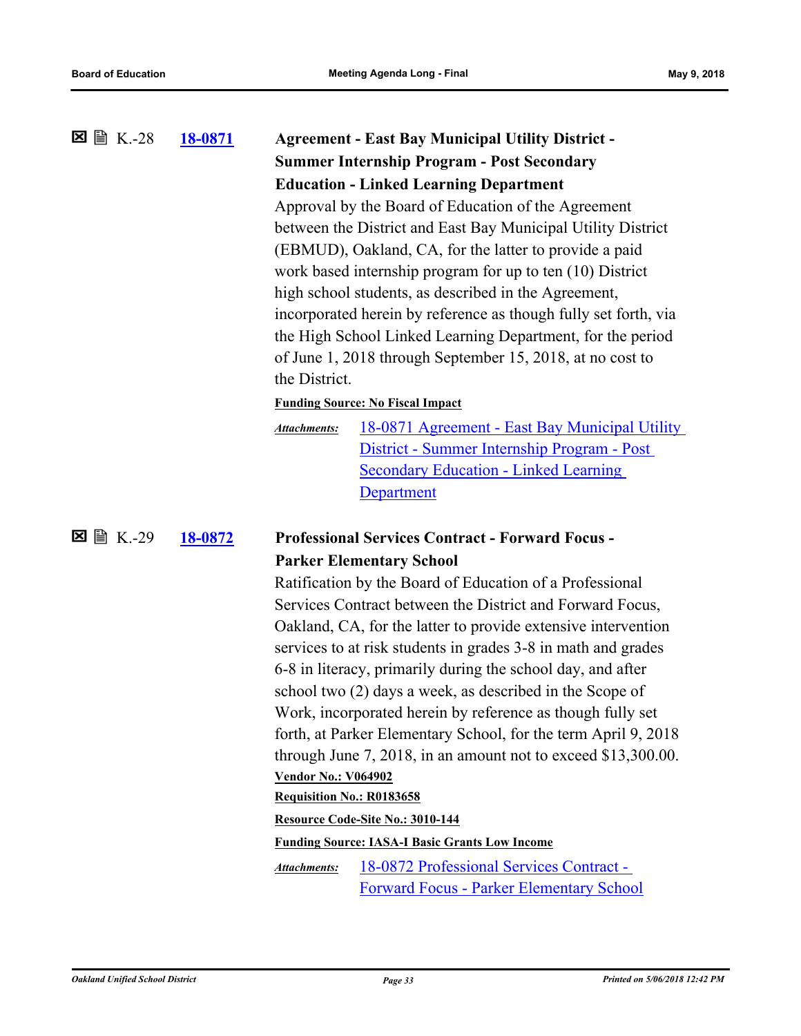| 18-0871 |                                                              | <b>Agreement - East Bay Municipal Utility District -</b>                                    |  |
|---------|--------------------------------------------------------------|---------------------------------------------------------------------------------------------|--|
|         | <b>Summer Internship Program - Post Secondary</b>            |                                                                                             |  |
|         | <b>Education - Linked Learning Department</b>                |                                                                                             |  |
|         | Approval by the Board of Education of the Agreement          |                                                                                             |  |
|         | between the District and East Bay Municipal Utility District |                                                                                             |  |
|         | (EBMUD), Oakland, CA, for the latter to provide a paid       |                                                                                             |  |
|         | work based internship program for up to ten $(10)$ District  |                                                                                             |  |
|         | high school students, as described in the Agreement,         |                                                                                             |  |
|         |                                                              | incorporated herein by reference as though fully set forth, via                             |  |
|         |                                                              | the High School Linked Learning Department, for the period                                  |  |
|         |                                                              | of June 1, 2018 through September 15, 2018, at no cost to                                   |  |
|         | the District.                                                |                                                                                             |  |
|         |                                                              | <b>Funding Source: No Fiscal Impact</b>                                                     |  |
|         | <b>Attachments:</b>                                          | <u> 18-0871 Agreement - East Bay Municipal Utility</u>                                      |  |
|         |                                                              | District - Summer Internship Program - Post                                                 |  |
|         |                                                              | <b>Secondary Education - Linked Learning</b>                                                |  |
|         |                                                              | <b>Department</b>                                                                           |  |
| 18-0872 |                                                              | <b>Professional Services Contract - Forward Focus -</b>                                     |  |
|         |                                                              | <b>Parker Elementary School</b>                                                             |  |
|         |                                                              | Ratification by the Board of Education of a Professional                                    |  |
|         |                                                              | Services Contract between the District and Forward Focus,                                   |  |
|         |                                                              | Oakland, CA, for the latter to provide extensive intervention                               |  |
|         |                                                              | services to at risk students in grades 3-8 in math and grades                               |  |
|         |                                                              | 6-8 in literacy, primarily during the school day, and after                                 |  |
|         |                                                              | school two (2) days a week, as described in the Scope of                                    |  |
|         |                                                              | Work, incorporated herein by reference as though fully set                                  |  |
|         |                                                              | forth, at Parker Elementary School, for the term April 9, 2018                              |  |
|         |                                                              | through June 7, 2018, in an amount not to exceed $$13,300.00$ .                             |  |
|         | <b>Vendor No.: V064902</b>                                   |                                                                                             |  |
|         | Requisition No.: R0183658                                    |                                                                                             |  |
|         |                                                              | Resource Code-Site No.: 3010-144                                                            |  |
|         |                                                              | <b>Funding Source: IASA-I Basic Grants Low Income</b>                                       |  |
|         | <b>Attachments:</b>                                          | 18-0872 Professional Services Contract -<br><b>Forward Focus - Parker Elementary School</b> |  |
|         |                                                              |                                                                                             |  |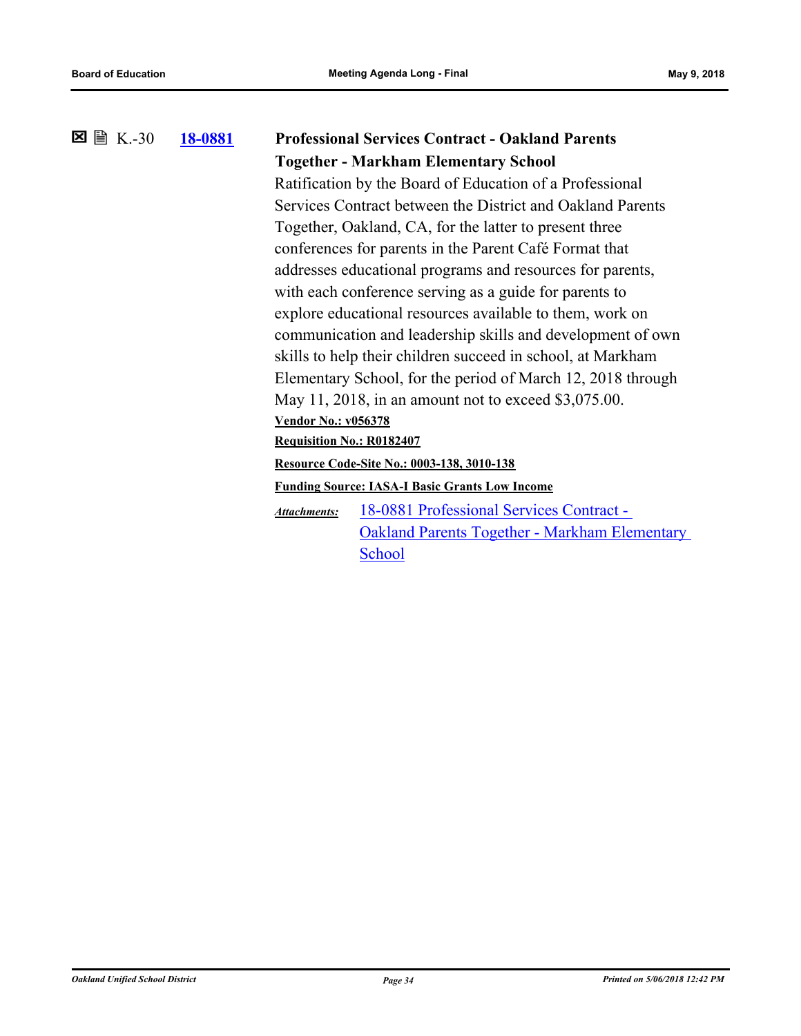### **[18-0881](http://ousd.legistar.com/gateway.aspx?m=l&id=/matter.aspx?key=43061) Professional Services Contract - Oakland Parents Together - Markham Elementary School 図 圖 K.-30**

Ratification by the Board of Education of a Professional Services Contract between the District and Oakland Parents Together, Oakland, CA, for the latter to present three conferences for parents in the Parent Café Format that addresses educational programs and resources for parents, with each conference serving as a guide for parents to explore educational resources available to them, work on communication and leadership skills and development of own skills to help their children succeed in school, at Markham Elementary School, for the period of March 12, 2018 through May 11, 2018, in an amount not to exceed \$3,075.00. **Vendor No.: v056378**

**Requisition No.: R0182407**

**Resource Code-Site No.: 0003-138, 3010-138**

**Funding Source: IASA-I Basic Grants Low Income**

18-0881 Professional Services Contract - [Oakland Parents Together - Markham Elementary](http://ousd.legistar.com/gateway.aspx?M=F&ID=88388.pdf)  **School** *Attachments:*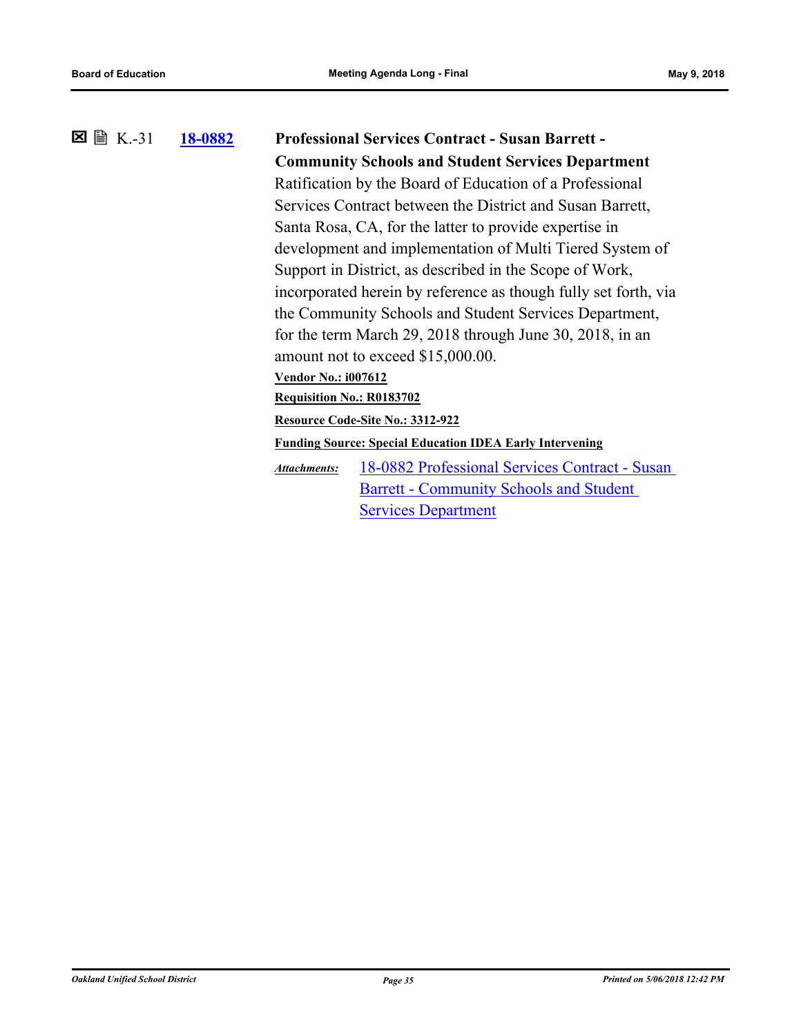# **[18-0882](http://ousd.legistar.com/gateway.aspx?m=l&id=/matter.aspx?key=43062) Professional Services Contract - Susan Barrett - Community Schools and Student Services Department** K.-31 Ratification by the Board of Education of a Professional Services Contract between the District and Susan Barrett, Santa Rosa, CA, for the latter to provide expertise in development and implementation of Multi Tiered System of Support in District, as described in the Scope of Work, incorporated herein by reference as though fully set forth, via the Community Schools and Student Services Department, for the term March 29, 2018 through June 30, 2018, in an amount not to exceed \$15,000.00. **Vendor No.: i007612 Requisition No.: R0183702 Resource Code-Site No.: 3312-922 Funding Source: Special Education IDEA Early Intervening** [18-0882 Professional Services Contract - Susan](http://ousd.legistar.com/gateway.aspx?M=F&ID=88389.pdf)  Barrett - Community Schools and Student **Services Department** *Attachments:*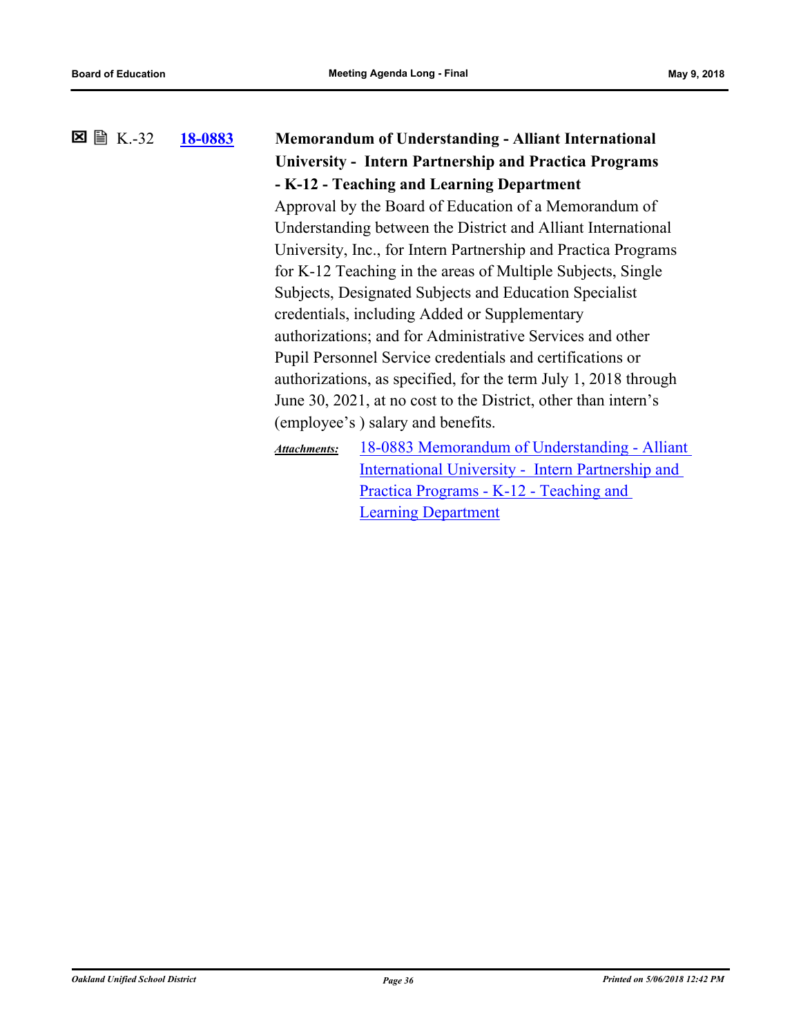## **[18-0883](http://ousd.legistar.com/gateway.aspx?m=l&id=/matter.aspx?key=43063) Memorandum of Understanding - Alliant International University - Intern Partnership and Practica Programs - K-12 - Teaching and Learning Department 図 圖 K.-32** Approval by the Board of Education of a Memorandum of

Understanding between the District and Alliant International University, Inc., for Intern Partnership and Practica Programs for K-12 Teaching in the areas of Multiple Subjects, Single Subjects, Designated Subjects and Education Specialist credentials, including Added or Supplementary authorizations; and for Administrative Services and other Pupil Personnel Service credentials and certifications or authorizations, as specified, for the term July 1, 2018 through June 30, 2021, at no cost to the District, other than intern's (employee's ) salary and benefits.

[18-0883 Memorandum of Understanding - Alliant](http://ousd.legistar.com/gateway.aspx?M=F&ID=88290.pdf)  International University - Intern Partnership and Practica Programs - K-12 - Teaching and Learning Department *Attachments:*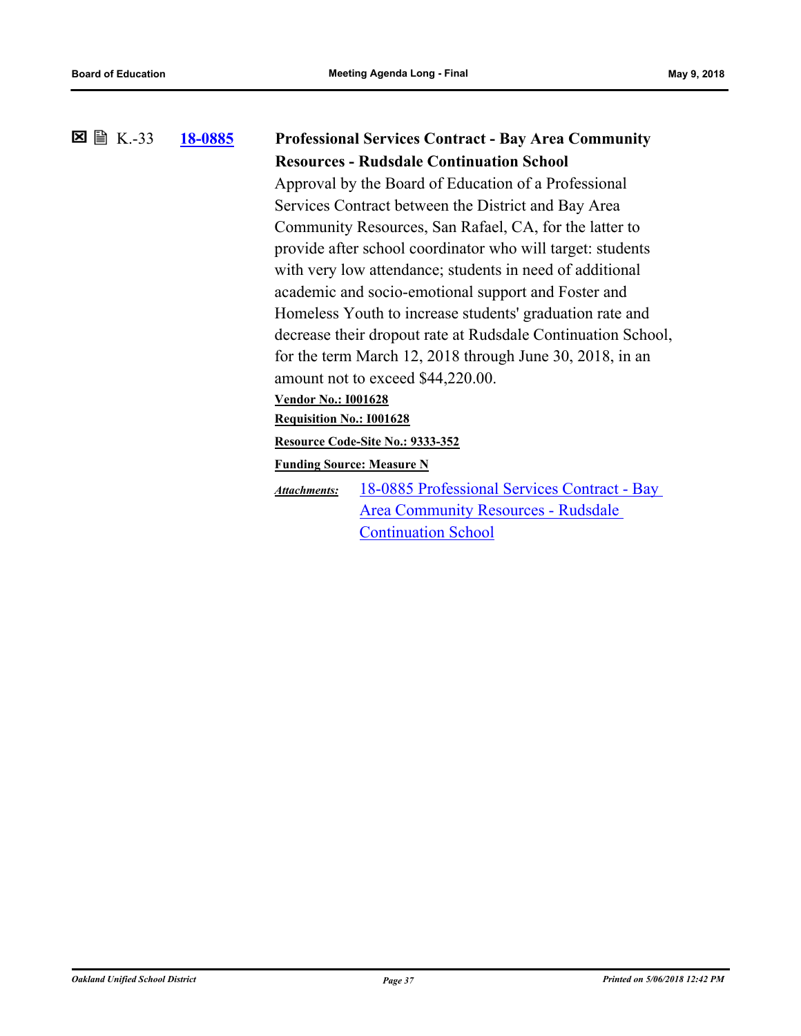#### **[18-0885](http://ousd.legistar.com/gateway.aspx?m=l&id=/matter.aspx?key=43065) Professional Services Contract - Bay Area Community Resources - Rudsdale Continuation School 冈** 图 K.-33 Approval by the Board of Education of a Professional

Services Contract between the District and Bay Area Community Resources, San Rafael, CA, for the latter to provide after school coordinator who will target: students with very low attendance; students in need of additional academic and socio-emotional support and Foster and Homeless Youth to increase students' graduation rate and decrease their dropout rate at Rudsdale Continuation School, for the term March 12, 2018 through June 30, 2018, in an amount not to exceed \$44,220.00.

#### **Vendor No.: I001628**

**Requisition No.: I001628**

#### **Resource Code-Site No.: 9333-352**

**Funding Source: Measure N**

[18-0885 Professional Services Contract - Bay](http://ousd.legistar.com/gateway.aspx?M=F&ID=88390.pdf)  Area Community Resources - Rudsdale Continuation School *Attachments:*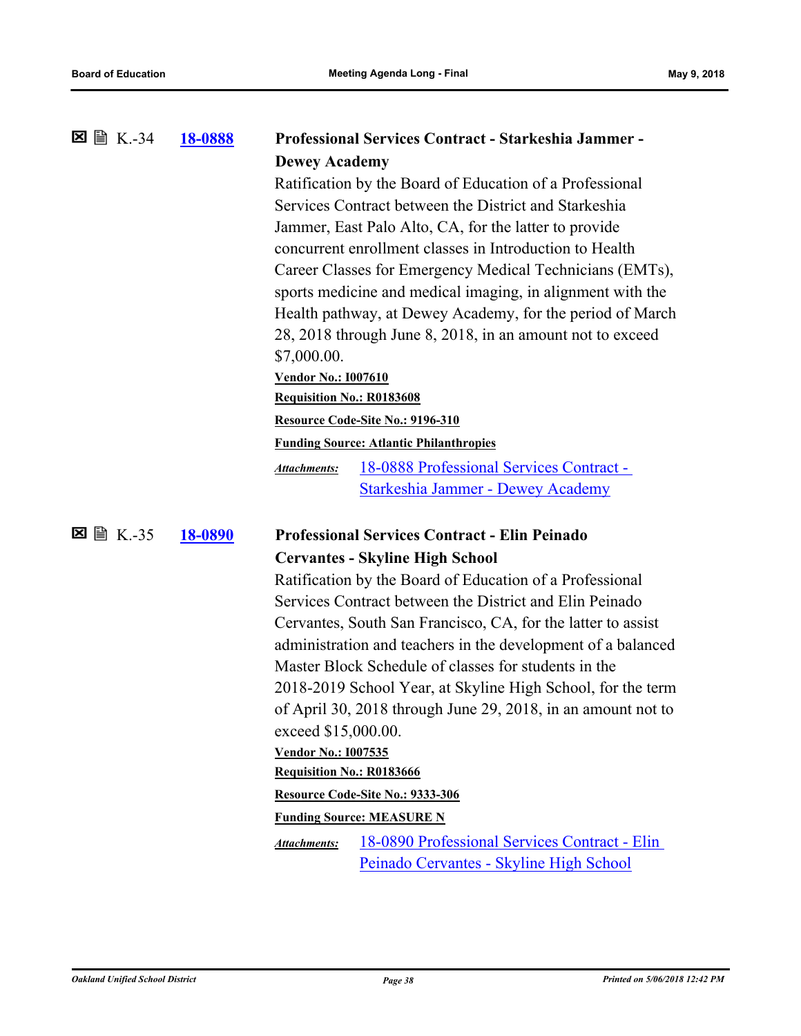|   |         | <b>18-0888</b> |                                                            | <b>Professional Services Contract - Starkeshia Jammer -</b>  |  |
|---|---------|----------------|------------------------------------------------------------|--------------------------------------------------------------|--|
|   |         |                | <b>Dewey Academy</b>                                       |                                                              |  |
|   |         |                |                                                            | Ratification by the Board of Education of a Professional     |  |
|   |         |                |                                                            | Services Contract between the District and Starkeshia        |  |
|   |         |                |                                                            | Jammer, East Palo Alto, CA, for the latter to provide        |  |
|   |         |                |                                                            | concurrent enrollment classes in Introduction to Health      |  |
|   |         |                |                                                            | Career Classes for Emergency Medical Technicians (EMTs),     |  |
|   |         |                | sports medicine and medical imaging, in alignment with the |                                                              |  |
|   |         |                | Health pathway, at Dewey Academy, for the period of March  |                                                              |  |
|   |         |                |                                                            | 28, 2018 through June 8, 2018, in an amount not to exceed    |  |
|   |         |                | \$7,000.00.                                                |                                                              |  |
|   |         |                | <b>Vendor No.: 1007610</b>                                 |                                                              |  |
|   |         |                | <b>Requisition No.: R0183608</b>                           |                                                              |  |
|   |         |                |                                                            | Resource Code-Site No.: 9196-310                             |  |
|   |         |                |                                                            | <b>Funding Source: Atlantic Philanthropies</b>               |  |
|   |         |                | <b>Attachments:</b>                                        | 18-0888 Professional Services Contract -                     |  |
|   |         |                |                                                            | Starkeshia Jammer - Dewey Academy                            |  |
|   |         |                |                                                            |                                                              |  |
| × | ■ K.-35 | 18-0890        |                                                            | <b>Professional Services Contract - Elin Peinado</b>         |  |
|   |         |                |                                                            | <b>Cervantes - Skyline High School</b>                       |  |
|   |         |                |                                                            | Ratification by the Board of Education of a Professional     |  |
|   |         |                |                                                            | Services Contract between the District and Elin Peinado      |  |
|   |         |                |                                                            | Cervantes, South San Francisco, CA, for the latter to assist |  |
|   |         |                |                                                            | administration and teachers in the development of a balanced |  |
|   |         |                |                                                            | Master Block Schedule of classes for students in the         |  |
|   |         |                |                                                            | 2018-2019 School Year, at Skyline High School, for the term  |  |
|   |         |                |                                                            |                                                              |  |
|   |         |                |                                                            | of April 30, 2018 through June 29, 2018, in an amount not to |  |
|   |         |                | exceed \$15,000.00.                                        |                                                              |  |
|   |         |                | <b>Vendor No.: I007535</b>                                 |                                                              |  |
|   |         |                | Requisition No.: R0183666                                  |                                                              |  |
|   |         |                |                                                            | Resource Code-Site No.: 9333-306                             |  |
|   |         |                |                                                            | <b>Funding Source: MEASURE N</b>                             |  |
|   |         |                | <b>Attachments:</b>                                        | 18-0890 Professional Services Contract - Elin                |  |
|   |         |                |                                                            | Peinado Cervantes - Skyline High School                      |  |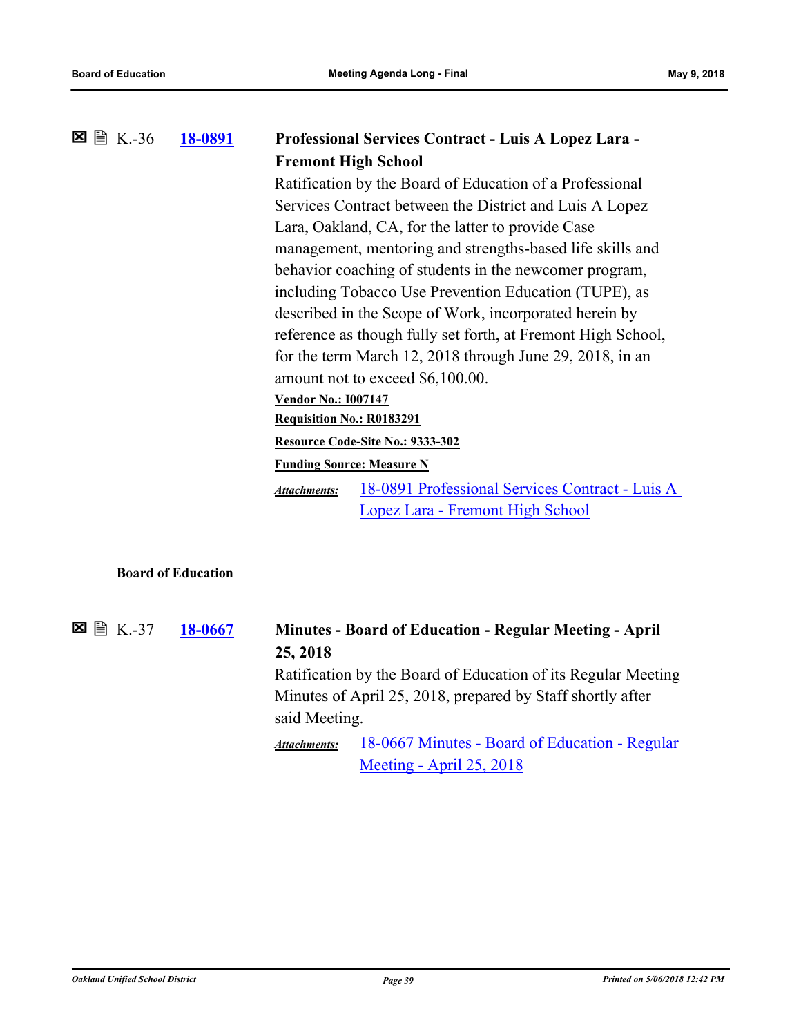|  | 18-0891 | Professional Services Contract - Luis A Lopez Lara -                   |  |  |
|--|---------|------------------------------------------------------------------------|--|--|
|  |         | <b>Fremont High School</b>                                             |  |  |
|  |         | Ratification by the Board of Education of a Professional               |  |  |
|  |         | Services Contract between the District and Luis A Lopez                |  |  |
|  |         | Lara, Oakland, CA, for the latter to provide Case                      |  |  |
|  |         | management, mentoring and strengths-based life skills and              |  |  |
|  |         | behavior coaching of students in the newcomer program,                 |  |  |
|  |         | including Tobacco Use Prevention Education (TUPE), as                  |  |  |
|  |         | described in the Scope of Work, incorporated herein by                 |  |  |
|  |         | reference as though fully set forth, at Fremont High School,           |  |  |
|  |         | for the term March 12, 2018 through June 29, 2018, in an               |  |  |
|  |         | amount not to exceed \$6,100.00.                                       |  |  |
|  |         | <b>Vendor No.: 1007147</b>                                             |  |  |
|  |         | <b>Requisition No.: R0183291</b>                                       |  |  |
|  |         | Resource Code-Site No.: 9333-302                                       |  |  |
|  |         | <b>Funding Source: Measure N</b>                                       |  |  |
|  |         | 18-0891 Professional Services Contract - Luis A<br><b>Attachments:</b> |  |  |
|  |         | Lopez Lara - Fremont High School                                       |  |  |
|  |         |                                                                        |  |  |
|  |         |                                                                        |  |  |

### **Board of Education**

**[18-0667](http://ousd.legistar.com/gateway.aspx?m=l&id=/matter.aspx?key=42847) Minutes - Board of Education - Regular Meeting - April 25, 2018 図 圖 K.-37** Ratification by the Board of Education of its Regular Meeting Minutes of April 25, 2018, prepared by Staff shortly after said Meeting. [18-0667 Minutes - Board of Education - Regular](https://ousd.legistar.com/View.ashx?M=M&ID=601991&GUID=3E9A2456-1886-4E18-BD9E-6655EA8CD1BC)  Meeting - April 25, 2018 *Attachments:*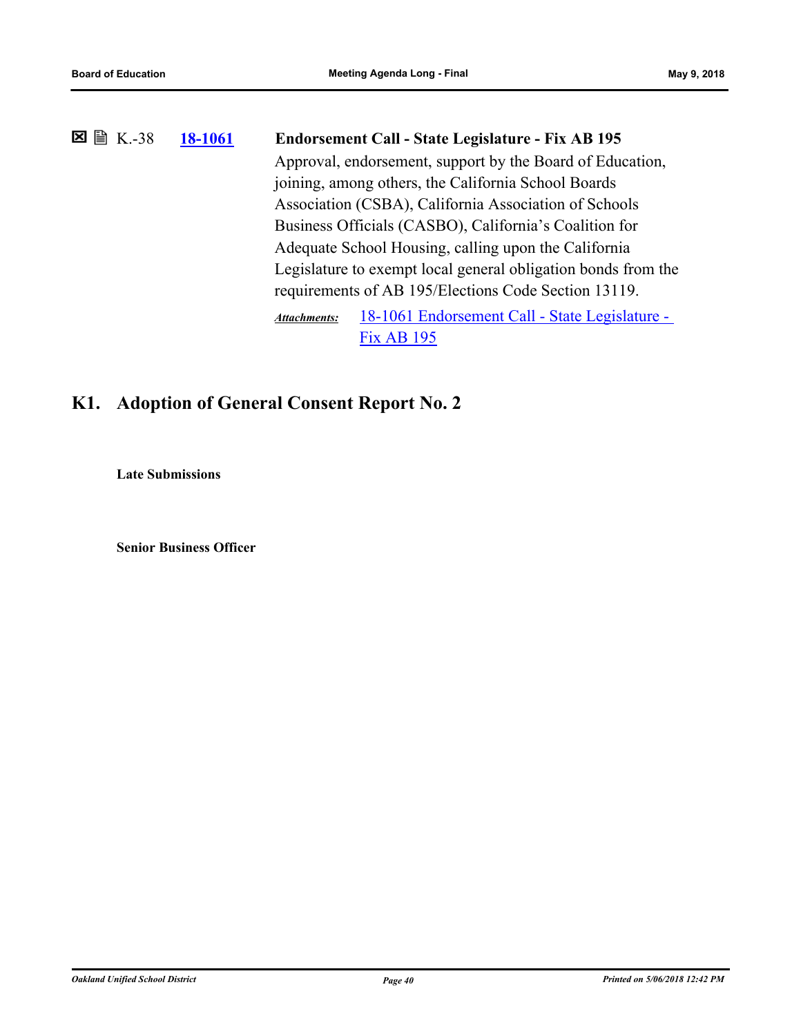| 18-1061 | Endorsement Call - State Legislature - Fix AB 195                     |                                                       |  |
|---------|-----------------------------------------------------------------------|-------------------------------------------------------|--|
|         | Approval, endorsement, support by the Board of Education,             |                                                       |  |
|         | joining, among others, the California School Boards                   |                                                       |  |
|         |                                                                       | Association (CSBA), California Association of Schools |  |
|         | Business Officials (CASBO), California's Coalition for                |                                                       |  |
|         | Adequate School Housing, calling upon the California                  |                                                       |  |
|         | Legislature to exempt local general obligation bonds from the         |                                                       |  |
|         | requirements of AB 195/Elections Code Section 13119.                  |                                                       |  |
|         | 18-1061 Endorsement Call - State Legislature -<br><b>Attachments:</b> |                                                       |  |
|         |                                                                       | <b>Fix AB 195</b>                                     |  |

# **K1. Adoption of General Consent Report No. 2**

**Late Submissions**

**Senior Business Officer**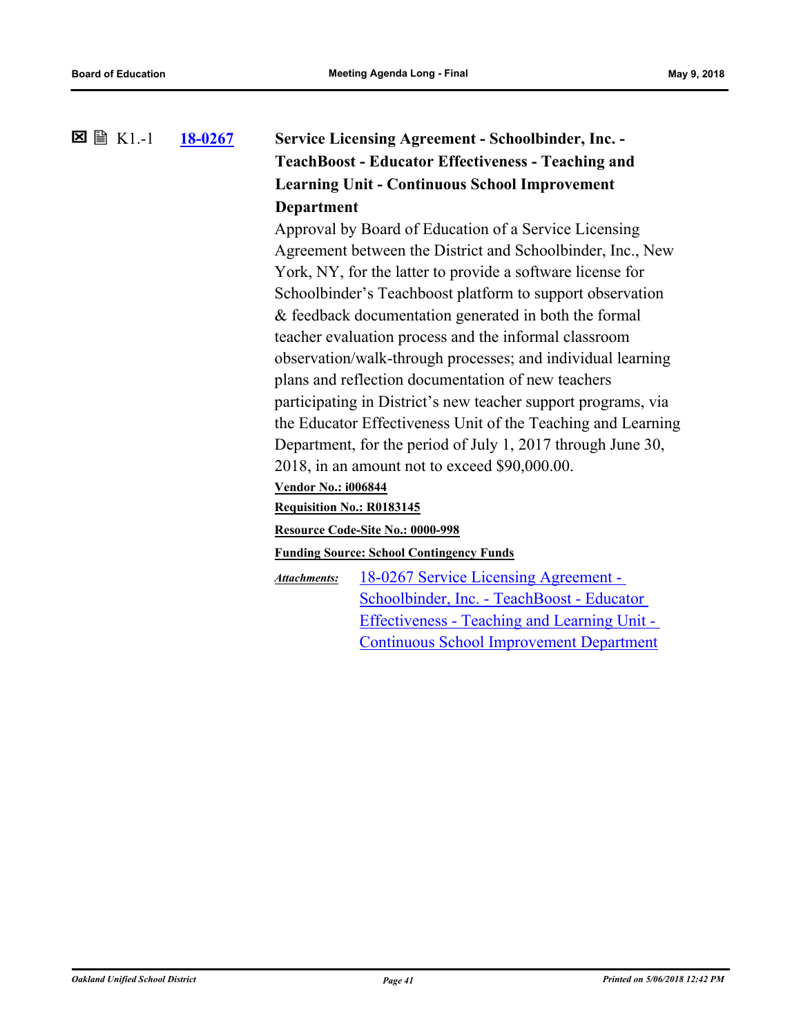### **[18-0267](http://ousd.legistar.com/gateway.aspx?m=l&id=/matter.aspx?key=42447) Service Licensing Agreement - Schoolbinder, Inc. - TeachBoost - Educator Effectiveness - Teaching and Learning Unit - Continuous School Improvement Department** K1.-1

Approval by Board of Education of a Service Licensing Agreement between the District and Schoolbinder, Inc., New York, NY, for the latter to provide a software license for Schoolbinder's Teachboost platform to support observation & feedback documentation generated in both the formal teacher evaluation process and the informal classroom observation/walk-through processes; and individual learning plans and reflection documentation of new teachers participating in District's new teacher support programs, via the Educator Effectiveness Unit of the Teaching and Learning Department, for the period of July 1, 2017 through June 30, 2018, in an amount not to exceed \$90,000.00.

#### **Vendor No.: i006844**

#### **Requisition No.: R0183145**

#### **Resource Code-Site No.: 0000-998**

#### **Funding Source: School Contingency Funds**

18-0267 Service Licensing Agreement - Schoolbinder, Inc. - TeachBoost - Educator [Effectiveness - Teaching and Learning Unit -](http://ousd.legistar.com/gateway.aspx?M=F&ID=88056.pdf)  Continuous School Improvement Department *Attachments:*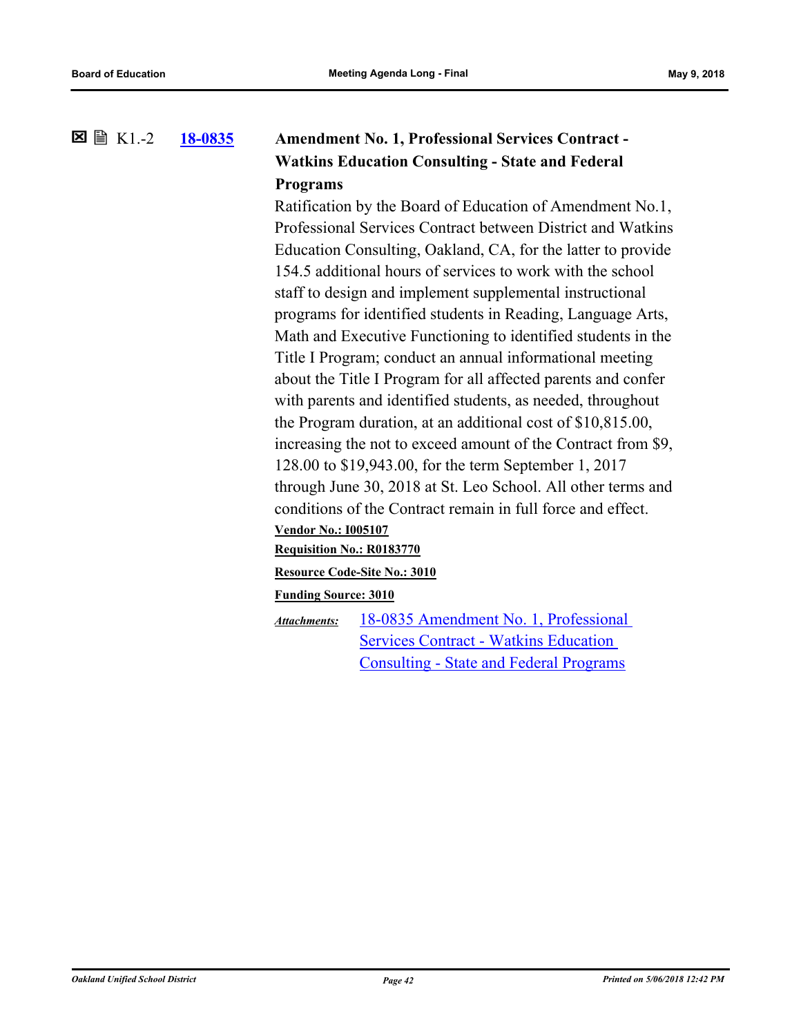### **[18-0835](http://ousd.legistar.com/gateway.aspx?m=l&id=/matter.aspx?key=43015) Amendment No. 1, Professional Services Contract - Watkins Education Consulting - State and Federal Programs 図 圖 K1.-2**

Ratification by the Board of Education of Amendment No.1, Professional Services Contract between District and Watkins Education Consulting, Oakland, CA, for the latter to provide 154.5 additional hours of services to work with the school staff to design and implement supplemental instructional programs for identified students in Reading, Language Arts, Math and Executive Functioning to identified students in the Title I Program; conduct an annual informational meeting about the Title I Program for all affected parents and confer with parents and identified students, as needed, throughout the Program duration, at an additional cost of \$10,815.00, increasing the not to exceed amount of the Contract from \$9, 128.00 to \$19,943.00, for the term September 1, 2017 through June 30, 2018 at St. Leo School. All other terms and conditions of the Contract remain in full force and effect. **Vendor No.: I005107 Requisition No.: R0183770 Resource Code-Site No.: 3010 Funding Source: 3010**

[18-0835 Amendment No. 1, Professional](http://ousd.legistar.com/gateway.aspx?M=F&ID=88285.pdf)  Services Contract - Watkins Education Consulting - State and Federal Programs *Attachments:*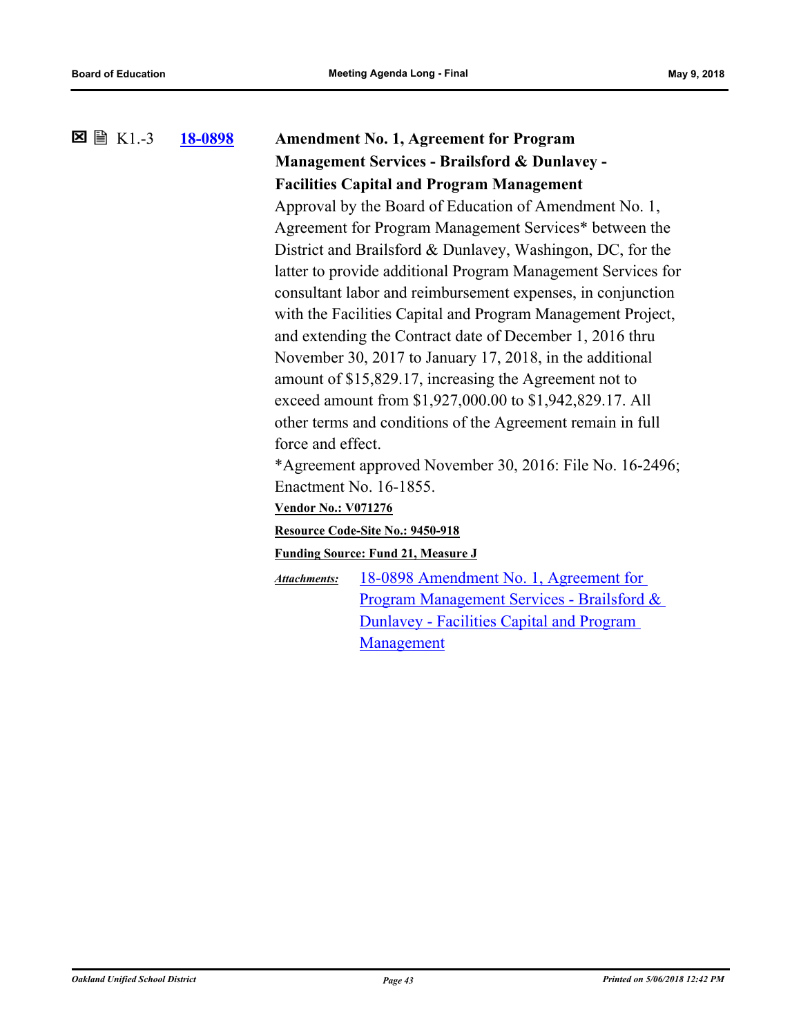# **[18-0898](http://ousd.legistar.com/gateway.aspx?m=l&id=/matter.aspx?key=43078) Amendment No. 1, Agreement for Program Management Services - Brailsford & Dunlavey - Facilities Capital and Program Management** K1.-3 Approval by the Board of Education of Amendment No. 1, Agreement for Program Management Services\* between the District and Brailsford & Dunlavey, Washingon, DC, for the latter to provide additional Program Management Services for consultant labor and reimbursement expenses, in conjunction with the Facilities Capital and Program Management Project, and extending the Contract date of December 1, 2016 thru November 30, 2017 to January 17, 2018, in the additional amount of \$15,829.17, increasing the Agreement not to exceed amount from \$1,927,000.00 to \$1,942,829.17. All other terms and conditions of the Agreement remain in full force and effect. \*Agreement approved November 30, 2016: File No. 16-2496; Enactment No. 16-1855. **Vendor No.: V071276 Resource Code-Site No.: 9450-918 Funding Source: Fund 21, Measure J** 18-0898 Amendment No. 1, Agreement for [Program Management Services - Brailsford &](http://ousd.legistar.com/gateway.aspx?M=F&ID=88403.pdf)  Dunlavey - Facilities Capital and Program Management *Attachments:*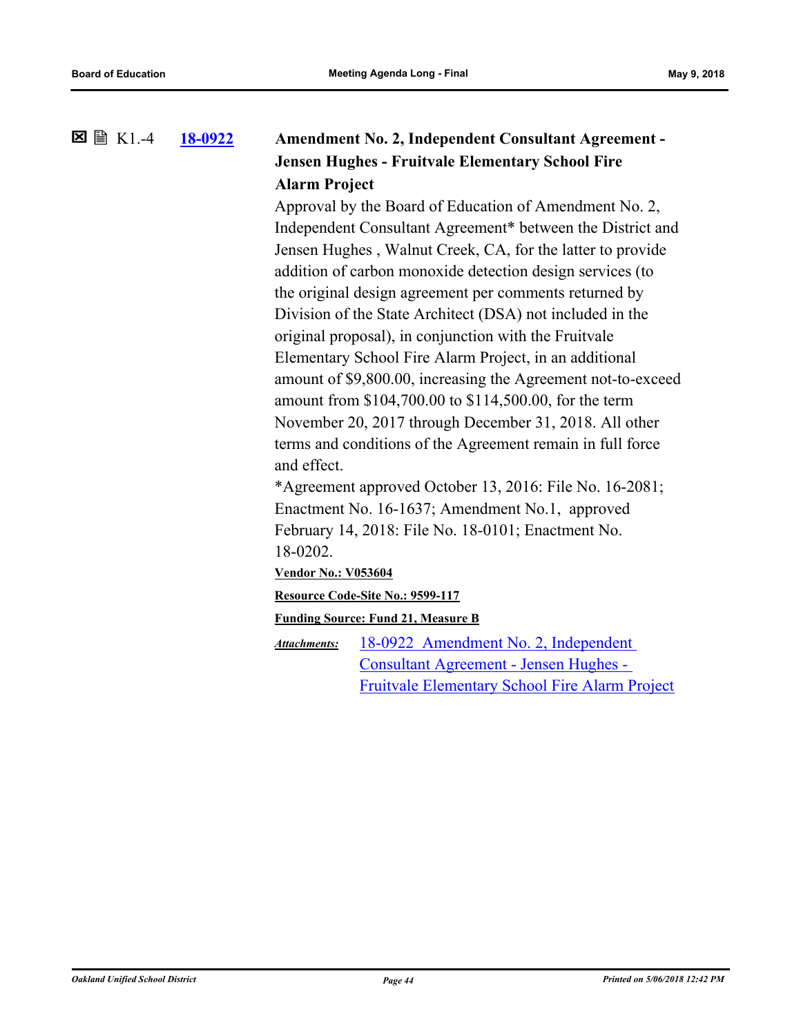#### **[18-0922](http://ousd.legistar.com/gateway.aspx?m=l&id=/matter.aspx?key=43102) Amendment No. 2, Independent Consultant Agreement - Jensen Hughes - Fruitvale Elementary School Fire Alarm Project**  $\Sigma \cong K1.4$

Approval by the Board of Education of Amendment No. 2, Independent Consultant Agreement\* between the District and Jensen Hughes , Walnut Creek, CA, for the latter to provide addition of carbon monoxide detection design services (to the original design agreement per comments returned by Division of the State Architect (DSA) not included in the original proposal), in conjunction with the Fruitvale Elementary School Fire Alarm Project, in an additional amount of \$9,800.00, increasing the Agreement not-to-exceed amount from \$104,700.00 to \$114,500.00, for the term November 20, 2017 through December 31, 2018. All other terms and conditions of the Agreement remain in full force and effect.

\*Agreement approved October 13, 2016: File No. 16-2081; Enactment No. 16-1637; Amendment No.1, approved February 14, 2018: File No. 18-0101; Enactment No. 18-0202.

**Vendor No.: V053604**

**Resource Code-Site No.: 9599-117**

**Funding Source: Fund 21, Measure B**

18-0922 Amendment No. 2, Independent Consultant Agreement - Jensen Hughes - [Fruitvale Elementary School Fire Alarm Project](http://ousd.legistar.com/gateway.aspx?M=F&ID=88407.pdf) *Attachments:*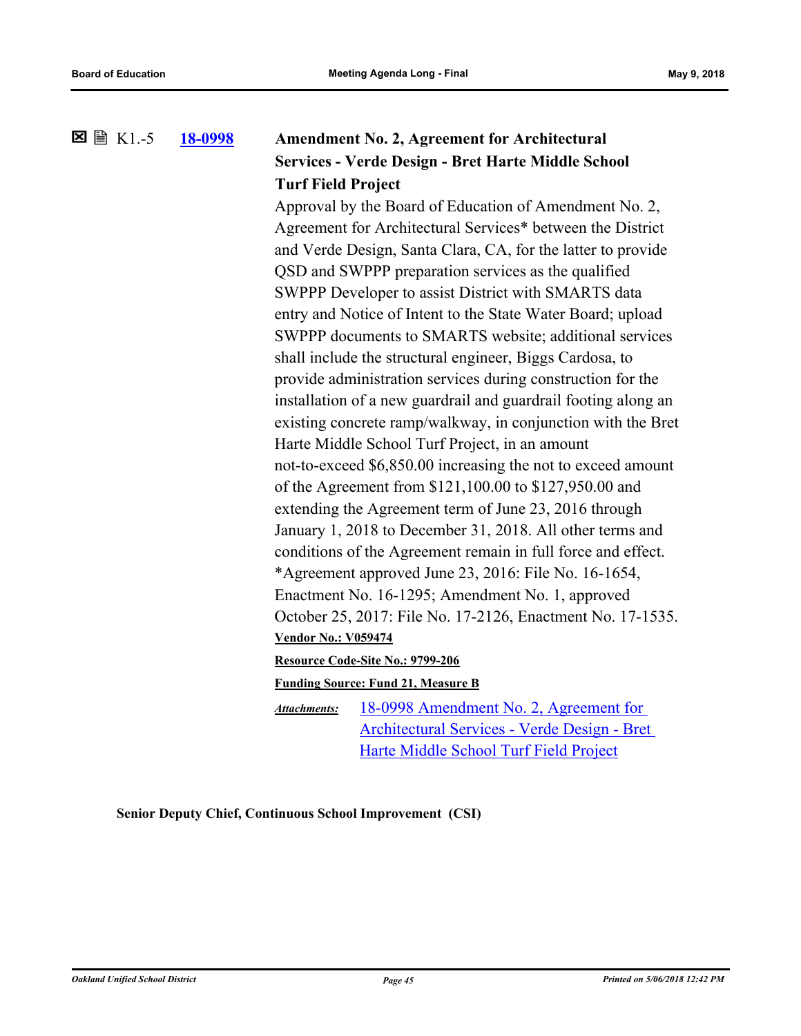#### **[18-0998](http://ousd.legistar.com/gateway.aspx?m=l&id=/matter.aspx?key=43178) Amendment No. 2, Agreement for Architectural Services - Verde Design - Bret Harte Middle School Turf Field Project**  $\Sigma \cong K1.5$

Approval by the Board of Education of Amendment No. 2, Agreement for Architectural Services\* between the District and Verde Design, Santa Clara, CA, for the latter to provide QSD and SWPPP preparation services as the qualified SWPPP Developer to assist District with SMARTS data entry and Notice of Intent to the State Water Board; upload SWPPP documents to SMARTS website; additional services shall include the structural engineer, Biggs Cardosa, to provide administration services during construction for the installation of a new guardrail and guardrail footing along an existing concrete ramp/walkway, in conjunction with the Bret Harte Middle School Turf Project, in an amount not-to-exceed \$6,850.00 increasing the not to exceed amount of the Agreement from \$121,100.00 to \$127,950.00 and extending the Agreement term of June 23, 2016 through January 1, 2018 to December 31, 2018. All other terms and conditions of the Agreement remain in full force and effect. \*Agreement approved June 23, 2016: File No. 16-1654, Enactment No. 16-1295; Amendment No. 1, approved October 25, 2017: File No. 17-2126, Enactment No. 17-1535. **Vendor No.: V059474**

#### **Resource Code-Site No.: 9799-206**

**Funding Source: Fund 21, Measure B**

18-0998 Amendment No. 2, Agreement for [Architectural Services - Verde Design - Bret](http://ousd.legistar.com/gateway.aspx?M=F&ID=88490.pdf)  Harte Middle School Turf Field Project *Attachments:*

**Senior Deputy Chief, Continuous School Improvement (CSI)**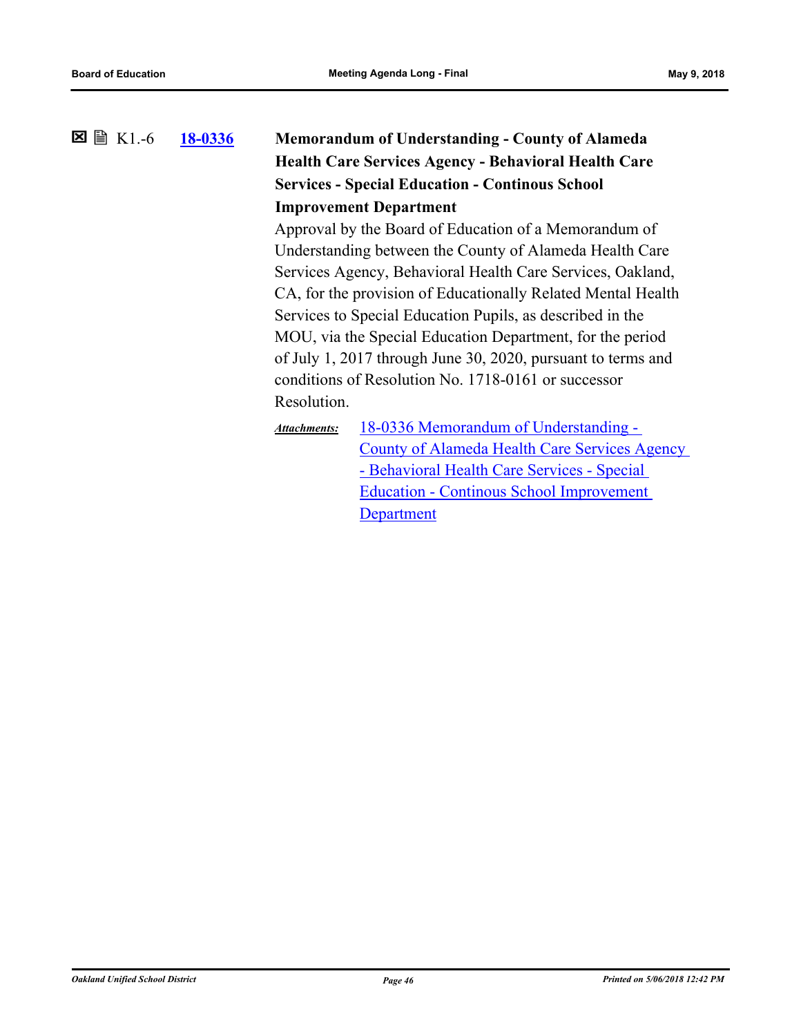### **[18-0336](http://ousd.legistar.com/gateway.aspx?m=l&id=/matter.aspx?key=42516) Memorandum of Understanding - County of Alameda Health Care Services Agency - Behavioral Health Care Services - Special Education - Continous School Improvement Department 図 圖 K1.-6**

Approval by the Board of Education of a Memorandum of Understanding between the County of Alameda Health Care Services Agency, Behavioral Health Care Services, Oakland, CA, for the provision of Educationally Related Mental Health Services to Special Education Pupils, as described in the MOU, via the Special Education Department, for the period of July 1, 2017 through June 30, 2020, pursuant to terms and conditions of Resolution No. 1718-0161 or successor Resolution.

18-0336 Memorandum of Understanding - [County of Alameda Health Care Services Agency](http://ousd.legistar.com/gateway.aspx?M=F&ID=88470.pdf)  - Behavioral Health Care Services - Special Education - Continous School Improvement **Department** *Attachments:*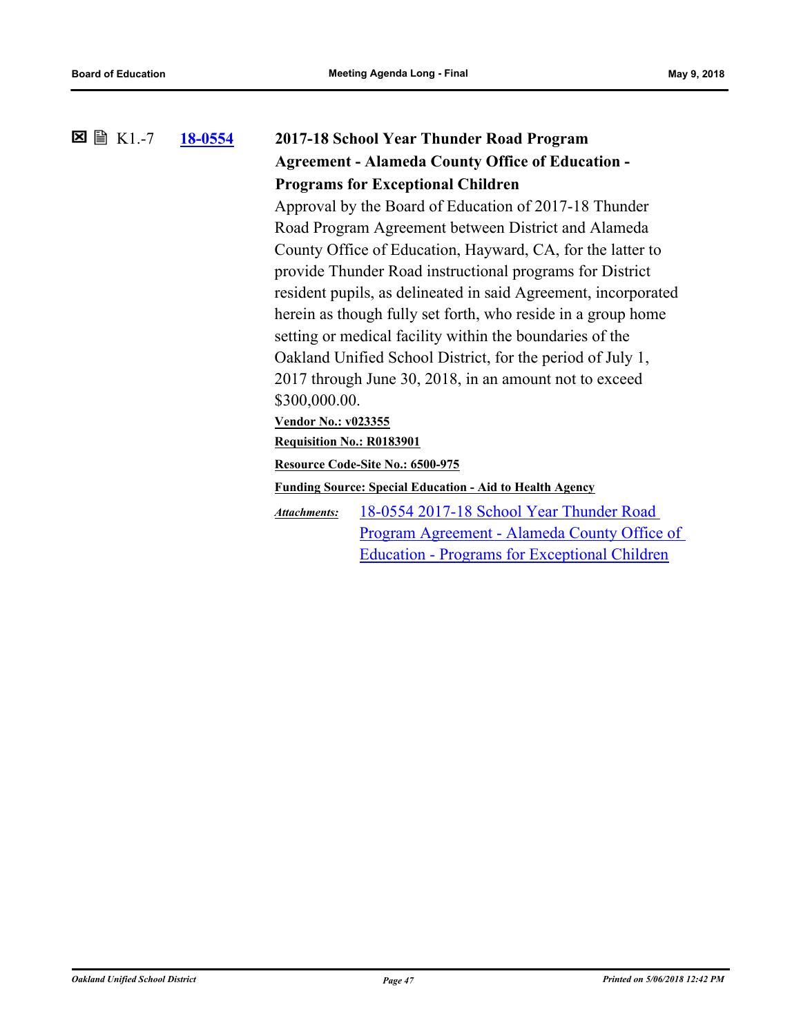## **[18-0554](http://ousd.legistar.com/gateway.aspx?m=l&id=/matter.aspx?key=42734) 2017-18 School Year Thunder Road Program Agreement - Alameda County Office of Education - Programs for Exceptional Children 図 圖 K1.-7**

Approval by the Board of Education of 2017-18 Thunder Road Program Agreement between District and Alameda County Office of Education, Hayward, CA, for the latter to provide Thunder Road instructional programs for District resident pupils, as delineated in said Agreement, incorporated herein as though fully set forth, who reside in a group home setting or medical facility within the boundaries of the Oakland Unified School District, for the period of July 1, 2017 through June 30, 2018, in an amount not to exceed \$300,000.00.

### **Vendor No.: v023355**

**Requisition No.: R0183901**

**Resource Code-Site No.: 6500-975**

**Funding Source: Special Education - Aid to Health Agency**

18-0554 2017-18 School Year Thunder Road [Program Agreement - Alameda County Office of](http://ousd.legistar.com/gateway.aspx?M=F&ID=88417.pdf)  Education - Programs for Exceptional Children *Attachments:*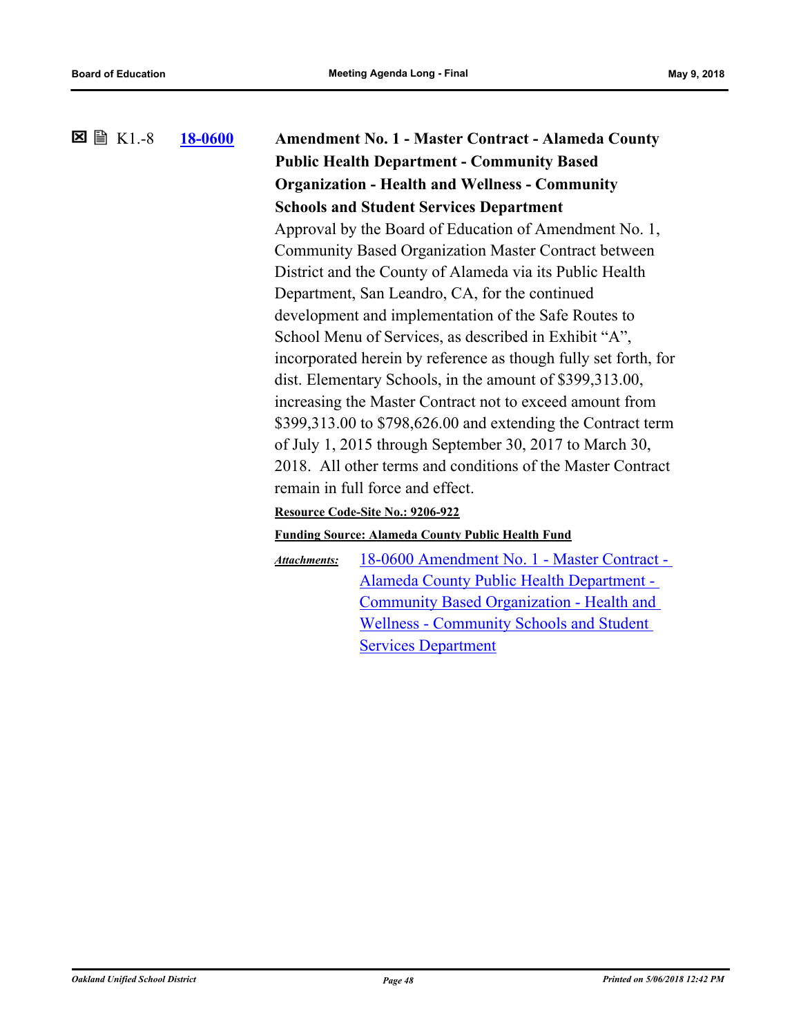**[18-0600](http://ousd.legistar.com/gateway.aspx?m=l&id=/matter.aspx?key=42780) Amendment No. 1 - Master Contract - Alameda County Public Health Department - Community Based Organization - Health and Wellness - Community Schools and Student Services Department**  $\Sigma \cong K1.-8$ Approval by the Board of Education of Amendment No. 1, Community Based Organization Master Contract between District and the County of Alameda via its Public Health Department, San Leandro, CA, for the continued development and implementation of the Safe Routes to School Menu of Services, as described in Exhibit "A", incorporated herein by reference as though fully set forth, for dist. Elementary Schools, in the amount of \$399,313.00, increasing the Master Contract not to exceed amount from \$399,313.00 to \$798,626.00 and extending the Contract term of July 1, 2015 through September 30, 2017 to March 30, 2018. All other terms and conditions of the Master Contract remain in full force and effect. **Resource Code-Site No.: 9206-922 Funding Source: Alameda County Public Health Fund** [18-0600 Amendment No. 1 - Master Contract -](http://ousd.legistar.com/gateway.aspx?M=F&ID=88054.pdf)  Alameda County Public Health Department - Community Based Organization - Health and Wellness - Community Schools and Student *Attachments:*

Services Department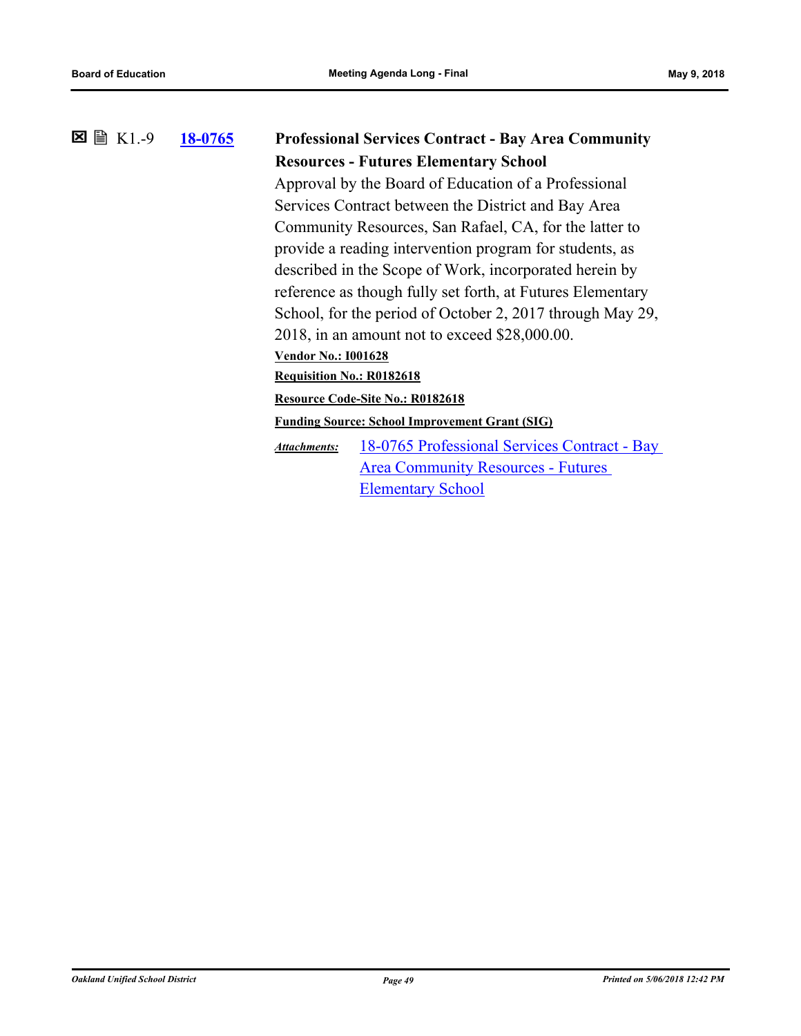### **[18-0765](http://ousd.legistar.com/gateway.aspx?m=l&id=/matter.aspx?key=42945) Professional Services Contract - Bay Area Community Resources - Futures Elementary School 冈** 图 K1.-9 Approval by the Board of Education of a Professional Services Contract between the District and Bay Area Community Resources, San Rafael, CA, for the latter to

provide a reading intervention program for students, as described in the Scope of Work, incorporated herein by reference as though fully set forth, at Futures Elementary School, for the period of October 2, 2017 through May 29, 2018, in an amount not to exceed \$28,000.00. **Vendor No.: I001628**

**Requisition No.: R0182618**

**Resource Code-Site No.: R0182618**

**Funding Source: School Improvement Grant (SIG)**

[18-0765 Professional Services Contract - Bay](http://ousd.legistar.com/gateway.aspx?M=F&ID=88493.pdf)  Area Community Resources - Futures Elementary School *Attachments:*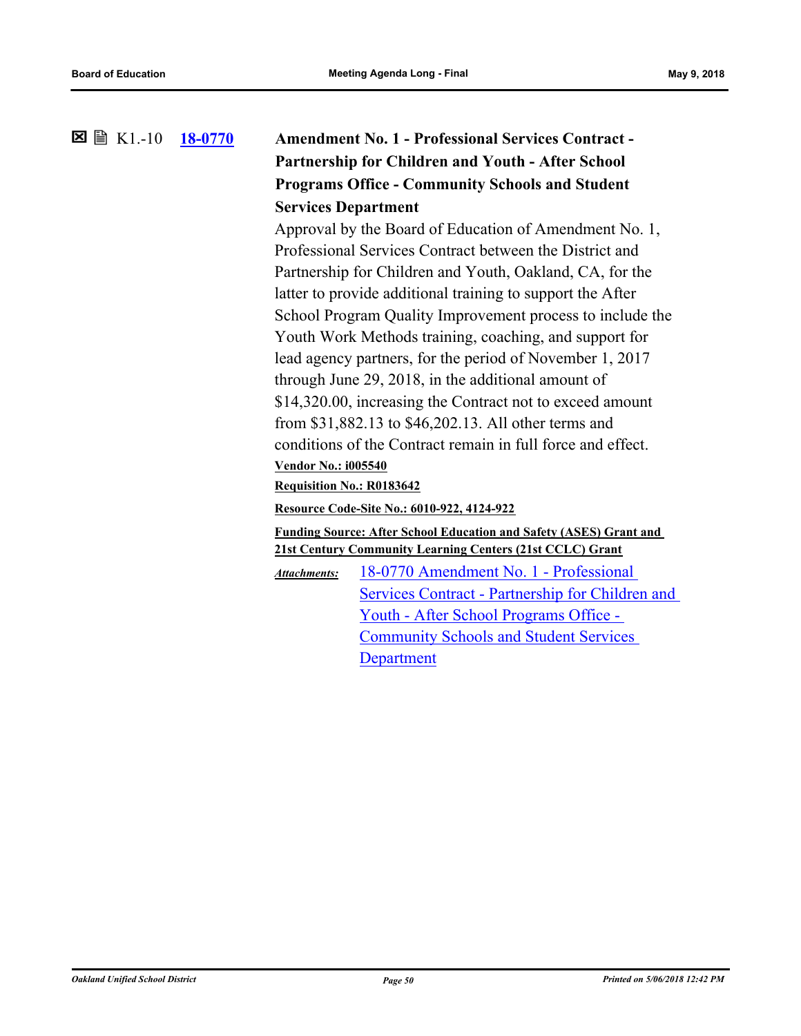### **[18-0770](http://ousd.legistar.com/gateway.aspx?m=l&id=/matter.aspx?key=42950) Amendment No. 1 - Professional Services Contract - Partnership for Children and Youth - After School Programs Office - Community Schools and Student Services Department**  $\boxtimes \cong$  K1.-10

Approval by the Board of Education of Amendment No. 1, Professional Services Contract between the District and Partnership for Children and Youth, Oakland, CA, for the latter to provide additional training to support the After School Program Quality Improvement process to include the Youth Work Methods training, coaching, and support for lead agency partners, for the period of November 1, 2017 through June 29, 2018, in the additional amount of \$14,320.00, increasing the Contract not to exceed amount from \$31,882.13 to \$46,202.13. All other terms and conditions of the Contract remain in full force and effect. **Vendor No.: i005540**

#### **Requisition No.: R0183642**

#### **Resource Code-Site No.: 6010-922, 4124-922**

**Funding Source: After School Education and Safety (ASES) Grant and 21st Century Community Learning Centers (21st CCLC) Grant**

18-0770 Amendment No. 1 - Professional [Services Contract - Partnership for Children and](http://ousd.legistar.com/gateway.aspx?M=F&ID=88468.pdf)  Youth - After School Programs Office - Community Schools and Student Services **Department** *Attachments:*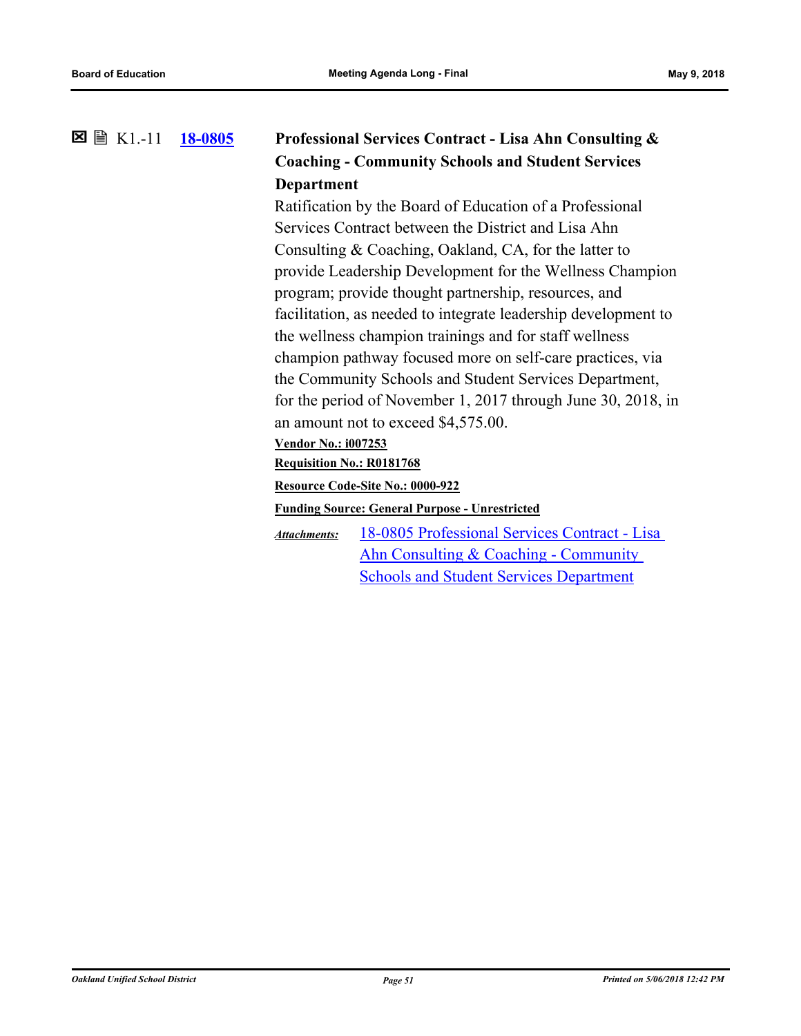#### **[18-0805](http://ousd.legistar.com/gateway.aspx?m=l&id=/matter.aspx?key=42985) Professional Services Contract - Lisa Ahn Consulting & Coaching - Community Schools and Student Services Department** K1.-11

Ratification by the Board of Education of a Professional Services Contract between the District and Lisa Ahn Consulting & Coaching, Oakland, CA, for the latter to provide Leadership Development for the Wellness Champion program; provide thought partnership, resources, and facilitation, as needed to integrate leadership development to the wellness champion trainings and for staff wellness champion pathway focused more on self-care practices, via the Community Schools and Student Services Department, for the period of November 1, 2017 through June 30, 2018, in an amount not to exceed \$4,575.00.

**Vendor No.: i007253**

**Requisition No.: R0181768**

**Resource Code-Site No.: 0000-922**

**Funding Source: General Purpose - Unrestricted**

[18-0805 Professional Services Contract - Lisa](http://ousd.legistar.com/gateway.aspx?M=F&ID=88379.pdf)  Ahn Consulting & Coaching - Community Schools and Student Services Department *Attachments:*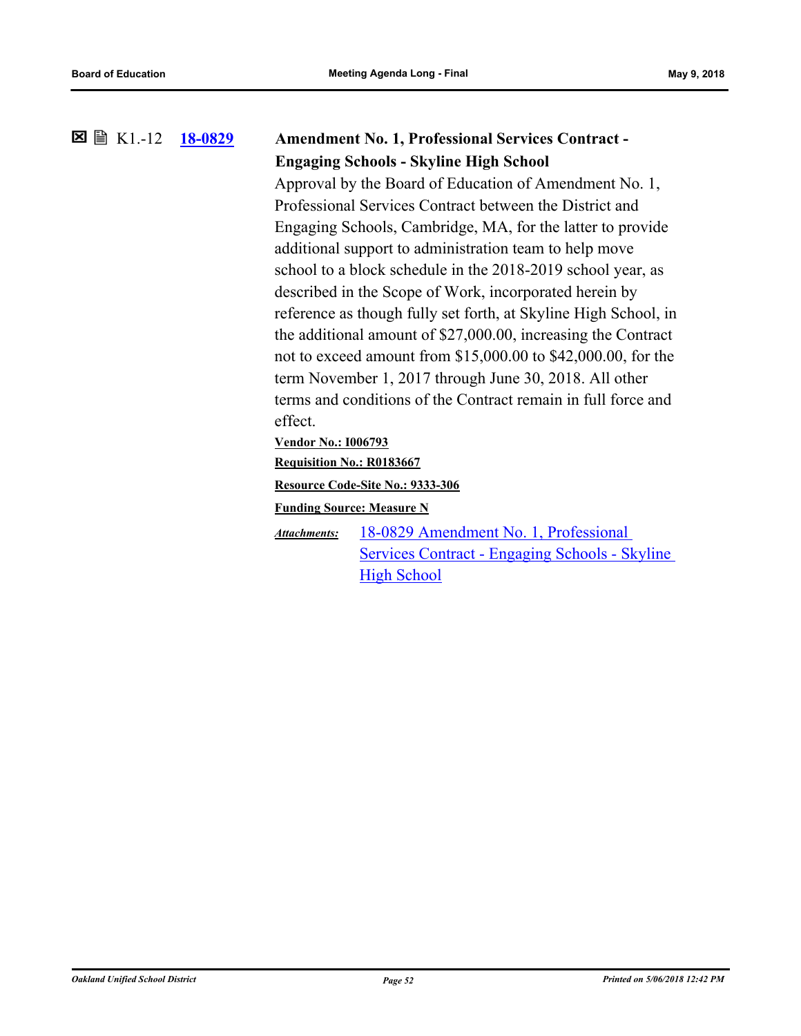#### **[18-0829](http://ousd.legistar.com/gateway.aspx?m=l&id=/matter.aspx?key=43009) Amendment No. 1, Professional Services Contract - Engaging Schools - Skyline High School**  $\boxtimes$   $\boxplus$  K1.-12

Approval by the Board of Education of Amendment No. 1, Professional Services Contract between the District and Engaging Schools, Cambridge, MA, for the latter to provide additional support to administration team to help move school to a block schedule in the 2018-2019 school year, as described in the Scope of Work, incorporated herein by reference as though fully set forth, at Skyline High School, in the additional amount of \$27,000.00, increasing the Contract not to exceed amount from \$15,000.00 to \$42,000.00, for the term November 1, 2017 through June 30, 2018. All other terms and conditions of the Contract remain in full force and effect.

**Vendor No.: I006793**

**Requisition No.: R0183667**

**Resource Code-Site No.: 9333-306**

**Funding Source: Measure N**

18-0829 Amendment No. 1, Professional [Services Contract - Engaging Schools - Skyline](http://ousd.legistar.com/gateway.aspx?M=F&ID=88282.pdf)  **High School** *Attachments:*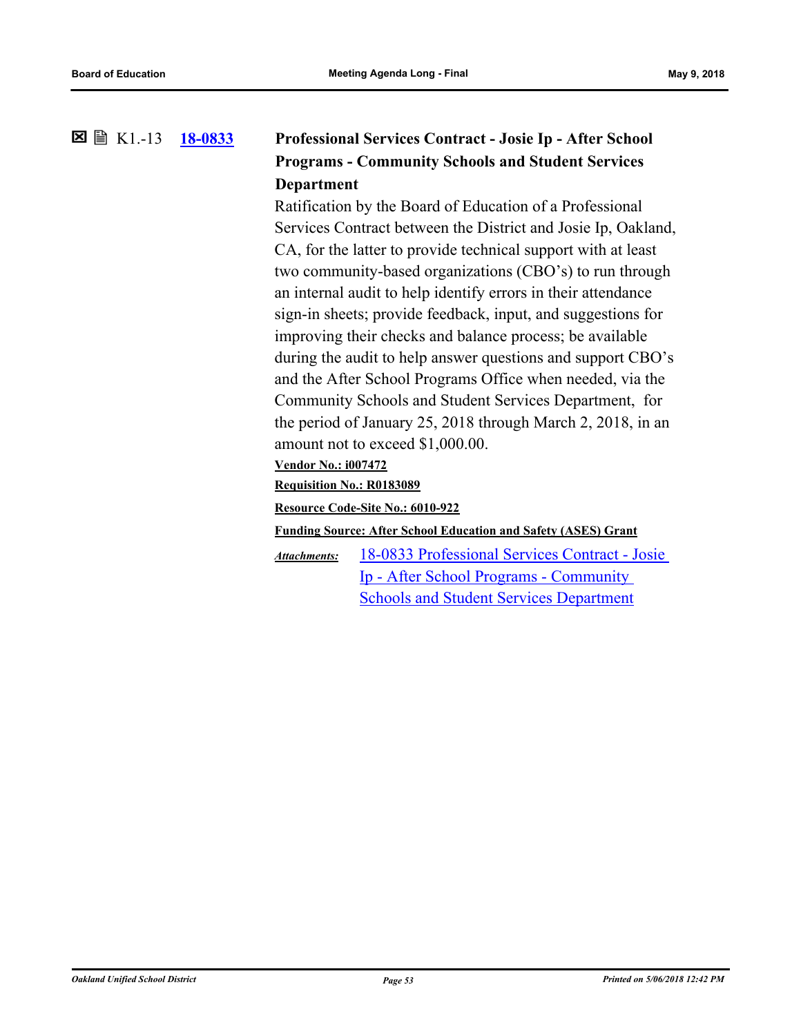#### **[18-0833](http://ousd.legistar.com/gateway.aspx?m=l&id=/matter.aspx?key=43013) Professional Services Contract - Josie Ip - After School Programs - Community Schools and Student Services Department** K1.-13

Ratification by the Board of Education of a Professional Services Contract between the District and Josie Ip, Oakland, CA, for the latter to provide technical support with at least two community-based organizations (CBO's) to run through an internal audit to help identify errors in their attendance sign-in sheets; provide feedback, input, and suggestions for improving their checks and balance process; be available during the audit to help answer questions and support CBO's and the After School Programs Office when needed, via the Community Schools and Student Services Department, for the period of January 25, 2018 through March 2, 2018, in an amount not to exceed \$1,000.00.

### **Vendor No.: i007472**

**Requisition No.: R0183089**

**Resource Code-Site No.: 6010-922**

**Funding Source: After School Education and Safety (ASES) Grant**

[18-0833 Professional Services Contract - Josie](http://ousd.legistar.com/gateway.aspx?M=F&ID=88374.pdf)  Ip - After School Programs - Community Schools and Student Services Department *Attachments:*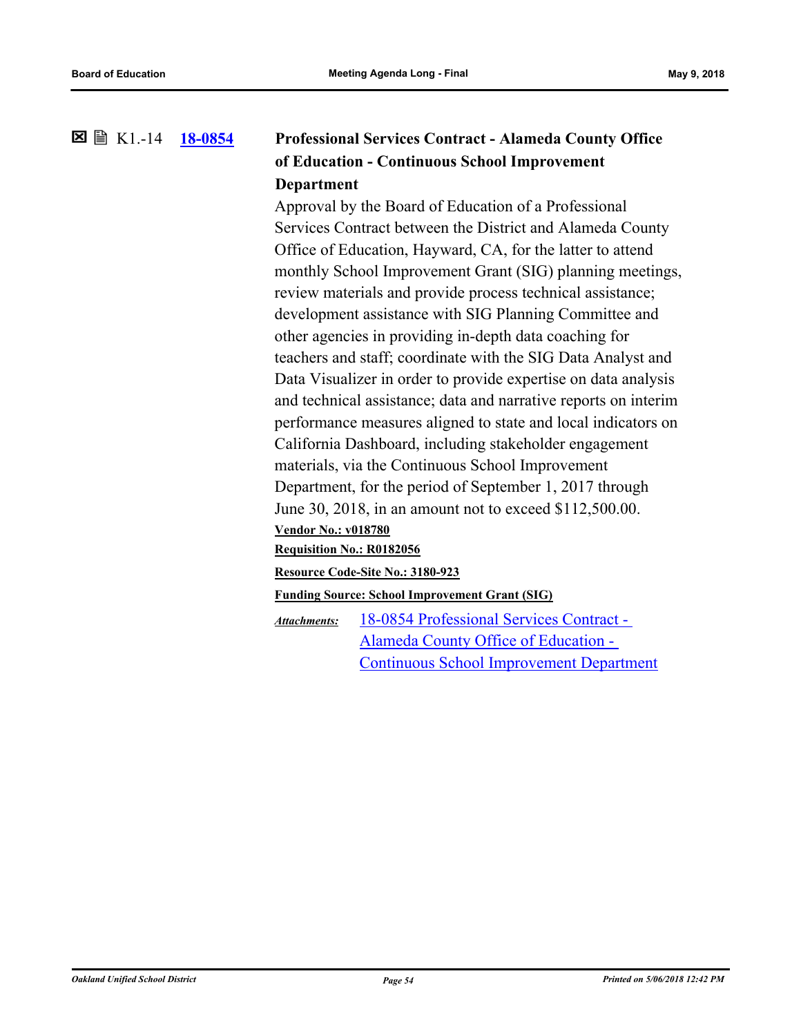#### **[18-0854](http://ousd.legistar.com/gateway.aspx?m=l&id=/matter.aspx?key=43034) Professional Services Contract - Alameda County Office of Education - Continuous School Improvement Department** K1.-14

Approval by the Board of Education of a Professional Services Contract between the District and Alameda County Office of Education, Hayward, CA, for the latter to attend monthly School Improvement Grant (SIG) planning meetings, review materials and provide process technical assistance; development assistance with SIG Planning Committee and other agencies in providing in-depth data coaching for teachers and staff; coordinate with the SIG Data Analyst and Data Visualizer in order to provide expertise on data analysis and technical assistance; data and narrative reports on interim performance measures aligned to state and local indicators on California Dashboard, including stakeholder engagement materials, via the Continuous School Improvement Department, for the period of September 1, 2017 through June 30, 2018, in an amount not to exceed \$112,500.00. **Vendor No.: v018780 Requisition No.: R0182056 Resource Code-Site No.: 3180-923 Funding Source: School Improvement Grant (SIG)**

18-0854 Professional Services Contract - Alameda County Office of Education - [Continuous School Improvement Department](http://ousd.legistar.com/gateway.aspx?M=F&ID=88383.pdf) *Attachments:*

*Oakland Unified School District Page 54 Printed on 5/06/2018 12:42 PM*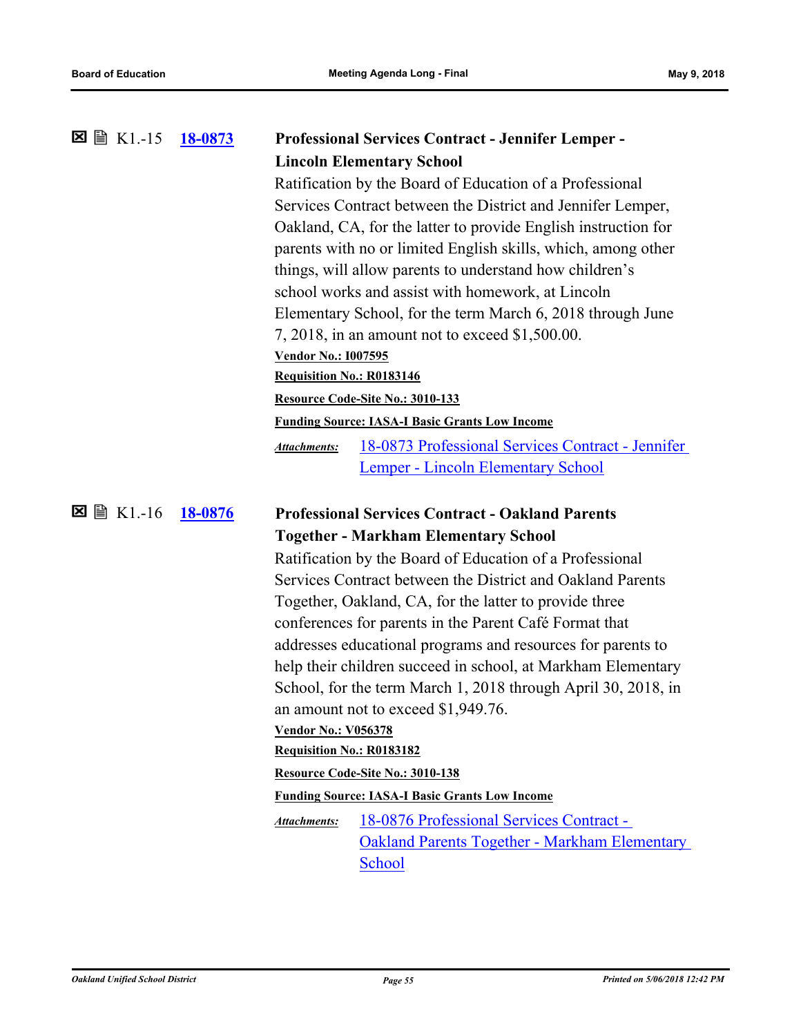| $\boxtimes \cong$ K1.-15 | <u>18-0873</u> | <b>Professional Services Contract - Jennifer Lemper -</b>                |  |
|--------------------------|----------------|--------------------------------------------------------------------------|--|
|                          |                | <b>Lincoln Elementary School</b>                                         |  |
|                          |                | Ratification by the Board of Education of a Professional                 |  |
|                          |                | Services Contract between the District and Jennifer Lemper,              |  |
|                          |                | Oakland, CA, for the latter to provide English instruction for           |  |
|                          |                | parents with no or limited English skills, which, among other            |  |
|                          |                | things, will allow parents to understand how children's                  |  |
|                          |                | school works and assist with homework, at Lincoln                        |  |
|                          |                | Elementary School, for the term March 6, 2018 through June               |  |
|                          |                | 7, 2018, in an amount not to exceed \$1,500.00.                          |  |
|                          |                | <b>Vendor No.: 1007595</b>                                               |  |
|                          |                | Requisition No.: R0183146                                                |  |
|                          |                | Resource Code-Site No.: 3010-133                                         |  |
|                          |                | <b>Funding Source: IASA-I Basic Grants Low Income</b>                    |  |
|                          |                | 18-0873 Professional Services Contract - Jennifer<br><b>Attachments:</b> |  |
|                          |                | Lemper - Lincoln Elementary School                                       |  |
|                          |                |                                                                          |  |
|                          |                |                                                                          |  |
| $\boxtimes \cong$ K1.-16 | 18-0876        | <b>Professional Services Contract - Oakland Parents</b>                  |  |
|                          |                | <b>Together - Markham Elementary School</b>                              |  |
|                          |                | Ratification by the Board of Education of a Professional                 |  |
|                          |                | Services Contract between the District and Oakland Parents               |  |
|                          |                | Together, Oakland, CA, for the latter to provide three                   |  |
|                          |                | conferences for parents in the Parent Café Format that                   |  |
|                          |                | addresses educational programs and resources for parents to              |  |
|                          |                | help their children succeed in school, at Markham Elementary             |  |
|                          |                | School, for the term March 1, 2018 through April 30, 2018, in            |  |
|                          |                | an amount not to exceed \$1,949.76.                                      |  |
|                          |                | <b>Vendor No.: V056378</b>                                               |  |
|                          |                | Requisition No.: R0183182                                                |  |
|                          |                | Resource Code-Site No.: 3010-138                                         |  |
|                          |                | <b>Funding Source: IASA-I Basic Grants Low Income</b>                    |  |
|                          |                | 18-0876 Professional Services Contract -<br>Attachments:                 |  |
|                          |                | <b>Oakland Parents Together - Markham Elementary</b>                     |  |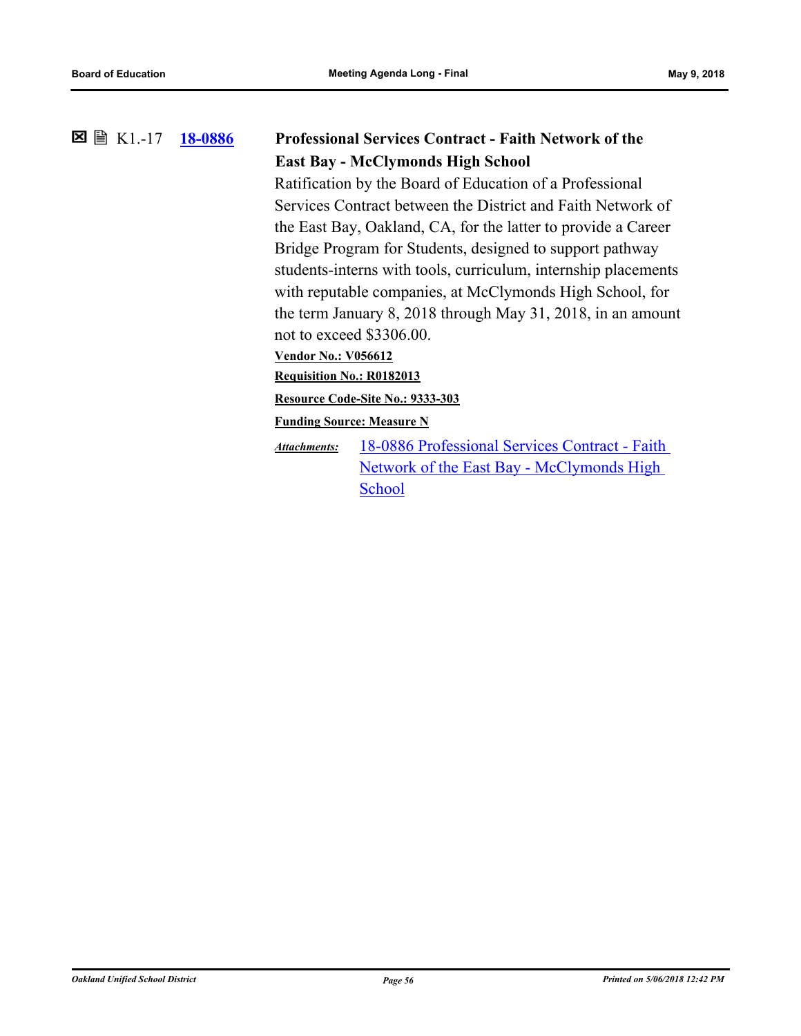#### **[18-0886](http://ousd.legistar.com/gateway.aspx?m=l&id=/matter.aspx?key=43066) Professional Services Contract - Faith Network of the East Bay - McClymonds High School** K1.-17

Ratification by the Board of Education of a Professional Services Contract between the District and Faith Network of the East Bay, Oakland, CA, for the latter to provide a Career Bridge Program for Students, designed to support pathway students-interns with tools, curriculum, internship placements with reputable companies, at McClymonds High School, for the term January 8, 2018 through May 31, 2018, in an amount not to exceed \$3306.00.

**Vendor No.: V056612**

**Requisition No.: R0182013**

**Resource Code-Site No.: 9333-303**

**Funding Source: Measure N**

[18-0886 Professional Services Contract - Faith](http://ousd.legistar.com/gateway.aspx?M=F&ID=88391.pdf)  Network of the East Bay - McClymonds High School *Attachments:*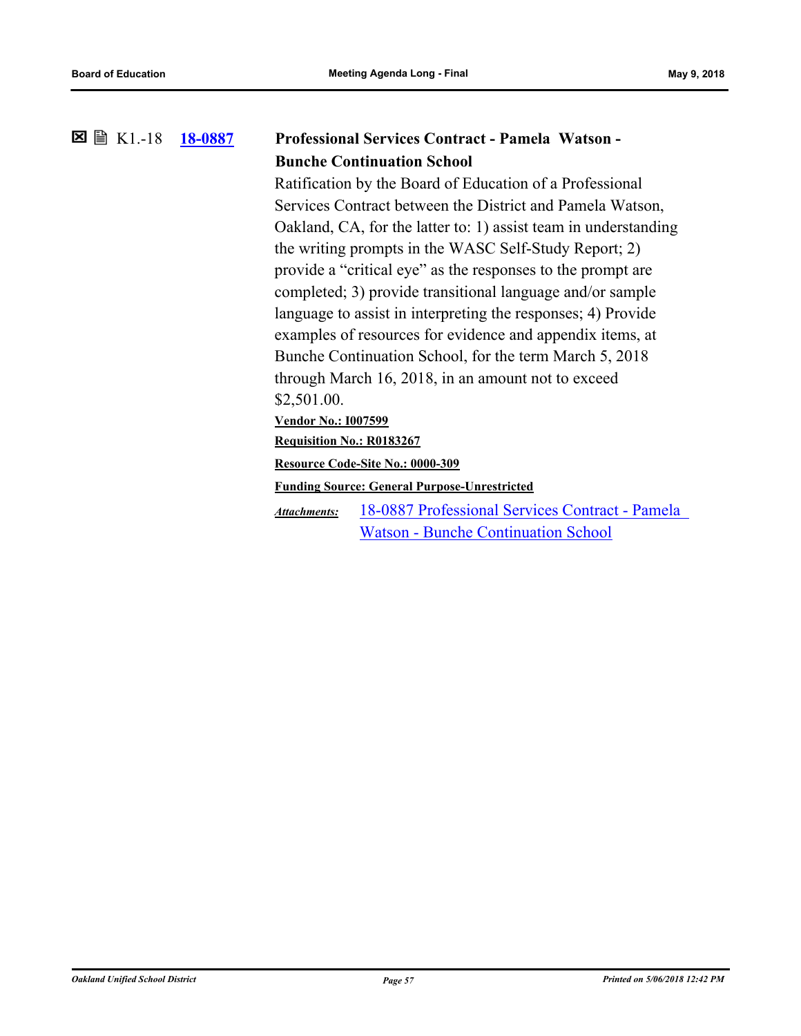#### **[18-0887](http://ousd.legistar.com/gateway.aspx?m=l&id=/matter.aspx?key=43067) Professional Services Contract - Pamela Watson - Bunche Continuation School**  $\boxtimes$   $\boxplus$  K1.-18

Ratification by the Board of Education of a Professional Services Contract between the District and Pamela Watson, Oakland, CA, for the latter to: 1) assist team in understanding the writing prompts in the WASC Self-Study Report; 2) provide a "critical eye" as the responses to the prompt are completed; 3) provide transitional language and/or sample language to assist in interpreting the responses; 4) Provide examples of resources for evidence and appendix items, at Bunche Continuation School, for the term March 5, 2018 through March 16, 2018, in an amount not to exceed \$2,501.00.

**Vendor No.: I007599**

**Requisition No.: R0183267**

**Resource Code-Site No.: 0000-309**

**Funding Source: General Purpose-Unrestricted**

[18-0887 Professional Services Contract - Pamela](http://ousd.legistar.com/gateway.aspx?M=F&ID=88392.pdf)  Watson - Bunche Continuation School *Attachments:*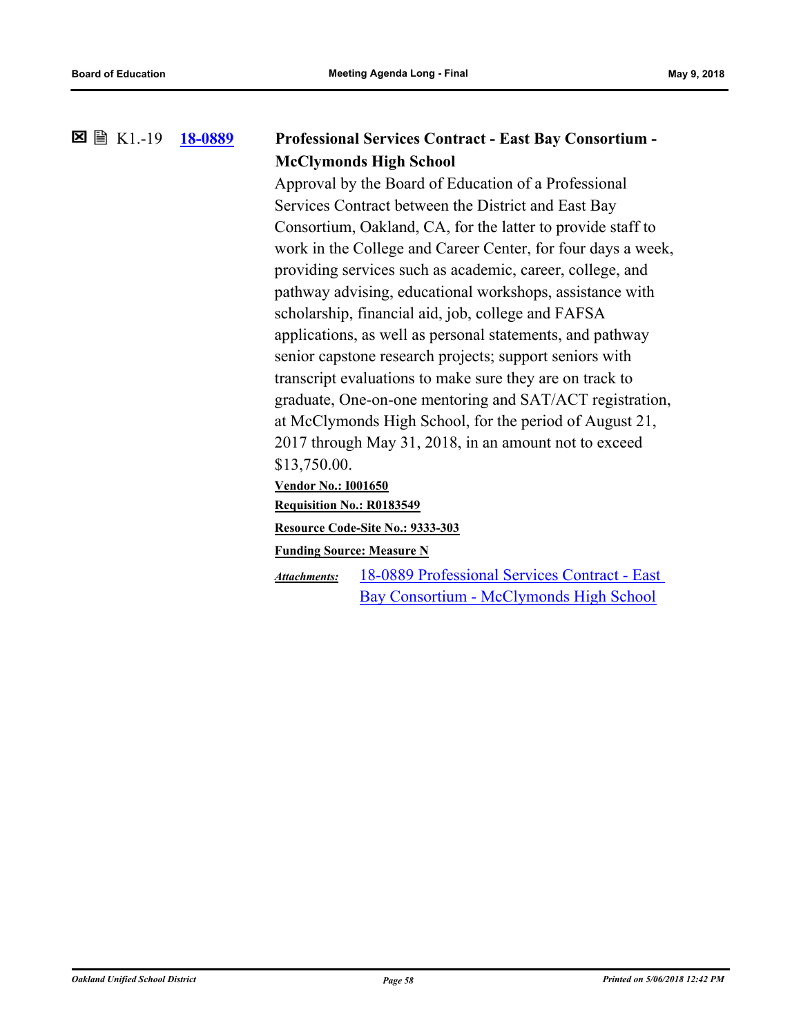#### **[18-0889](http://ousd.legistar.com/gateway.aspx?m=l&id=/matter.aspx?key=43069) Professional Services Contract - East Bay Consortium - McClymonds High School**  $\boxtimes \cong$  K1.-19

Approval by the Board of Education of a Professional Services Contract between the District and East Bay Consortium, Oakland, CA, for the latter to provide staff to work in the College and Career Center, for four days a week, providing services such as academic, career, college, and pathway advising, educational workshops, assistance with scholarship, financial aid, job, college and FAFSA applications, as well as personal statements, and pathway senior capstone research projects; support seniors with transcript evaluations to make sure they are on track to graduate, One-on-one mentoring and SAT/ACT registration, at McClymonds High School, for the period of August 21, 2017 through May 31, 2018, in an amount not to exceed \$13,750.00.

**Vendor No.: I001650**

**Requisition No.: R0183549**

**Resource Code-Site No.: 9333-303**

**Funding Source: Measure N**

[18-0889 Professional Services Contract - East](http://ousd.legistar.com/gateway.aspx?M=F&ID=88394.pdf)  Bay Consortium - McClymonds High School *Attachments:*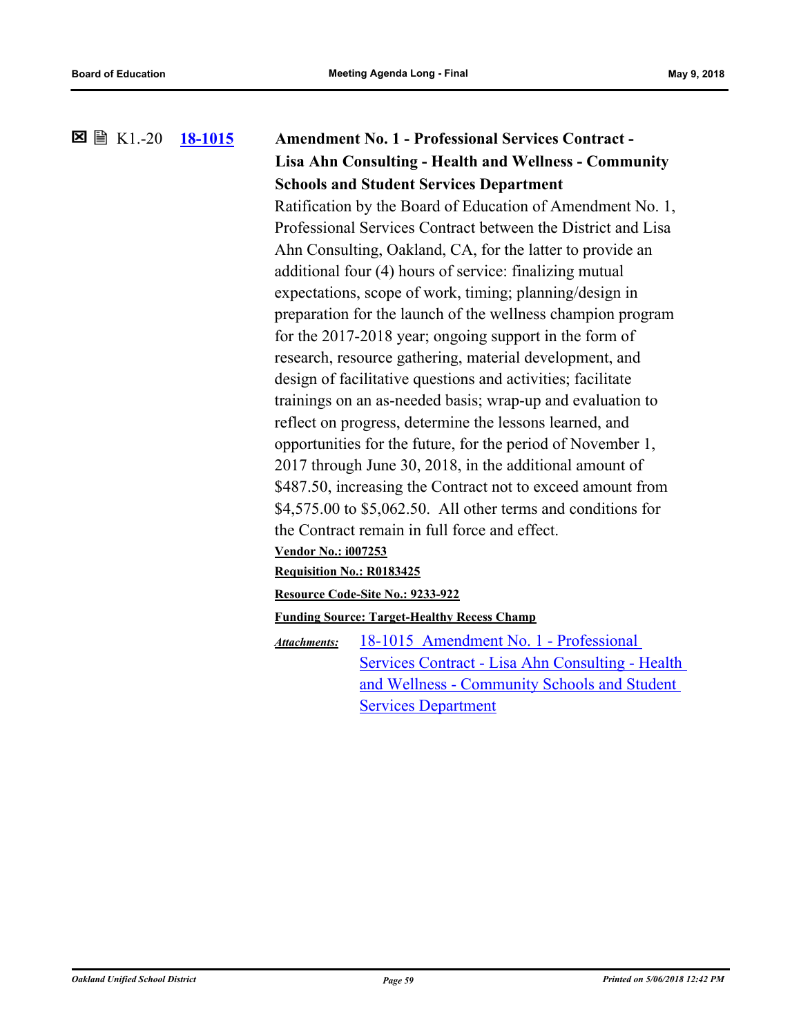# **[18-1015](http://ousd.legistar.com/gateway.aspx?m=l&id=/matter.aspx?key=42935) Amendment No. 1 - Professional Services Contract - Lisa Ahn Consulting - Health and Wellness - Community Schools and Student Services Department**  $\boxtimes$  A K1.-20 Ratification by the Board of Education of Amendment No. 1,

Professional Services Contract between the District and Lisa Ahn Consulting, Oakland, CA, for the latter to provide an additional four (4) hours of service: finalizing mutual expectations, scope of work, timing; planning/design in preparation for the launch of the wellness champion program for the 2017-2018 year; ongoing support in the form of research, resource gathering, material development, and design of facilitative questions and activities; facilitate trainings on an as-needed basis; wrap-up and evaluation to reflect on progress, determine the lessons learned, and opportunities for the future, for the period of November 1, 2017 through June 30, 2018, in the additional amount of \$487.50, increasing the Contract not to exceed amount from \$4,575.00 to \$5,062.50. All other terms and conditions for the Contract remain in full force and effect.

### **Vendor No.: i007253**

**Requisition No.: R0183425**

**Resource Code-Site No.: 9233-922**

**Funding Source: Target-Healthy Recess Champ**

18-1015 Amendment No. 1 - Professional [Services Contract - Lisa Ahn Consulting - Health](http://ousd.legistar.com/gateway.aspx?M=F&ID=88279.pdf)  and Wellness - Community Schools and Student Services Department *Attachments:*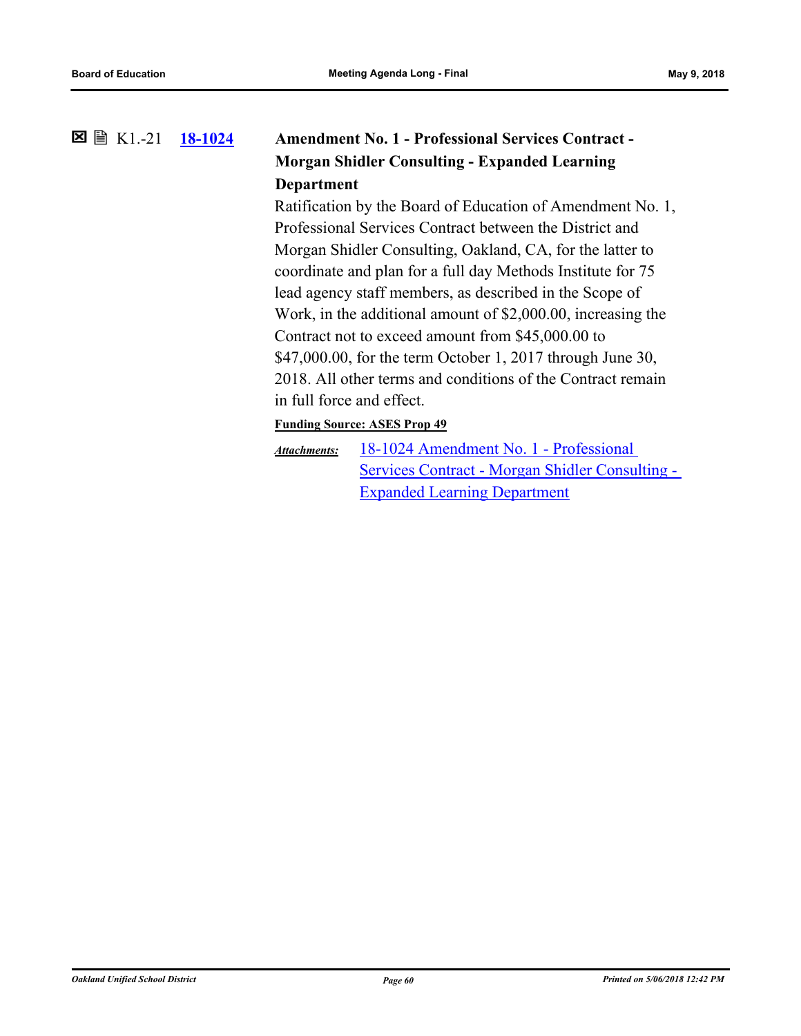#### **[18-1024](http://ousd.legistar.com/gateway.aspx?m=l&id=/matter.aspx?key=43204) Amendment No. 1 - Professional Services Contract - Morgan Shidler Consulting - Expanded Learning Department** K1.-21

Ratification by the Board of Education of Amendment No. 1, Professional Services Contract between the District and Morgan Shidler Consulting, Oakland, CA, for the latter to coordinate and plan for a full day Methods Institute for 75 lead agency staff members, as described in the Scope of Work, in the additional amount of \$2,000.00, increasing the Contract not to exceed amount from \$45,000.00 to \$47,000.00, for the term October 1, 2017 through June 30, 2018. All other terms and conditions of the Contract remain in full force and effect.

### **Funding Source: ASES Prop 49**

18-1024 Amendment No. 1 - Professional [Services Contract - Morgan Shidler Consulting -](http://ousd.legistar.com/gateway.aspx?M=F&ID=88420.pdf)  Expanded Learning Department *Attachments:*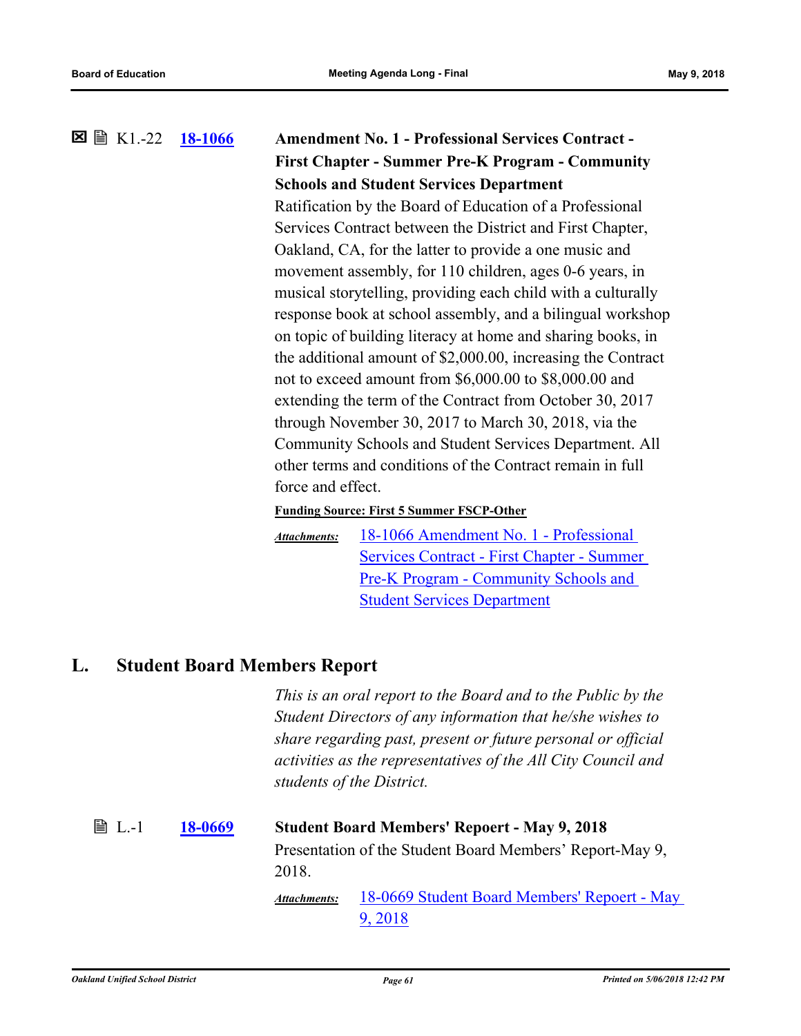**[18-1066](http://ousd.legistar.com/gateway.aspx?m=l&id=/matter.aspx?key=43246) Amendment No. 1 - Professional Services Contract - First Chapter - Summer Pre-K Program - Community Schools and Student Services Department**  $\boxtimes$   $\boxplus$  K1.-22 Ratification by the Board of Education of a Professional Services Contract between the District and First Chapter, Oakland, CA, for the latter to provide a one music and movement assembly, for 110 children, ages 0-6 years, in musical storytelling, providing each child with a culturally response book at school assembly, and a bilingual workshop on topic of building literacy at home and sharing books, in the additional amount of \$2,000.00, increasing the Contract not to exceed amount from \$6,000.00 to \$8,000.00 and extending the term of the Contract from October 30, 2017 through November 30, 2017 to March 30, 2018, via the Community Schools and Student Services Department. All other terms and conditions of the Contract remain in full force and effect. **Funding Source: First 5 Summer FSCP-Other**

18-1066 Amendment No. 1 - Professional [Services Contract - First Chapter - Summer](http://ousd.legistar.com/gateway.aspx?M=F&ID=88498.pdf)  Pre-K Program - Community Schools and Student Services Department *Attachments:*

# **L. Student Board Members Report**

*This is an oral report to the Board and to the Public by the Student Directors of any information that he/she wishes to share regarding past, present or future personal or official activities as the representatives of the All City Council and students of the District.*

### L.-1 **[18-0669](http://ousd.legistar.com/gateway.aspx?m=l&id=/matter.aspx?key=42849) Student Board Members' Repoert - May 9, 2018** Presentation of the Student Board Members' Report-May 9, 2018. [18-0669 Student Board Members' Repoert - May](http://ousd.legistar.com/gateway.aspx?M=F&ID=88397.pdf)  *Attachments:*

9, 2018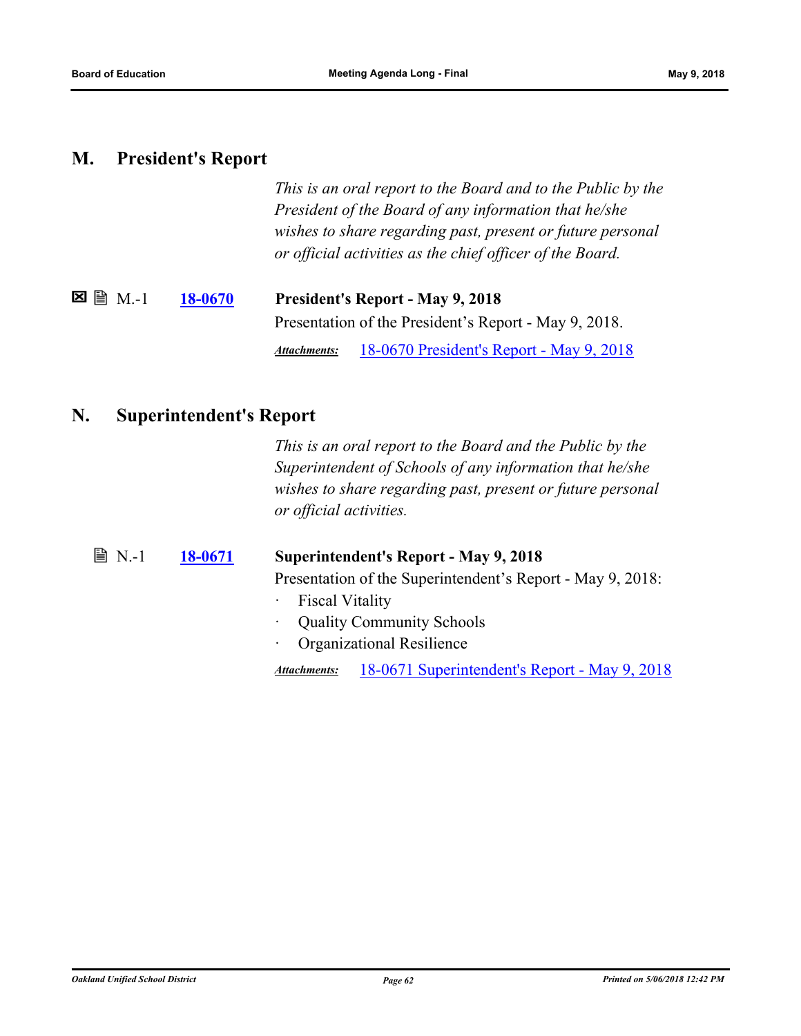### **M. President's Report**

*This is an oral report to the Board and to the Public by the President of the Board of any information that he/she wishes to share regarding past, present or future personal or official activities as the chief officer of the Board.*

| $\boxtimes$ ( $\boxplus$ $\mod$ | <b>18-0670</b> | <b>President's Report - May 9, 2018</b>                  |  |
|---------------------------------|----------------|----------------------------------------------------------|--|
|                                 |                | Presentation of the President's Report - May 9, 2018.    |  |
|                                 |                | 18-0670 President's Report - May 9, 2018<br>Attachments: |  |

### **N. Superintendent's Report**

*This is an oral report to the Board and the Public by the Superintendent of Schools of any information that he/she wishes to share regarding past, present or future personal or official activities.*

| ■ N.-1 | 18-0671 | Superintendent's Report - May 9, 2018                         |  |  |
|--------|---------|---------------------------------------------------------------|--|--|
|        |         | Presentation of the Superintendent's Report - May 9, 2018:    |  |  |
|        |         | · Fiscal Vitality                                             |  |  |
|        |         | <b>Quality Community Schools</b><br>$\bullet$                 |  |  |
|        |         | <b>Organizational Resilience</b><br>$\bullet$ .               |  |  |
|        |         | 18-0671 Superintendent's Report - May 9, 2018<br>Attachments: |  |  |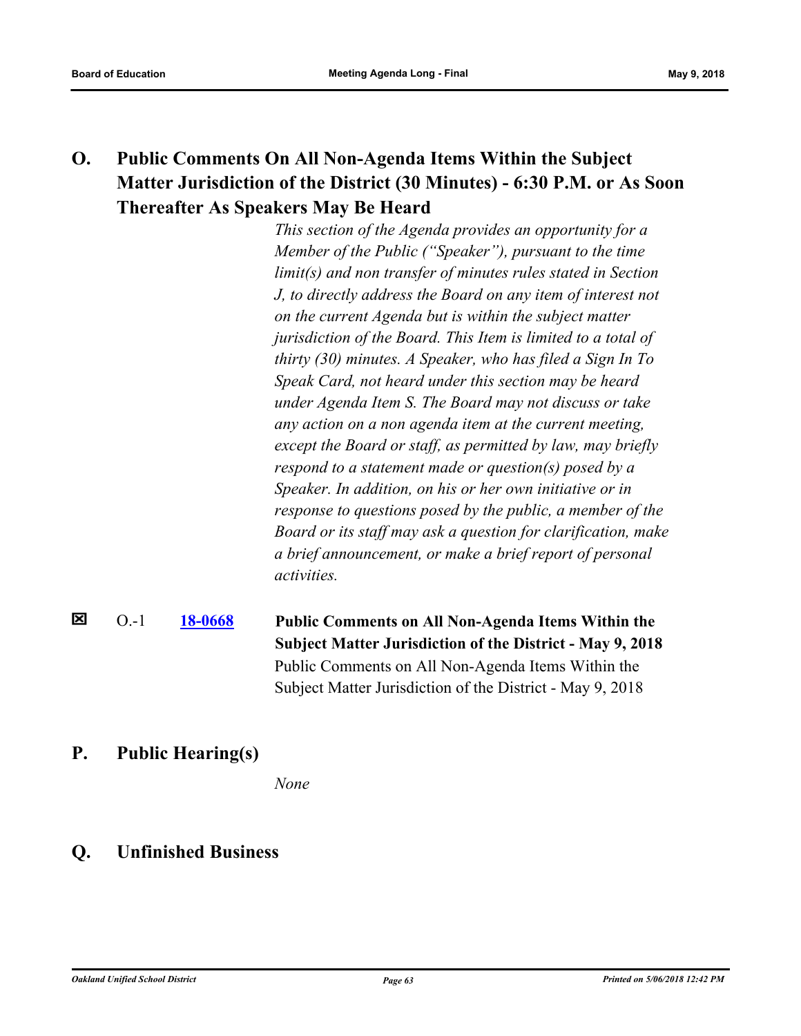# **O. Public Comments On All Non-Agenda Items Within the Subject Matter Jurisdiction of the District (30 Minutes) - 6:30 P.M. or As Soon Thereafter As Speakers May Be Heard**

*This section of the Agenda provides an opportunity for a Member of the Public ("Speaker"), pursuant to the time limit(s) and non transfer of minutes rules stated in Section J, to directly address the Board on any item of interest not on the current Agenda but is within the subject matter jurisdiction of the Board. This Item is limited to a total of thirty (30) minutes. A Speaker, who has filed a Sign In To Speak Card, not heard under this section may be heard under Agenda Item S. The Board may not discuss or take any action on a non agenda item at the current meeting, except the Board or staff, as permitted by law, may briefly respond to a statement made or question(s) posed by a Speaker. In addition, on his or her own initiative or in response to questions posed by the public, a member of the Board or its staff may ask a question for clarification, make a brief announcement, or make a brief report of personal activities.*

#### ⊠ O.-1 **[18-0668](http://ousd.legistar.com/gateway.aspx?m=l&id=/matter.aspx?key=42848) Public Comments on All Non-Agenda Items Within the Subject Matter Jurisdiction of the District - May 9, 2018** Public Comments on All Non-Agenda Items Within the Subject Matter Jurisdiction of the District - May 9, 2018

## **P. Public Hearing(s)**

*None*

## **Q. Unfinished Business**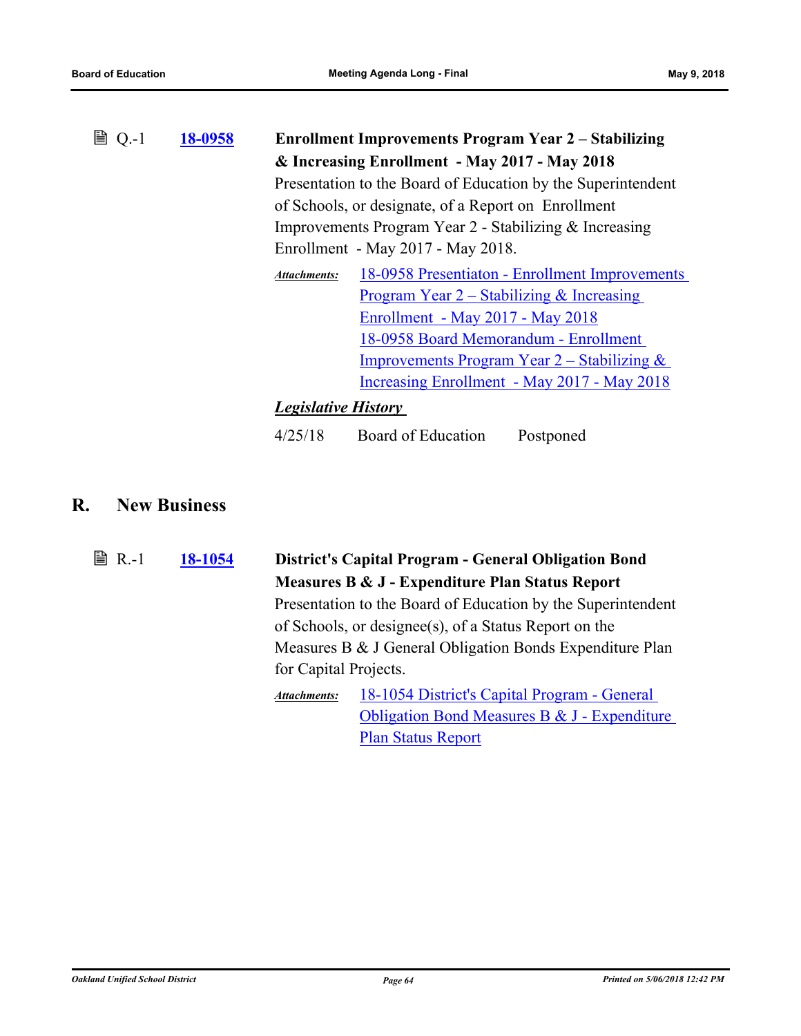| B<br>$Q - 1$ | 18-0958 | <b>Enrollment Improvements Program Year 2 - Stabilizing</b>           |                                                        |  |
|--------------|---------|-----------------------------------------------------------------------|--------------------------------------------------------|--|
|              |         | & Increasing Enrollment - May 2017 - May 2018                         |                                                        |  |
|              |         | Presentation to the Board of Education by the Superintendent          |                                                        |  |
|              |         | of Schools, or designate, of a Report on Enrollment                   |                                                        |  |
|              |         |                                                                       | Improvements Program Year 2 - Stabilizing & Increasing |  |
|              |         |                                                                       | Enrollment - May 2017 - May 2018.                      |  |
|              |         | 18-0958 Presentiaton - Enrollment Improvements<br><b>Attachments:</b> |                                                        |  |
|              |         | <u>Program Year 2 – Stabilizing &amp; Increasing</u>                  |                                                        |  |
|              |         | Enrollment - May 2017 - May 2018                                      |                                                        |  |
|              |         | 18-0958 Board Memorandum - Enrollment                                 |                                                        |  |
|              |         | <b>Improvements Program Year 2 – Stabilizing &amp;</b>                |                                                        |  |
|              |         | Increasing Enrollment - May 2017 - May 2018                           |                                                        |  |
|              |         | <b>Legislative History</b>                                            |                                                        |  |
|              |         | Board of Education<br>4/25/18<br>Postponed                            |                                                        |  |

## **R. New Business**

**[18-1054](http://ousd.legistar.com/gateway.aspx?m=l&id=/matter.aspx?key=43234) District's Capital Program - General Obligation Bond Measures B & J - Expenditure Plan Status Report ■ R.-1** Presentation to the Board of Education by the Superintendent of Schools, or designee(s), of a Status Report on the Measures B & J General Obligation Bonds Expenditure Plan for Capital Projects. 18-1054 District's Capital Program - General [Obligation Bond Measures B & J - Expenditure](http://ousd.legistar.com/gateway.aspx?M=F&ID=88481.pptx)  Plan Status Report *Attachments:*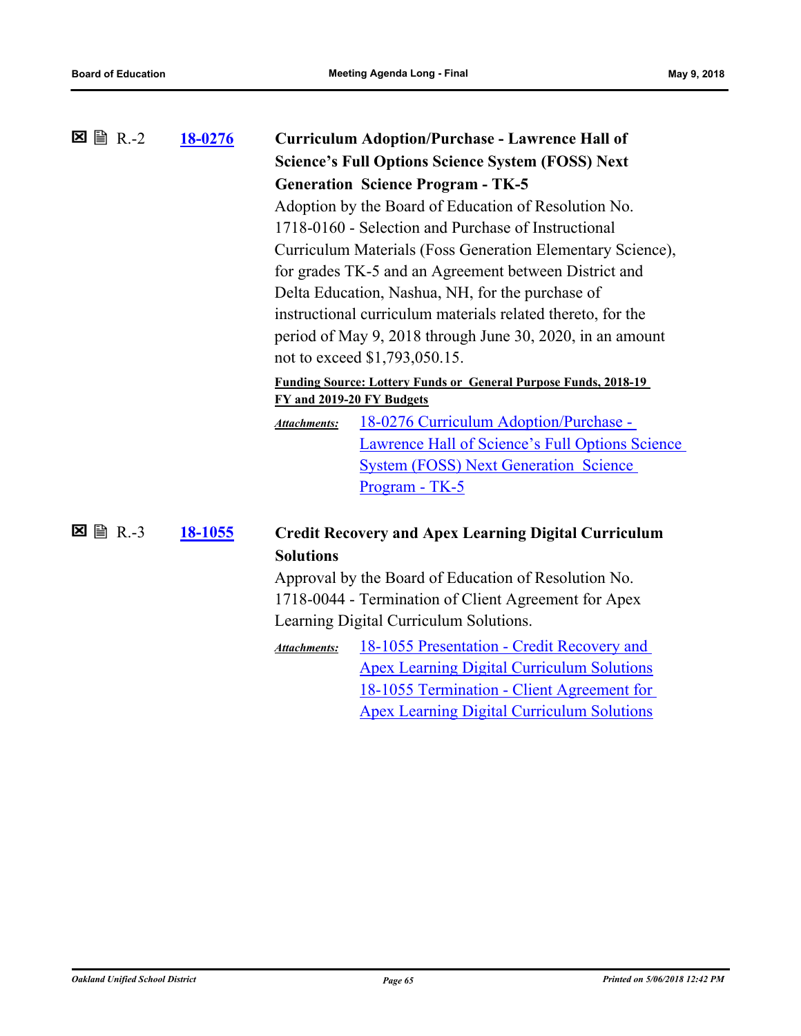| $\boxtimes$ A R.-2 | 18-0276        | <b>Curriculum Adoption/Purchase - Lawrence Hall of</b><br><b>Science's Full Options Science System (FOSS) Next</b> |                                                                        |  |  |
|--------------------|----------------|--------------------------------------------------------------------------------------------------------------------|------------------------------------------------------------------------|--|--|
|                    |                | <b>Generation Science Program - TK-5</b>                                                                           |                                                                        |  |  |
|                    |                |                                                                                                                    | Adoption by the Board of Education of Resolution No.                   |  |  |
|                    |                | 1718-0160 - Selection and Purchase of Instructional<br>Curriculum Materials (Foss Generation Elementary Science),  |                                                                        |  |  |
|                    |                |                                                                                                                    |                                                                        |  |  |
|                    |                |                                                                                                                    | for grades TK-5 and an Agreement between District and                  |  |  |
|                    |                |                                                                                                                    | Delta Education, Nashua, NH, for the purchase of                       |  |  |
|                    |                |                                                                                                                    | instructional curriculum materials related thereto, for the            |  |  |
|                    |                |                                                                                                                    | period of May 9, 2018 through June 30, 2020, in an amount              |  |  |
|                    |                |                                                                                                                    | not to exceed \$1,793,050.15.                                          |  |  |
|                    |                |                                                                                                                    | <b>Funding Source: Lottery Funds or General Purpose Funds, 2018-19</b> |  |  |
|                    |                |                                                                                                                    | FY and 2019-20 FY Budgets                                              |  |  |
|                    |                | <b>Attachments:</b>                                                                                                | 18-0276 Curriculum Adoption/Purchase -                                 |  |  |
|                    |                |                                                                                                                    | Lawrence Hall of Science's Full Options Science                        |  |  |
|                    |                |                                                                                                                    | <b>System (FOSS) Next Generation Science</b>                           |  |  |
|                    |                |                                                                                                                    | Program - TK-5                                                         |  |  |
|                    |                |                                                                                                                    |                                                                        |  |  |
| ⊠<br><b>■ R.-3</b> | <u>18-1055</u> |                                                                                                                    | <b>Credit Recovery and Apex Learning Digital Curriculum</b>            |  |  |
|                    |                | <b>Solutions</b>                                                                                                   |                                                                        |  |  |
|                    |                |                                                                                                                    | Approval by the Board of Education of Resolution No.                   |  |  |
|                    |                |                                                                                                                    | 1718-0044 - Termination of Client Agreement for Apex                   |  |  |
|                    |                |                                                                                                                    | Learning Digital Curriculum Solutions.                                 |  |  |
|                    |                | <b>Attachments:</b>                                                                                                | 18-1055 Presentation - Credit Recovery and                             |  |  |
|                    |                |                                                                                                                    | <b>Apex Learning Digital Curriculum Solutions</b>                      |  |  |
|                    |                |                                                                                                                    | 18-1055 Termination - Client Agreement for                             |  |  |

Apex Learning Digital Curriculum Solutions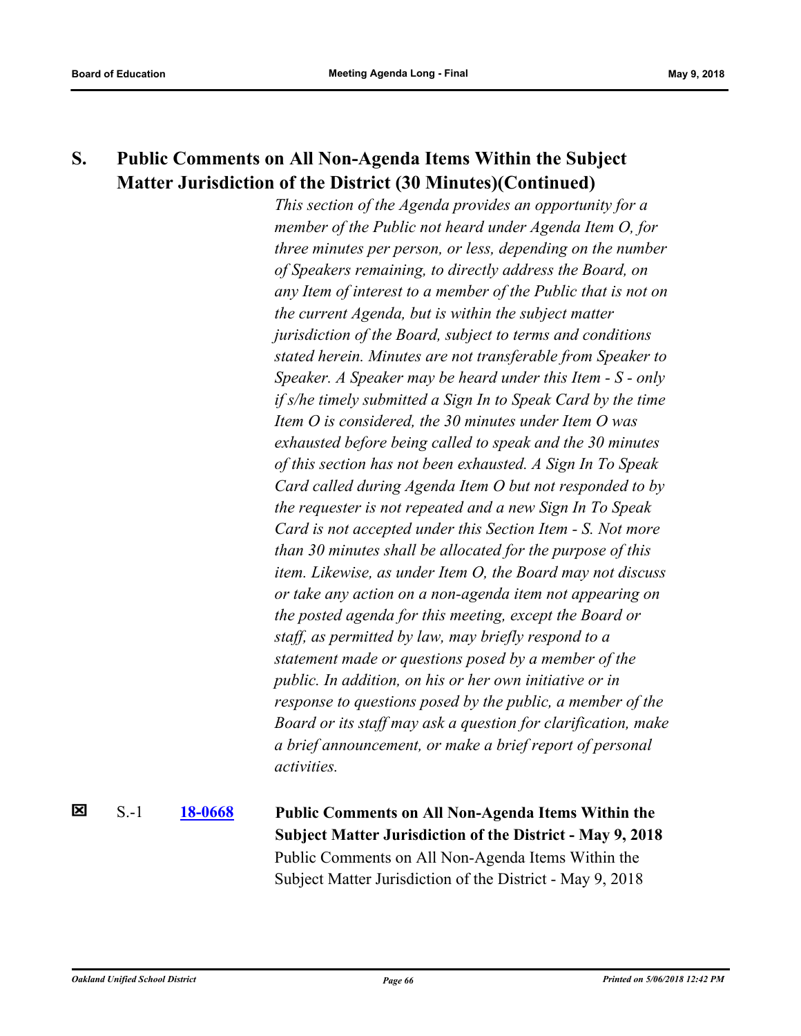# **S. Public Comments on All Non-Agenda Items Within the Subject Matter Jurisdiction of the District (30 Minutes)(Continued)**

*This section of the Agenda provides an opportunity for a member of the Public not heard under Agenda Item O, for three minutes per person, or less, depending on the number of Speakers remaining, to directly address the Board, on any Item of interest to a member of the Public that is not on the current Agenda, but is within the subject matter jurisdiction of the Board, subject to terms and conditions stated herein. Minutes are not transferable from Speaker to Speaker. A Speaker may be heard under this Item - S - only if s/he timely submitted a Sign In to Speak Card by the time Item O is considered, the 30 minutes under Item O was exhausted before being called to speak and the 30 minutes of this section has not been exhausted. A Sign In To Speak Card called during Agenda Item O but not responded to by the requester is not repeated and a new Sign In To Speak Card is not accepted under this Section Item - S. Not more than 30 minutes shall be allocated for the purpose of this item. Likewise, as under Item O, the Board may not discuss or take any action on a non-agenda item not appearing on the posted agenda for this meeting, except the Board or staff, as permitted by law, may briefly respond to a statement made or questions posed by a member of the public. In addition, on his or her own initiative or in response to questions posed by the public, a member of the Board or its staff may ask a question for clarification, make a brief announcement, or make a brief report of personal activities.*

× S.-1 **[18-0668](http://ousd.legistar.com/gateway.aspx?m=l&id=/matter.aspx?key=42848) Public Comments on All Non-Agenda Items Within the Subject Matter Jurisdiction of the District - May 9, 2018** Public Comments on All Non-Agenda Items Within the Subject Matter Jurisdiction of the District - May 9, 2018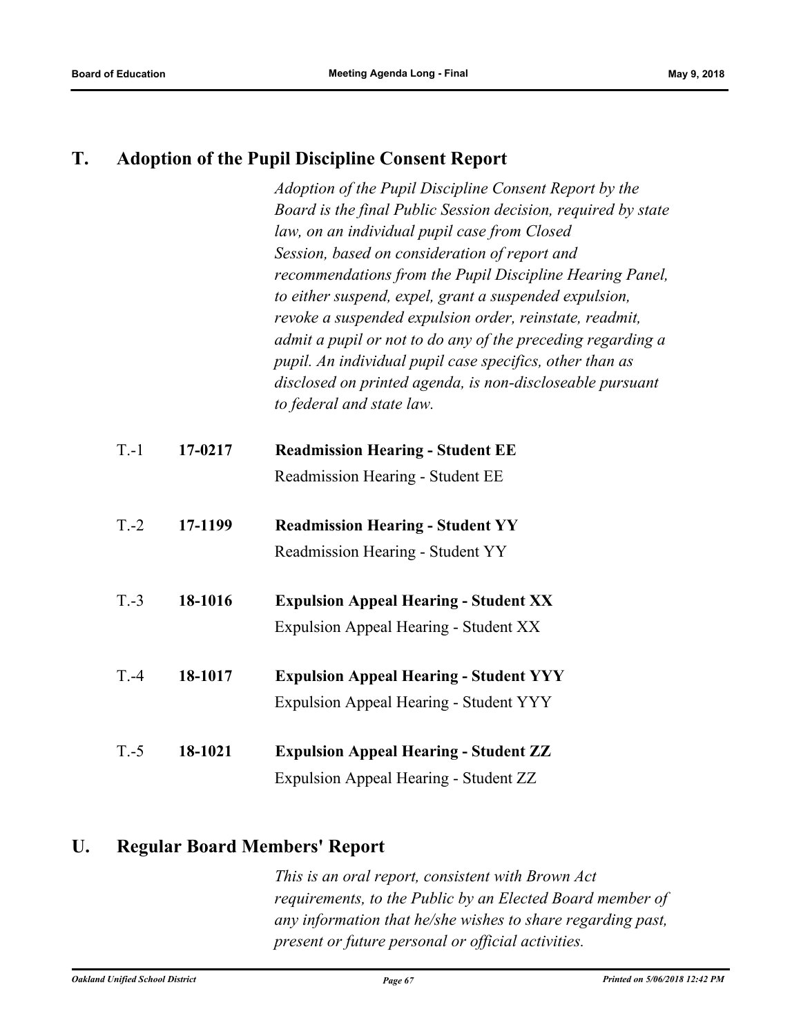### **T. Adoption of the Pupil Discipline Consent Report**

*Adoption of the Pupil Discipline Consent Report by the Board is the final Public Session decision, required by state law, on an individual pupil case from Closed Session, based on consideration of report and recommendations from the Pupil Discipline Hearing Panel, to either suspend, expel, grant a suspended expulsion, revoke a suspended expulsion order, reinstate, readmit, admit a pupil or not to do any of the preceding regarding a pupil. An individual pupil case specifics, other than as disclosed on printed agenda, is non-discloseable pursuant to federal and state law.*

| $T-1$   | 17-0217 | <b>Readmission Hearing - Student EE</b>       |
|---------|---------|-----------------------------------------------|
|         |         | Readmission Hearing - Student EE              |
| $T.-2$  | 17-1199 | <b>Readmission Hearing - Student YY</b>       |
|         |         | Readmission Hearing - Student YY              |
| $T.-3$  | 18-1016 | <b>Expulsion Appeal Hearing - Student XX</b>  |
|         |         | Expulsion Appeal Hearing - Student XX         |
| $T - 4$ | 18-1017 | <b>Expulsion Appeal Hearing - Student YYY</b> |
|         |         | Expulsion Appeal Hearing - Student YYY        |

T.-5 **18-1021 Expulsion Appeal Hearing - Student ZZ** Expulsion Appeal Hearing - Student ZZ

### **U. Regular Board Members' Report**

*This is an oral report, consistent with Brown Act requirements, to the Public by an Elected Board member of any information that he/she wishes to share regarding past, present or future personal or official activities.*